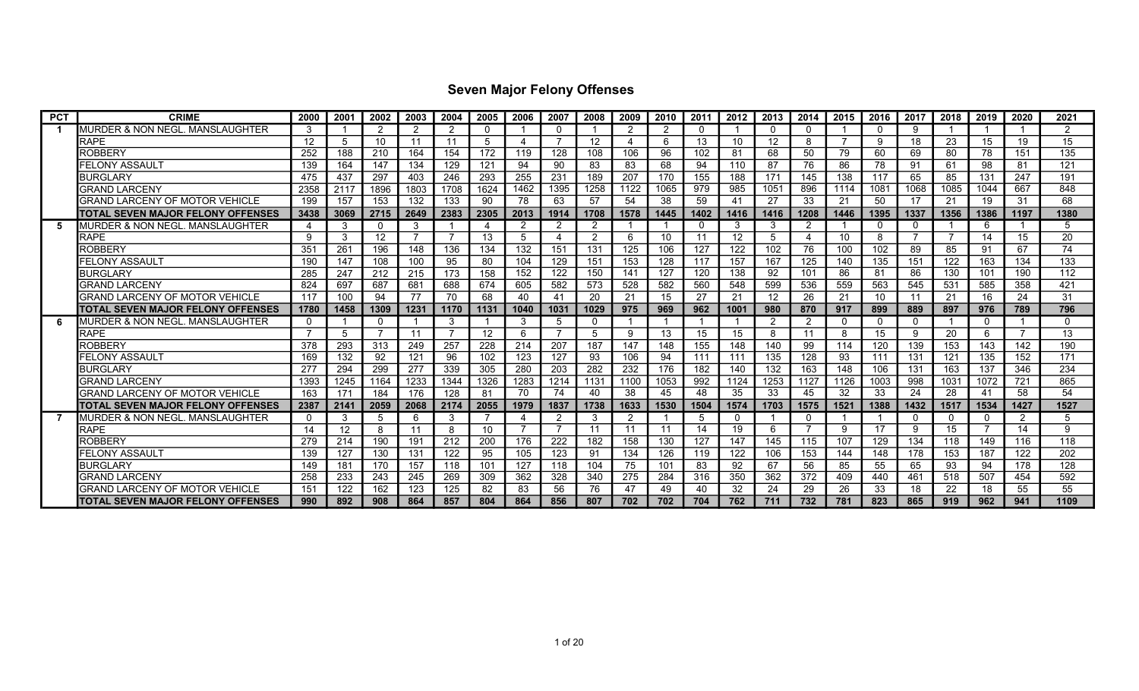| <b>PCT</b> | <b>CRIME</b>                              | 2000 | 2001 | 2002              | 2003 | 2004 | 2005     | 2006           | 2007 | 2008           | 2009 | 2010 | 2011         | 2012 | 2013            | 2014           | 2015     | 2016             | 2017 | 2018     | 2019 | 2020           | 2021           |
|------------|-------------------------------------------|------|------|-------------------|------|------|----------|----------------|------|----------------|------|------|--------------|------|-----------------|----------------|----------|------------------|------|----------|------|----------------|----------------|
|            | MURDER & NON NEGL. MANSLAUGHTER           |      |      | ົ                 | 2    | 2    | $\Omega$ |                |      |                | ົ    | 2    | <sup>0</sup> |      |                 | $\Omega$       |          | $\Omega$         | 9    |          |      |                | $\overline{2}$ |
|            | <b>RAPE</b>                               | 12   | 5    | 10                | 11   | 11   | -5       | Δ              |      | 12             |      | 6    | 13           | 10   | 12              | 8              |          | -9               | 18   | 23       | 15   | 19             | 15             |
|            | <b>ROBBERY</b>                            | 252  | 188  | 210               | 164  | 154  | 172      | 119            | 128  | 108            | 106  | 96   | 102          | 81   | 68              | 50             | 79       | 60               | 69   | 80       | 78   | 151            | 135            |
|            | FELONY ASSAULT                            | 139  | 164  | 147               | 134  | 129  | 121      | 94             | 90   | 83             | 83   | 68   | 94           | 110  | 87              | 76             | 86       | 78               | 91   | 61       | 98   | 81             | 121            |
|            | <b>BURGLARY</b>                           | 475  | 437  | 297               | 403  | 246  | 293      | 255            | 231  | 189            | 207  | 170  | 155          | 188  | 171             | 145            | 138      | 117              | 65   | 85       | 131  | 247            | 191            |
|            | <b>GRAND LARCENY</b>                      | 2358 | 2117 | 1896              | 1803 | 1708 | 1624     | 1462           | 1395 | 1258           | 1122 | 1065 | 979          | 985  | 1051            | 896            | 1114     | 108 <sup>1</sup> | 1068 | 1085     | 1044 | 667            | 848            |
|            | <b>GRAND LARCENY OF MOTOR VEHICLE</b>     | 199  | 157  | 153               | 132  | 133  | 90       | 78             | 63   | 57             | 54   | 38   | 59           | 41   | 27              | 33             | 21       | 50               | 17   | 21       | 19   | 31             | 68             |
|            | <b>ITOTAL SEVEN MAJOR FELONY OFFENSES</b> | 3438 | 3069 | 2715              | 2649 | 2383 | 2305     | 2013           | 1914 | 1708           | 1578 | 1445 | 1402         | 1416 | 1416            | 1208           | 1446     | 1395             | 1337 | 1356     | 1386 | 1197           | 1380           |
| 5          | MURDER & NON NEGL. MANSLAUGHTER           |      | 3    | $\Omega$          | 3    |      |          | 2              | 2    | 2              |      |      | $\Omega$     | 3    |                 | $\overline{2}$ |          | 0                | 0    |          | 6    |                | 5              |
|            | <b>RAPE</b>                               | 9    | 3    | $12 \overline{ }$ |      |      | 13       | 5              |      | $\overline{2}$ | 6    | 10   | 11           | 12   |                 |                | 10       | 8                |      | -7       | 14   | 15             | 20             |
|            | <b>ROBBERY</b>                            | 351  | 261  | 196               | 148  | 136  | 134      | 132            | 151  | 131            | 125  | 106  | 127          | 122  | 102             | 76             | 100      | 102              | 89   | 85       | 91   | 67             | 74             |
|            | FELONY ASSAULT                            | 190  | 147  | 108               | 100  | 95   | 80       | 104            | 129  | 151            | 153  | 128  | 117          | 157  | 167             | 125            | 140      | 135              | 151  | 122      | 163  | 134            | 133            |
|            | <b>BURGLARY</b>                           | 285  | 247  | 212               | 215  | 173  | 158      | 152            | 122  | 150            | 141  | 127  | 120          | 138  | 92              | 101            | 86       | 81               | 86   | 130      | 101  | 190            | 112            |
|            | <b>GRAND LARCENY</b>                      | 824  | 697  | 687               | 681  | 688  | 674      | 605            | 582  | 573            | 528  | 582  | 560          | 548  | 599             | 536            | 559      | 563              | 545  | 531      | 585  | 358            | 421            |
|            | <b>GRAND LARCENY OF MOTOR VEHICLE</b>     | 117  | 100  | 94                | 77   | 70   | 68       | 40             | 41   | 20             | 21   | 15   | 27           | 21   | 12 <sup>°</sup> | 26             | 21       | 10               | 11   | 21       | 16   | 24             | 31             |
|            | <b>ITOTAL SEVEN MAJOR FELONY OFFENSES</b> | 1780 | 1458 | 1309              | 1231 | 1170 | 1131     | 1040           | 1031 | 1029           | 975  | 969  | 962          | 1001 | 980             | 870            | 917      | 899              | 889  | 897      | 976  | 789            | 796            |
| 6          | MURDER & NON NEGL. MANSLAUGHTER           | 0    |      | $\Omega$          |      | 3    |          | 3              | 5    | $\mathbf{0}$   |      |      |              |      |                 | $\overline{2}$ | $\Omega$ | $\Omega$         | 0    |          | 0    |                | $\Omega$       |
|            | <b>RAPE</b>                               |      | 5    |                   | 11   |      | 12       | 6              |      | 5              | 9    | 13   | 15           | 15   | 8               | 11             | 8        | 15               | 9    | 20       | 6    |                | 13             |
|            | <b>ROBBERY</b>                            | 378  | 293  | 313               | 249  | 257  | 228      | 214            | 207  | 187            | 147  | 148  | 155          | 148  | 140             | 99             | 114      | 120              | 139  | 153      | 143  | 142            | 190            |
|            | FELONY ASSAULT                            | 169  | 132  | 92                | 121  | 96   | 102      | 123            | 127  | 93             | 106  | 94   | 111          | 111  | 135             | 128            | 93       | 111              | 131  | 121      | 135  | 152            | 171            |
|            | <b>BURGLARY</b>                           | 277  | 294  | 299               | 277  | 339  | 305      | 280            | 203  | 282            | 232  | 176  | 182          | 140  | 132             | 163            | 148      | 106              | 131  | 163      | 137  | 346            | 234            |
|            | <b>GRAND LARCENY</b>                      | 1393 | 1245 | 1164              | 1233 | 1344 | 1326     | 1283           | 1214 | 1131           | 1100 | 1053 | 992          | 1124 | 1253            | 1127           | 1126     | 1003             | 998  | 103'     | 1072 | 721            | 865            |
|            | GRAND LARCENY OF MOTOR VEHICLE            | 163  | 171  | 184               | 176  | 128  | 81       | 70             | 74   | 40             | 38   | 45   | 48           | 35   | 33              | 45             | 32       | 33               | 24   | 28       | 41   | 58             | 54             |
|            | <b>ITOTAL SEVEN MAJOR FELONY OFFENSES</b> | 2387 | 2141 | 2059              | 2068 | 2174 | 2055     | 1979           | 1837 | 1738           | 1633 | 1530 | 1504         | 1574 | 1703            | 1575           | 1521     | 1388             | 1432 | 1517     | 1534 | 1427           | 1527           |
|            | IMURDER & NON NEGL. MANSLAUGHTER          |      | 3    | 5                 | 6    | 3    |          | 4              | 2    | 3              | っ    |      | 5            |      |                 | $\Omega$       |          |                  | 0    | $\Omega$ | 0    | $\overline{2}$ | 5              |
|            | <b>RAPE</b>                               | 14   | 12   | 8                 | 11   | 8    | 10       | $\overline{7}$ |      | 11             |      | 11   | 14           | 19   | 6               |                | 9        | 17               | 9    | 15       |      | 14             | 9              |
|            | <b>ROBBERY</b>                            | 279  | 214  | 190               | 191  | 212  | 200      | 176            | 222  | 182            | 158  | 130  | 127          | 147  | 145             | 115            | 107      | 129              | 134  | 118      | 149  | 116            | 118            |
|            | FELONY ASSAULT                            | 139  | 127  | 130               | 131  | 122  | 95       | 105            | 123  | 91             | 134  | 126  | 119          | 122  | 106             | 153            | 144      | 148              | 178  | 153      | 187  | 122            | 202            |
|            | <b>BURGLARY</b>                           | 149  | 181  | 170               | 157  | 118  | 101      | 127            | 118  | 104            | 75   | 101  | 83           | 92   | 67              | 56             | 85       | 55               | 65   | 93       | 94   | 178            | 128            |
|            | <b>GRAND LARCENY</b>                      | 258  | 233  | 243               | 245  | 269  | 309      | 362            | 328  | 340            | 275  | 284  | 316          | 350  | 362             | 372            | 409      | 440              | 461  | 518      | 507  | 454            | 592            |
|            | GRAND LARCENY OF MOTOR VEHICLE            | 151  | 122  | 162               | 123  | 125  | 82       | 83             | 56   | 76             | 47   | 49   | 40           | 32   | 24              | 29             | 26       | 33               | 18   | 22       | 18   | 55             | 55             |
|            | <b>ITOTAL SEVEN MAJOR FELONY OFFENSES</b> | 990  | 892  | 908               | 864  | 857  | 804      | 864            | 856  | 807            | 702  | 702  | 704          | 762  | 711             | 732            | 781      | 823              | 865  | 919      | 962  | 941            | 1109           |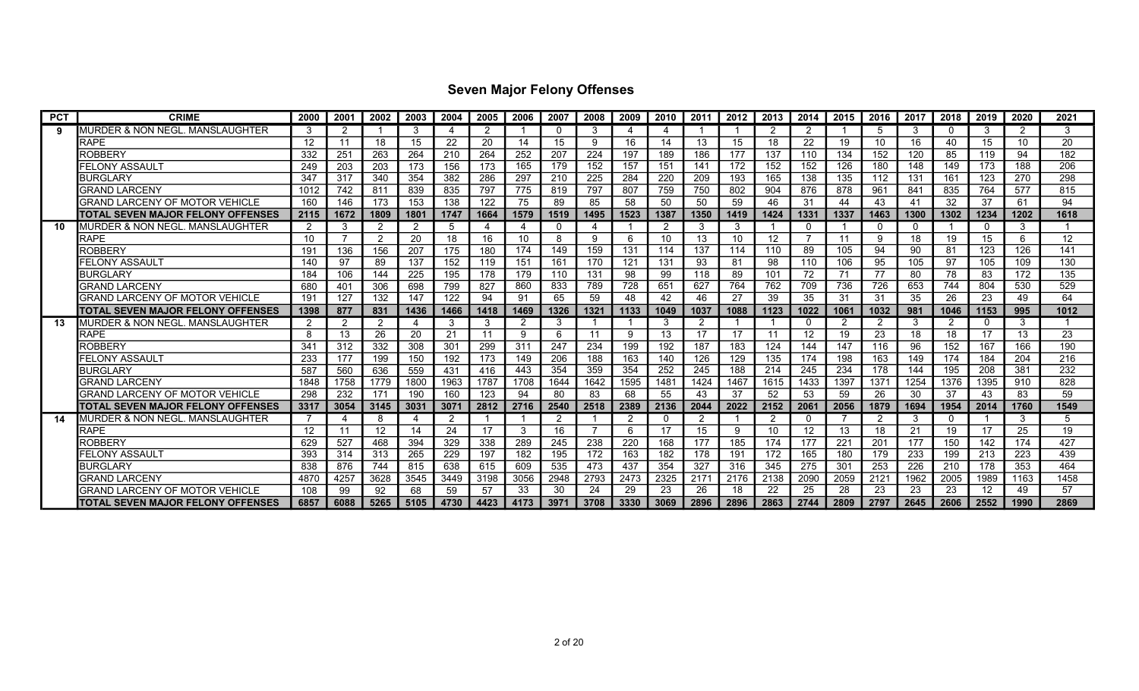| <b>PCT</b> | <b>CRIME</b>                               | 2000 | 2001           | 2002              | 2003       | 2004 | 2005 | 2006           | 2007 | 2008           | 2009 | 2010 | 2011 | 2012 | 2013 | 2014     | 2015 | 2016           | 2017 | 2018           | 2019              | 2020 | 2021 |
|------------|--------------------------------------------|------|----------------|-------------------|------------|------|------|----------------|------|----------------|------|------|------|------|------|----------|------|----------------|------|----------------|-------------------|------|------|
| 9          | MURDER & NON NEGL. MANSLAUGHTER            | 3    | 2              |                   | 3          | 4    | -2   |                |      | 3              | Δ    | 4    |      |      | -2   | -2       |      | 5              | 3    | $\Omega$       | 3                 | -2   | 3    |
|            | <b>RAPE</b>                                | 12   | 11             | 18                | 15         | 22   | 20   | 14             | 15   | 9              | 16   | 14   | 13   | 15   | 18   | 22       | 19   | 10             | 16   | 40             | 15                | 10   | 20   |
|            | <b>ROBBERY</b>                             | 332  | 251            | 263               | 264        | 210  | 264  | 252            | 207  | 224            | 197  | 189  | 186  | 177  | 137  | 110      | 134  | 152            | 120  | 85             | 119               | 94   | 182  |
|            | FELONY ASSAULT                             | 249  | 203            | 203               | 173        | 156  | 173  | 165            | 179  | 152            | 157  | 151  | 141  | 172  | 152  | 152      | 126  | 180            | 148  | 149            | 173               | 188  | 206  |
|            | <b>BURGLARY</b>                            | 347  | 317            | 340               | 354        | 382  | 286  | 297            | 210  | 225            | 284  | 220  | 209  | 193  | 165  | 138      | 135  | 112            | 131  | 161            | 123               | 270  | 298  |
|            | <b>GRAND LARCENY</b>                       | 1012 | 742            | 811               | 839        | 835  | 797  | 775            | 819  | 797            | 807  | 759  | 750  | 802  | 904  | 876      | 878  | 961            | 841  | 835            | 764               | 577  | 815  |
|            | <b>GRAND LARCENY OF MOTOR VEHICLE</b>      | 160  | 146            | 173               | 153        | 138  | 122  | 75             | 89   | 85             | 58   | 50   | 50   | 59   | 46   | 31       | 44   | 43             | 41   | 32             | 37                | 61   | 94   |
|            | ITOTAL SEVEN MAJOR FELONY OFFENSES         | 2115 | 1672           | 1809              | 1801       | 1747 | 1664 | 1579           | 1519 | 1495           | 1523 | 1387 | 1350 | 1419 | 1424 | 1331     | 1337 | 1463           | 1300 | 1302           | 1234              | 1202 | 1618 |
| 10         | IMURDER & NON NEGL. MANSLAUGHTER           | 2    | 3              | $\overline{2}$    | 2          | 5    |      | $\overline{4}$ |      | 4              |      | 2    | 3    | 3    |      | 0        |      | $\mathbf 0$    | 0    |                | $\Omega$          | 3    |      |
|            | <b>RAPE</b>                                | 10   | 7              | $\overline{2}$    | 20         | 18   | 16   | 10             |      | 9              | 6    | 10   | 13   | 10   | 12   |          | 11   | 9              | 18   | 19             | 15                | 6    | 12   |
|            | <b>ROBBERY</b>                             | 191  | 136            | 156               | 207        | 175  | 180  | 174            | 149  | 159            | 131  | 114  | 137  | 114  | 110  | 89       | 105  | 94             | 90   | 81             | 123               | 126  | 141  |
|            | FELONY ASSAULT                             | 140  | 97             | 89                | 137        | 152  | 119  | 151            | 161  | 170            | 121  | 131  | 93   | 81   | 98   | 110      | 106  | 95             | 105  | 97             | 105               | 109  | 130  |
|            | <b>BURGLARY</b>                            | 184  | 106            | 144               | 225        | 195  | 178  | 179            | 110  | 131            | 98   | 99   | 118  | 89   | 101  | 72       | 71   | 77             | 80   | 78             | 83                | 172  | 135  |
|            | <b>GRAND LARCENY</b>                       | 680  | 401            | 306               | 698        | 799  | 827  | 860            | 833  | 789            | 728  | 651  | 627  | 764  | 762  | 709      | 736  | 726            | 653  | 744            | 804               | 530  | 529  |
|            | GRAND LARCENY OF MOTOR VEHICLE             | 191  | 127            | 132               | 147        | 122  | 94   | 91             | 65   | 59             | 48   | 42   | 46   | 27   | 39   | 35       | 31   | 31             | 35   | 26             | 23                | 49   | 64   |
|            | ITOTAL SEVEN MAJOR FELONY OFFENSES         | 1398 | 877            | 831               | 1436       | 1466 | 1418 | 1469           | 1326 | 1321           | 1133 | 1049 | 1037 | 1088 | 1123 | 1022     | 1061 | 1032           | 981  | 1046           | 1153              | 995  | 1012 |
| 13         | IMURDER & NON NEGL. MANSLAUGHTER           | 2    | $\overline{2}$ | $\overline{2}$    | -4         | 3    | -3   | 2              | 3    |                |      | 3    |      |      |      | $\Omega$ | 2    | 2              | 3    | $\overline{2}$ | $\Omega$          | 3    |      |
|            | <b>RAPE</b>                                | 8    | 13             | 26                | 20         | 21   | 11   | 9              |      | 11             | 9    | 13   | 17   | 17   | 11   | 12       | 19   | 23             | 18   | 18             | 17                | 13   | 23   |
|            | <b>ROBBERY</b>                             | 341  | 312            | 332               | 308        | 301  | 299  | 311            | 247  | 234            | 199  | 192  | 187  | 183  | 124  | 144      | 147  | 116            | 96   | 152            | 167               | 166  | 190  |
|            | FELONY ASSAULT                             | 233  | 177            | 199               | 150        | 192  | 173  | 149            | 206  | 188            | 163  | 140  | 126  | 129  | 135  | 174      | 198  | 163            | 149  | 174            | 184               | 204  | 216  |
|            | <b>BURGLARY</b>                            | 587  | 560            | 636               | 559        | 431  | 416  | 443            | 354  | 359            | 354  | 252  | 245  | 188  | 214  | 245      | 234  | 178            | 144  | 195            | 208               | 381  | 232  |
|            | <b>GRAND LARCENY</b>                       | 1848 | 1758           | 1779              | 1800       | 1963 | 1787 | 1708           | 1644 | 1642           | 1595 | 1481 | 1424 | 1467 | 1615 | 1433     | 1397 | 137'           | 1254 | 1376           | 1395              | 910  | 828  |
|            | GRAND LARCENY OF MOTOR VEHICLE             | 298  | 232            | 171               | <b>190</b> | 160  | 123  | 94             | 80   | 83             | 68   | 55   | 43   | 37   | 52   | 53       | 59   | 26             | 30   | 37             | 43                | 83   | 59   |
|            | TOTAL SEVEN MAJOR FELONY OFFENSES          | 3317 | 3054           | 3145              | 3031       | 3071 | 2812 | 2716           | 2540 | 2518           | 2389 | 2136 | 2044 | 2022 | 2152 | 2061     | 2056 | 1879           | 1694 | 1954           | 2014              | 1760 | 1549 |
| 14         | <b>MURDER &amp; NON NEGL. MANSLAUGHTER</b> |      | $\Delta$       | 8                 |            | 2    |      |                | 2    |                | 2    | 0    |      |      |      | 0        |      | $\overline{2}$ | 3    | $\mathbf 0$    |                   | 3    | 5    |
|            | <b>RAPE</b>                                | 12   | 11             | $12 \overline{ }$ | 14         | 24   | 17   | 3              | 16   | $\overline{7}$ | 6    | 17   | 15   | 9    | 10   | 12       | 13   | 18             | 21   | 19             | 17                | 25   | 19   |
|            | ROBBERY                                    | 629  | 527            | 468               | 394        | 329  | 338  | 289            | 245  | 238            | 220  | 168  | 177  | 185  | 174  | 177      | 221  | 201            | 177  | 150            | 142               | 174  | 427  |
|            | FELONY ASSAUL1                             | 393  | 314            | 313               | 265        | 229  | 197  | 182            | 195  | 172            | 163  | 182  | 178  | 191  | 172  | 165      | 180  | 179            | 233  | 199            | 213               | 223  | 439  |
|            | <b>BURGLARY</b>                            | 838  | 876            | 744               | 815        | 638  | 615  | 609            | 535  | 473            | 437  | 354  | 327  | 316  | 345  | 275      | 301  | 253            | 226  | 210            | 178               | 353  | 464  |
|            | <b>GRAND LARCENY</b>                       | 4870 | 4257           | 3628              | 3545       | 3449 | 3198 | 3056           | 2948 | 2793           | 2473 | 2325 | 2171 | 2176 | 2138 | 2090     | 2059 | 212'           | 1962 | 2005           | 1989              | 1163 | 1458 |
|            | GRAND LARCENY OF MOTOR VEHICLE             | 108  | 99             | 92                | 68         | 59   | 57   | 33             | 30   | 24             | 29   | 23   | 26   | 18   | 22   | 25       | 28   | 23             | 23   | 23             | $12 \overline{ }$ | 49   | 57   |
|            | ITOTAL SEVEN MAJOR FELONY OFFENSES         | 6857 | 6088           | 5265              | 5105       | 4730 | 4423 | 4173           | 3971 | 3708           | 3330 | 3069 | 2896 | 2896 | 2863 | 2744     | 2809 | 2797           | 2645 | 2606           | 2552              | 1990 | 2869 |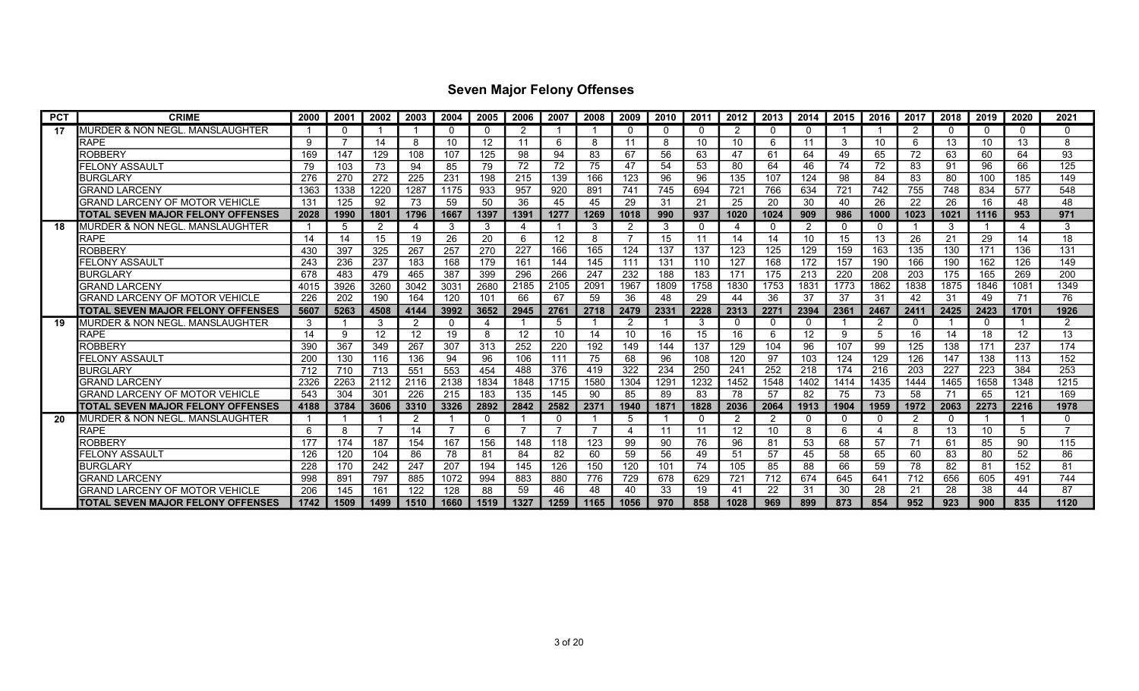| <b>PCT</b> | <b>CRIME</b>                             | 2000 | 2001 | 2002           | 2003 | 2004           | 2005 | 2006           | 2007                     | 2008 | 2009     | 2010        | 2011 | 2012 | 2013     | 2014        | 2015 | 2016           | 2017 | 2018 | 2019     | 2020     | 2021         |
|------------|------------------------------------------|------|------|----------------|------|----------------|------|----------------|--------------------------|------|----------|-------------|------|------|----------|-------------|------|----------------|------|------|----------|----------|--------------|
| 17         | MURDER & NON NEGL. MANSLAUGHTER          |      | 0    |                |      |                | റ    | 2              |                          |      | $\Omega$ | $\mathbf 0$ |      | 2    | $\Omega$ | 0           |      |                | 2    | 0    | $\Omega$ | $\Omega$ | 0            |
|            | RAPE                                     | 9    |      | 14             | 8    | 10             | 12   | 11             | 6                        | 8    | -11      | 8           | 10   | 10   | 6        | 11          | 3    | 10             | 6    | 13   | 10       | 13       | 8            |
|            | <b>ROBBERY</b>                           | 169  | 147  | 129            | 108  | 107            | 125  | 98             | 94                       | 83   | 67       | 56          | 63   | 47   | 61       | 64          | 49   | 65             | 72   | 63   | 60       | 64       | 93           |
|            | FELONY ASSAULT                           | 79   | 103  | 73             | 94   | 85             | 79   | 72             | 72                       | 75   | 47       | 54          | 53   | 80   | 64       | 46          | 74   | 72             | 83   | 91   | 96       | 66       | 125          |
|            | <b>BURGLARY</b>                          | 276  | 270  | 272            | 225  | 231            | 198  | 215            | 139                      | 166  | 123      | 96          | 96   | 135  | 107      | 124         | 98   | 84             | 83   | 80   | 100      | 185      | 149          |
|            | <b>GRAND LARCENY</b>                     | 1363 | 1338 | 1220           | 1287 | 1175           | 933  | 957            | 920                      | 891  | 741      | 745         | 694  | 721  | 766      | 634         | 721  | 742            | 755  | 748  | 834      | 577      | 548          |
|            | GRAND LARCENY OF MOTOR VEHICLE           | 131  | 125  | 92             | 73   | 59             | 50   | 36             | 45                       | 45   | 29       | 31          | 21   | 25   | 20       | 30          | 40   | 26             | 22   | 26   | 16       | 48       | 48           |
|            | TOTAL SEVEN MAJOR FELONY OFFENSES        | 2028 | 1990 | 1801           | 1796 | 1667           | 1397 | 1391           | 1277                     | 1269 | 1018     | 990         | 937  | 1020 | 1024     | 909         | 986  | 1000           | 1023 | 1021 | 1116     | 953      | 971          |
| 18         | IMURDER & NON NEGL. MANSLAUGHTER         |      | 5    | $\overline{2}$ | 4    | 3              | 3    | 4              |                          | 3    | 2        | 3           |      | 4    | $\Omega$ | -2          | 0    | $\mathbf 0$    |      | 3    |          | 4        | 3            |
|            | <b>RAPE</b>                              | 14   | 14   | 15             | 19   | 26             | 20   | 6              | 12                       | 8    |          | 15          |      | 14   | 14       | 10          | 15   | 13             | 26   | 21   | 29       | 14       | 18           |
|            | <b>ROBBERY</b>                           | 430  | 397  | 325            | 267  | 257            | 270  | 227            | 166                      | 165  | 124      | 137         | 137  | 123  | 125      | 129         | 159  | 163            | 135  | 130  | 171      | 136      | 131          |
|            | FELONY ASSAULT                           | 243  | 236  | 237            | 183  | 168            | 179  | 161            | 144                      | 145  | 111      | 131         | 110  | 127  | 168      | 172         | 157  | 190            | 166  | 190  | 162      | 126      | 149          |
|            | <b>BURGLARY</b>                          | 678  | 483  | 479            | 465  | 387            | 399  | 296            | 266                      | 247  | 232      | 188         | 183  | 171  | 175      | 213         | 220  | 208            | 203  | 175  | 165      | 269      | 200          |
|            | <b>GRAND LARCENY</b>                     | 4015 | 3926 | 3260           | 3042 | 3031           | 2680 | 2185           | 2105                     | 2091 | 1967     | 1809        | 1758 | 1830 | 1753     | 1831        | 1773 | 1862           | 1838 | 1875 | 1846     | 1081     | 1349         |
|            | GRAND LARCENY OF MOTOR VEHICLE           | 226  | 202  | 190            | 164  | 120            | 101  | 66             | 67                       | 59   | 36       | 48          | 29   | 44   | 36       | 37          | 37   | 31             | 42   | 31   | 49       | 71       | 76           |
|            | TOTAL SEVEN MAJOR FELONY OFFENSES        | 5607 | 5263 | 4508           | 4144 | 3992           | 3652 | 2945           | 2761                     | 2718 | 2479     | 2331        | 2228 | 2313 | 2271     | 2394        | 2361 | 2467           | 2411 | 2425 | 2423     | 1701     | 1926         |
| 19         | MURDER & NON NEGL. MANSLAUGHTER          | 3    |      | 3              | 2    | $\Omega$       | 4    |                | 5                        |      | 2        |             | 3    | 0    | $\Omega$ | $\mathbf 0$ |      | $\overline{2}$ | 0    |      | $\Omega$ |          | っ            |
|            | <b>RAPE</b>                              | 14   | -9   | 12             | 12   | 19             | 8    | 12             | 10                       | 14   | 10       | 16          | 15   | 16   | 6        | 12          | 9    | 5              | 16   | 14   | 18       | 12       | 13           |
|            | ROBBERY                                  | 390  | 367  | 349            | 267  | 307            | 313  | 252            | 220                      | 192  | 149      | 144         | 137  | 129  | 104      | 96          | 107  | 99             | 125  | 138  | 171      | 237      | 174          |
|            | FELONY ASSAULT                           | 200  | 130  | 116            | 136  | 94             | 96   | 106            | 111                      | 75   | 68       | 96          | 108  | 120  | 97       | 103         | 124  | 129            | 126  | 147  | 138      | 113      | 152          |
|            | <b>BURGLARY</b>                          | 712  | 710  | 713            | 551  | 553            | 454  | 488            | 376                      | 419  | 322      | 234         | 250  | 241  | 252      | 218         | 174  | 216            | 203  | 227  | 223      | 384      | 253          |
|            | <b>GRAND LARCENY</b>                     | 2326 | 2263 | 2112           | 2116 | 2138           | 1834 | 1848           | 1715                     | 1580 | 1304     | 1291        | 1232 | 1452 | 1548     | 1402        | 1414 | 1435           | 1444 | 1465 | 1658     | 1348     | 1215         |
|            | GRAND LARCENY OF MOTOR VEHICLE           | 543  | 304  | 301            | 226  | 215            | 183  | 135            | 145                      | 90   | 85       | 89          | 83   | 78   | 57       | 82          | 75   | 73             | 58   | 71   | 65       | 121      | 169          |
|            | TOTAL SEVEN MAJOR FELONY OFFENSES        | 4188 | 3784 | 3606           | 3310 | 3326           | 2892 | 2842           | 2582                     | 2371 | 1940     | 1871        | 1828 | 2036 | 2064     | 1913        | 1904 | 1959           | 1972 | 2063 | 2273     | 2216     | 1978         |
| 20         | MURDER & NON NEGL. MANSLAUGHTER          |      |      |                | 2    |                | 0    |                |                          |      | 5        |             |      | 2    | 2        | $\mathbf 0$ |      | 0              | 2    | 0    |          |          | <sup>0</sup> |
|            | <b>RAPE</b>                              | 6    | 8    | 7              | 14   | $\overline{7}$ | -6   | $\overline{7}$ | $\overline{\phantom{a}}$ | 7    |          | 11          | 11   | 12   | 10       | -8          | 6    | 4              | 8    | 13   | 10       | .5       |              |
|            | ROBBERY                                  | 177  | 174  | 187            | 154  | 167            | 156  | 148            | 118                      | 123  | 99       | 90          | 76   | 96   | 81       | 53          | 68   | 57             | 71   | 61   | 85       | 90       | 115          |
|            | FELONY ASSAULT                           | 126  | 120  | 104            | 86   | 78             | 81   | 84             | 82                       | 60   | 59       | 56          | 49   | 51   | 57       | 45          | 58   | 65             | 60   | 83   | 80       | 52       | 86           |
|            | <b>BURGLARY</b>                          | 228  | 170  | 242            | 247  | 207            | 194  | 145            | 126                      | 150  | 120      | 101         | 74   | 105  | 85       | 88          | 66   | 59             | 78   | 82   | 81       | 152      | 81           |
|            | <b>GRAND LARCENY</b>                     | 998  | 891  | 797            | 885  | 1072           | 994  | 883            | 880                      | 776  | 729      | 678         | 629  | 721  | 712      | 674         | 645  | 641            | 712  | 656  | 605      | 491      | 744          |
|            | <b>GRAND LARCENY OF MOTOR VEHICLE</b>    | 206  | 145  | 161            | 122  | 128            | 88   | 59             | 46                       | 48   | 40       | 33          | 19   | 41   | 22       | 31          | 30   | 28             | 21   | 28   | 38       | 44       | 87           |
|            | <b>TOTAL SEVEN MAJOR FELONY OFFENSES</b> | 1742 | 1509 | 1499           | 1510 | 1660           | 1519 | 1327           | 1259                     | 1165 | 1056     | 970         | 858  | 1028 | 969      | 899         | 873  | 854            | 952  | 923  | 900      | 835      | 1120         |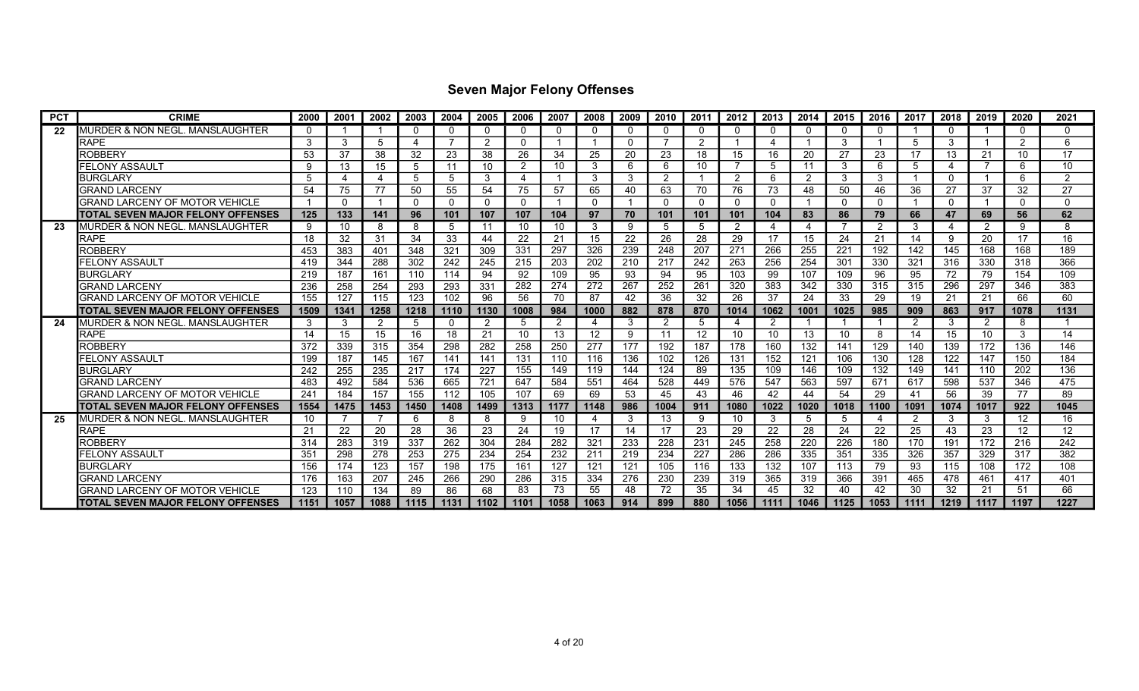| <b>PCT</b> | <b>CRIME</b>                             | 2000 | 2001     | 2002 | 2003     | 2004           | 2005     | 2006     | 2007 | 2008     | 2009         | 2010     | 2011            | 2012           | 2013     | 2014           | 2015         | 2016           | 2017 | 2018         | 2019           | 2020          | 2021         |
|------------|------------------------------------------|------|----------|------|----------|----------------|----------|----------|------|----------|--------------|----------|-----------------|----------------|----------|----------------|--------------|----------------|------|--------------|----------------|---------------|--------------|
| 22         | MURDER & NON NEGL. MANSLAUGHTER          |      |          |      | $\Omega$ |                | $\Omega$ | $\Omega$ |      | $\Omega$ | <sup>0</sup> | $\Omega$ |                 | $\Omega$       | $\Omega$ | $\Omega$       |              | $\Omega$       |      | $\Omega$     |                | $\Omega$      | <sup>0</sup> |
|            | <b>RAPE</b>                              | 3    | 3        | 5    | 4        | $\overline{ }$ | 2        | $\Omega$ |      |          | <sup>0</sup> |          | $\mathcal{P}$   |                |          |                | 3            |                | 5    | 3            |                | $\mathcal{P}$ | 6            |
|            | <b>ROBBERY</b>                           | 53   | 37       | 38   | 32       | 23             | 38       | 26       | 34   | 25       | 20           | 23       | 18              | 15             | 16       | 20             | 27           | 23             | 17   | 13           | 21             | 10            | 17           |
|            | FELONY ASSAULT                           | g    | 13       | 15   | 5        | 11             | 10       | 2        | 10   | 3        | 6            | 6        | 10              | -7             | 5        | 11             | 3            | 6              | 5    | 4            | $\overline{7}$ | 6             | 10           |
|            | <b>BURGLARY</b>                          | 5    | Δ        | Δ    | 5        | .5             | 3        | 4        |      | 3        | 3            | 2        |                 | 2              | 6        | $\overline{2}$ | 3            | 3              |      | $\mathbf{0}$ |                | 6             | C            |
|            | <b>GRAND LARCENY</b>                     | 54   | 75       | 77   | 50       | 55             | 54       | 75       | 57   | 65       | 40           | 63       | 70              | 76             | 73       | 48             | 50           | 46             | 36   | 27           | 37             | 32            | 27           |
|            | <b>GRAND LARCENY OF MOTOR VEHICLE</b>    |      | $\Omega$ |      | $\Omega$ | $\Omega$       | $\Omega$ | $\Omega$ |      | $\Omega$ |              | $\Omega$ |                 | $\Omega$       | $\Omega$ |                | <sup>n</sup> | $\Omega$       |      | $\Omega$     |                | $\Omega$      | $\Omega$     |
|            | <b>TOTAL SEVEN MAJOR FELONY OFFENSES</b> | 125  | 133      | 141  | 96       | 101            | 107      | 107      | 104  | 97       | 70           | 101      | 101             | 101            | 104      | 83             | 86           | 79             | 66   | 47           | 69             | 56            | 62           |
| 23         | IMURDER & NON NEGL. MANSLAUGHTER         | 9    | 10       | 8    | 8        | 5              | 11       | 10       | 10   | 3        | 9            | 5        | 5               | $\overline{2}$ |          | -4             |              | $\overline{2}$ | 3    | Δ            | 2              | 9             | 8            |
|            | <b>RAPE</b>                              | 18   | 32       | 31   | 34       | 33             | 44       | 22       | 21   | 15       | 22           | 26       | 28              | 29             | 17       | 15             | 24           | 21             | 14   | 9            | 20             | 17            | 16           |
|            | ROBBERY                                  | 453  | 383      | 401  | 348      | 321            | 309      | 331      | 297  | 326      | 239          | 248      | 207             | 271            | 266      | 255            | 221          | 192            | 142  | 145          | 168            | 168           | 189          |
|            | FELONY ASSAULT                           | 419  | 344      | 288  | 302      | 242            | 245      | 215      | 203  | 202      | 210          | 217      | 242             | 263            | 256      | 254            | 301          | 330            | 321  | 316          | 330            | 318           | 366          |
|            | <b>BURGLARY</b>                          | 219  | 187      | 161  | 110      | 114            | 94       | 92       | 109  | 95       | 93           | 94       | 95              | 103            | 99       | 107            | 109          | 96             | 95   | 72           | 79             | 154           | 109          |
|            | <b>GRAND LARCENY</b>                     | 236  | 258      | 254  | 293      | 293            | 331      | 282      | 274  | 272      | 267          | 252      | 261             | 320            | 383      | 342            | 330          | 315            | 315  | 296          | 297            | 346           | 383          |
|            | <b>GRAND LARCENY OF MOTOR VEHICLE</b>    | 155  | 127      | 115  | 123      | 102            | 96       | 56       | 70   | 87       | 42           | 36       | 32              | 26             | 37       | 24             | 33           | 29             | 19   | 21           | 21             | 66            | 60           |
|            | TOTAL SEVEN MAJOR FELONY OFFENSES        | 1509 | 1341     | 1258 | 1218     | 1110           | 1130     | 1008     | 984  | 1000     | 882          | 878      | 870             | 1014           | 1062     | 1001           | 1025         | 985            | 909  | 863          | 917            | 1078          | 1131         |
| 24         | IMURDER & NON NEGL. MANSLAUGHTER         | 3    | 3        | 2    | 5        | $\Omega$       | 2        | 5        | 2    | 4        | 3            | 2        | 5               | 4              | -2       |                |              |                | 2    | 3            | 2              | 8             |              |
|            | <b>RAPE</b>                              | 14   | 15       | 15   | 16       | 18             | 21       | 10       | 13   | 12       | 9            | 11       | 12 <sup>°</sup> | 10             | 10       | 13             | 10           | 8              | 14   | 15           | 10             | 3             | 14           |
|            | ROBBERY                                  | 372  | 339      | 315  | 354      | 298            | 282      | 258      | 250  | 277      | 177          | 192      | 187             | 178            | 160      | 132            | 141          | 129            | 140  | 139          | 172            | 136           | 146          |
|            | FELONY ASSAULT                           | 199  | 187      | 145  | 167      | 141            | 141      | 131      | 110  | 116      | 136          | 102      | 126             | 131            | 152      | 121            | 106          | 130            | 128  | 122          | 147            | 150           | 184          |
|            | <b>BURGLARY</b>                          | 242  | 255      | 235  | 217      | 174            | 227      | 155      | 149  | 119      | 144          | 124      | 89              | 135            | 109      | 146            | 109          | 132            | 149  | 141          | 110            | 202           | 136          |
|            | <b>GRAND LARCENY</b>                     | 483  | 492      | 584  | 536      | 665            | 721      | 647      | 584  | 551      | 464          | 528      | 449             | 576            | 547      | 563            | 597          | 671            | 617  | 598          | 537            | 346           | 475          |
|            | GRAND LARCENY OF MOTOR VEHICLE           | 241  | 184      | 157  | 155      | 112            | 105      | 107      | 69   | 69       | 53           | 45       | 43              | 46             | 42       | 44             | 54           | 29             | 41   | 56           | 39             | 77            | 89           |
|            | TOTAL SEVEN MAJOR FELONY OFFENSES        | 1554 | 1475     | 1453 | 1450     | 1408           | 1499     | 1313     | 1177 | 1148     | 986          | 1004     | 911             | 1080           | 1022     | 1020           | 1018         | 1100           | 1091 | 1074         | 1017           | 922           | 1045         |
| 25         | MURDER & NON NEGL. MANSLAUGHTER          | 10   |          |      | 6        | 8              | -8       | 9        | 10   | 4        | 3            | 13       |                 | 10             | 3        | 5              | 5            | 4              | 2    | 3            | 3              | $12 \,$       | 16           |
|            | <b>RAPE</b>                              | 21   | 22       | 20   | 28       | 36             | 23       | 24       | 19   | 17       | 14           | 17       | 23              | 29             | 22       | 28             | 24           | 22             | 25   | 43           | 23             | 12            | 12           |
|            | ROBBERY                                  | 314  | 283      | 319  | 337      | 262            | 304      | 284      | 282  | 321      | 233          | 228      | 231             | 245            | 258      | 220            | 226          | 180            | 170  | 191          | 172            | 216           | 242          |
|            | FELONY ASSAULT                           | 351  | 298      | 278  | 253      | 275            | 234      | 254      | 232  | 211      | 219          | 234      | 227             | 286            | 286      | 335            | 351          | 335            | 326  | 357          | 329            | 317           | 382          |
|            | <b>BURGLARY</b>                          | 156  | 174      | 123  | 157      | 198            | 175      | 161      | 127  | 121      | 121          | 105      | 116             | 133            | 132      | 107            | 113          | 79             | 93   | 115          | 108            | 172           | 108          |
|            | <b>GRAND LARCENY</b>                     | 176  | 163      | 207  | 245      | 266            | 290      | 286      | 315  | 334      | 276          | 230      | 239             | 319            | 365      | 319            | 366          | 391            | 465  | 478          | 461            | 417           | 401          |
|            | GRAND LARCENY OF MOTOR VEHICLE           | 123  | 110      | 134  | 89       | 86             | 68       | 83       | 73   | 55       | 48           | 72       | 35              | 34             | 45       | 32             | 40           | 42             | 30   | 32           | 21             | 51            | 66           |
|            | <b>TOTAL SEVEN MAJOR FELONY OFFENSES</b> | 1151 | 1057     | 1088 | 1115     | 1131           | 1102     | 1101     | 1058 | 1063     | 914          | 899      | 880             | 1056           | 1111     | 1046           | 1125         | 1053           | 1111 | 1219         | 1117           | 1197          | 1227         |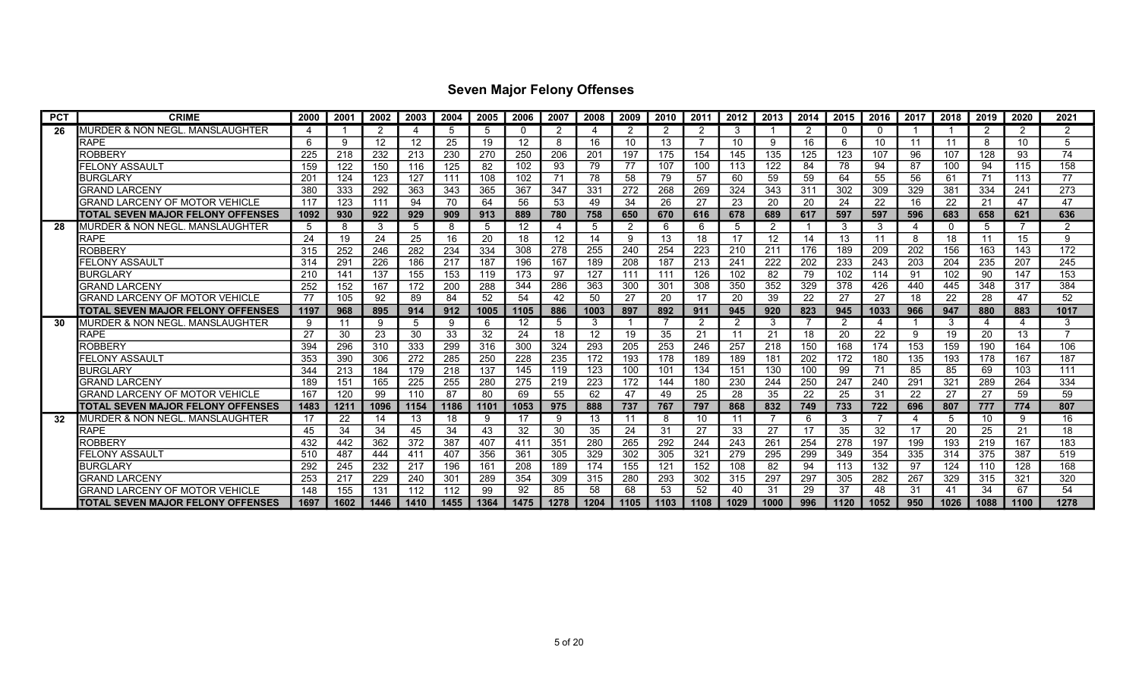| <b>PCT</b> | <b>CRIME</b>                             | 2000 | 2001 | 2002              | 2003 | 2004 | 2005 | 2006              | 2007 | 2008 | 2009 | 2010 | 2011 | 2012           | 2013           | 2014 | 2015 | 2016        | 2017 | 2018 | 2019           | 2020 | 2021          |
|------------|------------------------------------------|------|------|-------------------|------|------|------|-------------------|------|------|------|------|------|----------------|----------------|------|------|-------------|------|------|----------------|------|---------------|
| 26         | MURDER & NON NEGL. MANSLAUGHTER          | Δ    |      | 2                 | Δ    | .5   | .5   | 0                 | 2    | 4    | 2    | 2    |      | 3              |                | -2   |      | $\mathbf 0$ |      |      | -2             | 2    | $\mathcal{P}$ |
|            | <b>RAPE</b>                              | 6    | 9    | $12 \overline{ }$ | 12   | 25   | 19   | 12                | 8    | 16   | 10   | 13   |      | 10             | ٩              | 16   | 6    | 10          | 11   | 11   | 8              | 10   | 5             |
|            | <b>ROBBERY</b>                           | 225  | 218  | 232               | 213  | 230  | 270  | 250               | 206  | 201  | 197  | 175  | 154  | 145            | 135            | 125  | 123  | 107         | 96   | 107  | 128            | 93   | 74            |
|            | FELONY ASSAULT                           | 159  | 122  | 150               | 116  | 125  | 82   | 102               | 93   | 79   | 77   | 107  | 100  | 113            | 122            | 84   | 78   | 94          | 87   | 100  | 94             | 115  | 158           |
|            | <b>BURGLARY</b>                          | 201  | 124  | 123               | 127  | 111  | 108  | 102               | 71   | 78   | 58   | 79   | 57   | 60             | 59             | 59   | 64   | 55          | 56   | 61   | 71             | 113  | 77            |
|            | GRAND LARCENY                            | 380  | 333  | 292               | 363  | 343  | 365  | 367               | 347  | 331  | 272  | 268  | 269  | 324            | 343            | 311  | 302  | 309         | 329  | 381  | 334            | 241  | 273           |
|            | <b>GRAND LARCENY OF MOTOR VEHICLE</b>    | 117  | 123  | 111               | 94   | 70   | 64   | 56                | 53   | 49   | 34   | 26   | 27   | 23             | 20             | 20   | 24   | 22          | 16   | 22   | 21             | 47   | 47            |
|            | TOTAL SEVEN MAJOR FELONY OFFENSES        | 1092 | 930  | 922               | 929  | 909  | 913  | 889               | 780  | 758  | 650  | 670  | 616  | 678            | 689            | 617  | 597  | 597         | 596  | 683  | 658            | 621  | 636           |
| 28         | IMURDER & NON NEGL. MANSLAUGHTER         | 5    | 8    | 3                 | 5    | 8    | 5    | $12 \overline{ }$ | 4    | 5    | 2    | 6    | 6    | 5              | $\overline{2}$ |      | 3    | 3           | 4    | 0    | 5              |      | $\mathcal{P}$ |
|            | <b>RAPE</b>                              | 24   | 19   | 24                | 25   | 16   | 20   | 18                | 12   | 14   | 9    | 13   | 18   | 17             | 12             | 14   | 13   | 11          | 8    | 18   | 11             | 15   | g             |
|            | ROBBERY                                  | 315  | 252  | 246               | 282  | 234  | 334  | 308               | 278  | 255  | 240  | 254  | 223  | 210            | 211            | 176  | 189  | 209         | 202  | 156  | 163            | 143  | 172           |
|            | FELONY ASSAULT                           | 314  | 291  | 226               | 186  | 217  | 187  | 196               | 167  | 189  | 208  | 187  | 213  | 241            | 222            | 202  | 233  | 243         | 203  | 204  | 235            | 207  | 245           |
|            | <b>BURGLARY</b>                          | 210  | 141  | 137               | 155  | 153  | 119  | 173               | 97   | 127  | 111  | 111  | 126  | 102            | 82             | 79   | 102  | 114         | 91   | 102  | 90             | 147  | 153           |
|            | <b>GRAND LARCENY</b>                     | 252  | 152  | 167               | 172  | 200  | 288  | 344               | 286  | 363  | 300  | 301  | 308  | 350            | 352            | 329  | 378  | 426         | 440  | 445  | 348            | 317  | 384           |
|            | GRAND LARCENY OF MOTOR VEHICLE           | 77   | 105  | 92                | 89   | 84   | 52   | 54                | 42   | 50   | 27   | 20   | 17   | 20             | 39             | 22   | 27   | 27          | 18   | 22   | 28             | 47   | 52            |
|            | TOTAL SEVEN MAJOR FELONY OFFENSES        | 1197 | 968  | 895               | 914  | 912  | 1005 | 1105              | 886  | 1003 | 897  | 892  | 911  | 945            | 920            | 823  | 945  | 1033        | 966  | 947  | 880            | 883  | 1017          |
| 30         | MURDER & NON NEGL. MANSLAUGHTER          | 9    | 11   | 9                 | 5    | 9    | 6    | 12                | 5    | 3    |      |      |      | $\overline{2}$ | 3              |      | 2    | 4           |      | 3    | $\overline{4}$ | 4    | 3             |
|            | <b>RAPE</b>                              | 27   | 30   | 23                | 30   | 33   | 32   | 24                | 18   | 12   | 19   | 35   | 21   | 11             | 21             | 18   | 20   | 22          | 9    | 19   | 20             | 13   |               |
|            | <b>ROBBERY</b>                           | 394  | 296  | 310               | 333  | 299  | 316  | 300               | 324  | 293  | 205  | 253  | 246  | 257            | 218            | 150  | 168  | 174         | 153  | 159  | 190            | 164  | 106           |
|            | FELONY ASSAULT                           | 353  | 390  | 306               | 272  | 285  | 250  | 228               | 235  | 172  | 193  | 178  | 189  | 189            | 181            | 202  | 172  | 180         | 135  | 193  | 178            | 167  | 187           |
|            | <b>BURGLARY</b>                          | 344  | 213  | 184               | 179  | 218  | 137  | 145               | 119  | 123  | 100  | 101  | 134  | 151            | 130            | 100  | 99   | 71          | 85   | 85   | 69             | 103  | 111           |
|            | <b>GRAND LARCENY</b>                     | 189  | 151  | 165               | 225  | 255  | 280  | 275               | 219  | 223  | 172  | 144  | 180  | 230            | 244            | 250  | 247  | 240         | 291  | 321  | 289            | 264  | 334           |
|            | GRAND LARCENY OF MOTOR VEHICLE           | 167  | 120  | 99                | 110  | 87   | 80   | 69                | 55   | 62   | 47   | 49   | 25   | 28             | 35             | 22   | 25   | 31          | 22   | 27   | 27             | 59   | 59            |
|            | TOTAL SEVEN MAJOR FELONY OFFENSES        | 1483 | 1211 | 1096              | 1154 | 1186 | 1101 | 1053              | 975  | 888  | 737  | 767  | 797  | 868            | 832            | 749  | 733  | 722         | 696  | 807  | 777            | 774  | 807           |
| 32         | MURDER & NON NEGL. MANSLAUGHTER          | 17   | 22   | 14                | 13   | 18   | -9   | 17                |      | 13   | -11  | 8    | 10   | 11             |                | 6    | 3    |             | 4    | 5    | 10             | 9    | 16            |
|            | <b>RAPE</b>                              | 45   | 34   | 34                | 45   | 34   | 43   | 32                | 30   | 35   | 24   | 31   | 27   | 33             | 27             | 17   | 35   | 32          | 17   | 20   | 25             | 21   | 18            |
|            | <b>ROBBERY</b>                           | 432  | 442  | 362               | 372  | 387  | 407  | 411               | 351  | 280  | 265  | 292  | 244  | 243            | 261            | 254  | 278  | 197         | 199  | 193  | 219            | 167  | 183           |
|            | FELONY ASSAULT                           | 510  | 487  | 444               | 411  | 407  | 356  | 361               | 305  | 329  | 302  | 305  | 321  | 279            | 295            | 299  | 349  | 354         | 335  | 314  | 375            | 387  | 519           |
|            | <b>BURGLARY</b>                          | 292  | 245  | 232               | 217  | 196  | 161  | 208               | 189  | 174  | 155  | 121  | 152  | 108            | 82             | 94   | 113  | 132         | 97   | 124  | 110            | 128  | 168           |
|            | <b>GRAND LARCENY</b>                     | 253  | 217  | 229               | 240  | 301  | 289  | 354               | 309  | 315  | 280  | 293  | 302  | 315            | 297            | 297  | 305  | 282         | 267  | 329  | 315            | 321  | 320           |
|            | GRAND LARCENY OF MOTOR VEHICLE           | 148  | 155  | 131               | 112  | 112  | 99   | 92                | 85   | 58   | 68   | 53   | 52   | 40             | 31             | 29   | 37   | 48          | 31   | 41   | 34             | 67   | 54            |
|            | <b>TOTAL SEVEN MAJOR FELONY OFFENSES</b> | 1697 | 1602 | 1446              | 1410 | 1455 | 1364 | 1475              | 1278 | 1204 | 1105 | 1103 | 1108 | 1029           | 1000           | 996  | 1120 | 1052        | 950  | 1026 | 1088           | 1100 | 1278          |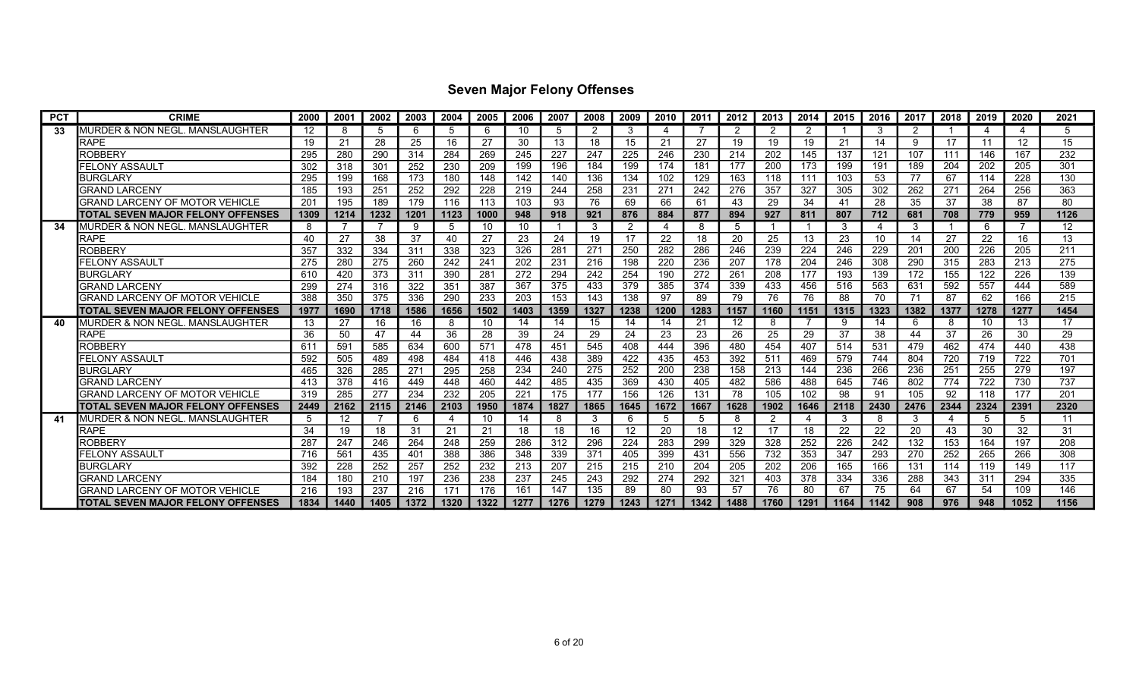| <b>PCT</b> | <b>CRIME</b>                               | 2000 | 2001 | 2002 | 2003 | 2004 | 2005            | 2006 | 2007 | 2008 | 2009 | 2010 | 2011 | 2012 | 2013 | 2014 | 2015 | 2016 | 2017 | 2018 | 2019 | 2020                      | 2021 |
|------------|--------------------------------------------|------|------|------|------|------|-----------------|------|------|------|------|------|------|------|------|------|------|------|------|------|------|---------------------------|------|
| 33         | <b>MURDER &amp; NON NEGL. MANSLAUGHTER</b> | 12   | 8    | 5    | 6    | 5    | -6              | 10   | 5    | 2    | 3    | 4    |      | 2    | 2    | -2   |      | 3    | 2    |      | Δ    | $\boldsymbol{\varLambda}$ | 5    |
|            | RAPE                                       | 19   | 21   | 28   | 25   | 16   | -27             | 30   | 13   | 18   | 15   | 21   | 27   | 19   | 19   | 19   | 21   | 14   | 9    | -17  | 11   | 12                        | 15   |
|            | ROBBERY                                    | 295  | 280  | 290  | 314  | 284  | 269             | 245  | 227  | 247  | 225  | 246  | 230  | 214  | 202  | 145  | 137  | 121  | 107  | 111  | 146  | 167                       | 232  |
|            | <b>FELONY ASSAULT</b>                      | 302  | 318  | 301  | 252  | 230  | 209             | 199  | 196  | 184  | 199  | 174  | 181  | 177  | 200  | 173  | 199  | 191  | 189  | 204  | 202  | 205                       | 301  |
|            | <b>BURGLARY</b>                            | 295  | 199  | 168  | 173  | 180  | 148             | 142  | 140  | 136  | 134  | 102  | 129  | 163  | 118  | 111  | 103  | 53   | 77   | 67   | 114  | 228                       | 130  |
|            | <b>GRAND LARCENY</b>                       | 185  | 193  | 251  | 252  | 292  | 228             | 219  | 244  | 258  | 231  | 271  | 242  | 276  | 357  | 327  | 305  | 302  | 262  | 271  | 264  | 256                       | 363  |
|            | GRAND LARCENY OF MOTOR VEHICLE             | 201  | 195  | 189  | 179  | 116  | 113             | 103  | 93   | 76   | 69   | 66   | 61   | 43   | 29   | 34   | 41   | 28   | 35   | 37   | 38   | 87                        | 80   |
|            | <b>TOTAL SEVEN MAJOR FELONY OFFENSES</b>   | 1309 | 1214 | 1232 | 1201 | 1123 | 1000            | 948  | 918  | 921  | 876  | 884  | 877  | 894  | 927  | 811  | 807  | 712  | 681  | 708  | 779  | 959                       | 1126 |
| 34         | <b>I</b> MURDER & NON NEGL. MANSLAUGHTER   | 8    |      |      | -9   | 5    | 10              | 10   |      | 3    | 2    | 4    |      | 5    |      |      | 3    | 4    | 3    |      | 6    |                           | 12   |
|            | <b>RAPE</b>                                | 40   | 27   | 38   | 37   | 40   | 27              | 23   | 24   | 19   | 17   | 22   | 18   | 20   | 25   | 13   | 23   | 10   | 14   | 27   | 22   | 16                        | 13   |
|            | ROBBERY                                    | 357  | 332  | 334  | 311  | 338  | 323             | 326  | 281  | 271  | 250  | 282  | 286  | 246  | 239  | 224  | 246  | 229  | 201  | 200  | 226  | 205                       | 211  |
|            | FELONY ASSAULT                             | 275  | 280  | 275  | 260  | 242  | 24 <sup>°</sup> | 202  | 231  | 216  | 198  | 220  | 236  | 207  | 178  | 204  | 246  | 308  | 290  | 315  | 283  | 213                       | 275  |
|            | <b>BURGLARY</b>                            | 610  | 420  | 373  | 311  | 390  | 28 <sup>2</sup> | 272  | 294  | 242  | 254  | 190  | 272  | 261  | 208  | 177  | 193  | 139  | 172  | 155  | 122  | 226                       | 139  |
|            | <b>GRAND LARCENY</b>                       | 299  | 274  | 316  | 322  | 351  | 387             | 367  | 375  | 433  | 379  | 385  | 374  | 339  | 433  | 456  | 516  | 563  | 631  | 592  | 557  | 444                       | 589  |
|            | GRAND LARCENY OF MOTOR VEHICLE             | 388  | 350  | 375  | 336  | 290  | 233             | 203  | 153  | 143  | 138  | 97   | 89   | 79   | 76   | 76   | 88   | 70   | 71   | 87   | 62   | 166                       | 215  |
|            | TOTAL SEVEN MAJOR FELONY OFFENSES          | 1977 | 1690 | 1718 | 1586 | 1656 | 1502            | 1403 | 1359 | 1327 | 1238 | 1200 | 1283 | 1157 | 1160 | 1151 | 1315 | 1323 | 1382 | 1377 | 1278 | 1277                      | 1454 |
| 40         | MURDER & NON NEGL. MANSLAUGHTER            | 13   | 27   | 16   | 16   | 8    | 10              | 14   | 14   | 15   | 14   | 14   | 21   | 12   | 8    |      | 9    | 14   | 6    | -8   | 10   | 13                        | 17   |
|            | <b>RAPE</b>                                | 36   | 50   | 47   | 44   | 36   | 28              | 39   | 24   | 29   | 24   | 23   | 23   | 26   | 25   | 29   | 37   | 38   | 44   | 37   | 26   | 30                        | 29   |
|            | ROBBERY                                    | 611  | 591  | 585  | 634  | 600  | 571             | 478  | 451  | 545  | 408  | 444  | 396  | 480  | 454  | 407  | 514  | 531  | 479  | 462  | 474  | 440                       | 438  |
|            | FELONY ASSAULT                             | 592  | 505  | 489  | 498  | 484  | 418             | 446  | 438  | 389  | 422  | 435  | 453  | 392  | 511  | 469  | 579  | 744  | 804  | 720  | 719  | 722                       | 701  |
|            | <b>BURGLARY</b>                            | 465  | 326  | 285  | 271  | 295  | 258             | 234  | 240  | 275  | 252  | 200  | 238  | 158  | 213  | 144  | 236  | 266  | 236  | 251  | 255  | 279                       | 197  |
|            | <b>GRAND LARCENY</b>                       | 413  | 378  | 416  | 449  | 448  | 460             | 442  | 485  | 435  | 369  | 430  | 405  | 482  | 586  | 488  | 645  | 746  | 802  | 774  | 722  | 730                       | 737  |
|            | GRAND LARCENY OF MOTOR VEHICLE             | 319  | 285  | 277  | 234  | 232  | 205             | 221  | 175  | 177  | 156  | 126  | 131  | 78   | 105  | 102  | 98   | 91   | 105  | 92   | 118  | 177                       | 201  |
|            | TOTAL SEVEN MAJOR FELONY OFFENSES          | 2449 | 2162 | 2115 | 2146 | 2103 | 1950            | 1874 | 1827 | 1865 | 1645 | 1672 | 1667 | 1628 | 1902 | 1646 | 2118 | 2430 | 2476 | 2344 | 2324 | 2391                      | 2320 |
| 41         | MURDER & NON NEGL. MANSLAUGHTER            | 5    | 12   |      | 6    | 4    | 10              | 14   | 8    | 3    | 6    | 5    |      | 8    |      | -4   | 3    | -8   | 3    | 4    | 5    | -5                        | 11   |
|            | RAPE                                       | 34   | 19   | 18   | 31   | 21   | 21              | 18   | 18   | 16   | 12   | 20   | 18   | 12   | 17   | 18   | 22   | 22   | 20   | 43   | 30   | 32                        | -31  |
|            | ROBBERY                                    | 287  | 247  | 246  | 264  | 248  | 259             | 286  | 312  | 296  | 224  | 283  | 299  | 329  | 328  | 252  | 226  | 242  | 132  | 153  | 164  | 197                       | 208  |
|            | FELONY ASSAULT                             | 716  | 561  | 435  | 401  | 388  | 386             | 348  | 339  | 371  | 405  | 399  | 431  | 556  | 732  | 353  | 347  | 293  | 270  | 252  | 265  | 266                       | 308  |
|            | <b>BURGLARY</b>                            | 392  | 228  | 252  | 257  | 252  | 232             | 213  | 207  | 215  | 215  | 210  | 204  | 205  | 202  | 206  | 165  | 166  | 131  | 114  | 119  | 149                       | 117  |
|            | GRAND LARCENY                              | 184  | 180  | 210  | 197  | 236  | 238             | 237  | 245  | 243  | 292  | 274  | 292  | 321  | 403  | 378  | 334  | 336  | 288  | 343  | 311  | 294                       | 335  |
|            | GRAND LARCENY OF MOTOR VEHICLE             | 216  | 193  | 237  | 216  | 171  | 176             | 161  | 147  | 135  | 89   | 80   | 93   | 57   | 76   | 80   | 67   | 75   | 64   | 67   | 54   | 109                       | 146  |
|            | ITOTAL SEVEN MAJOR FELONY OFFENSES         | 1834 | 1440 | 1405 | 1372 | 1320 | 1322            | 1277 | 1276 | 1279 | 1243 | 1271 | 1342 | 1488 | 1760 | 1291 | 1164 | 1142 | 908  | 976  | 948  | 1052                      | 1156 |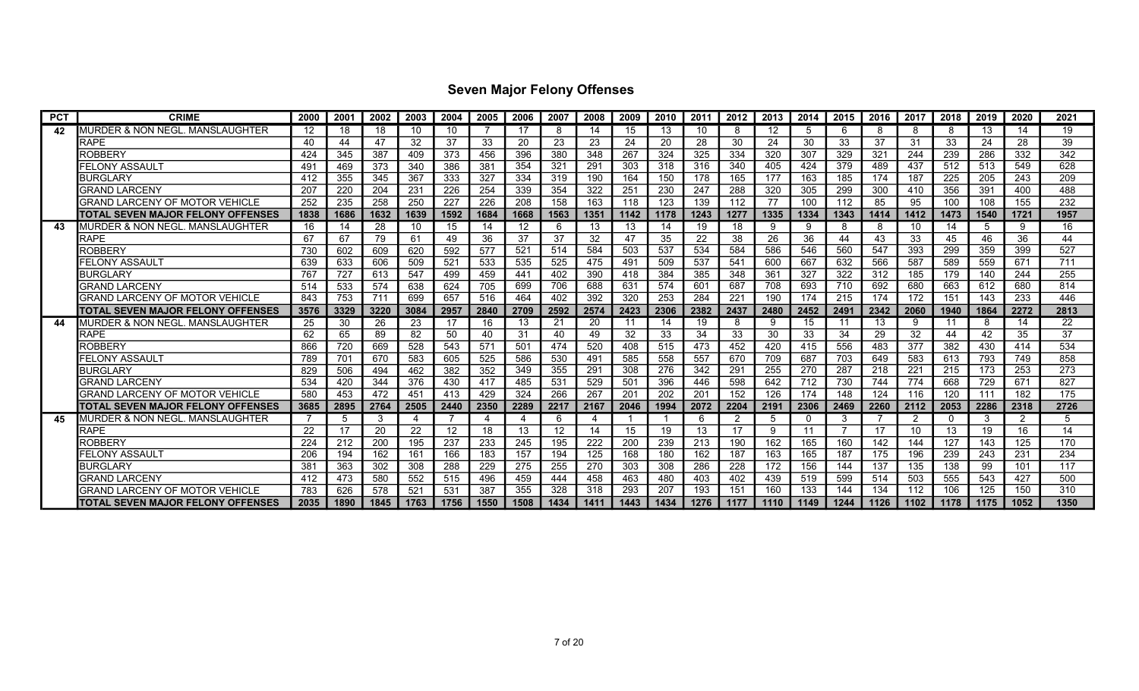| <b>PCT</b> | <b>CRIME</b>                               | 2000 | 2001            | 2002 | 2003 | 2004 | 2005 | 2006 | 2007 | 2008 | 2009 | 2010 | 2011 | 2012           | 2013 | 2014        | 2015 | 2016 | 2017 | 2018     | 2019 | 2020 | 2021 |
|------------|--------------------------------------------|------|-----------------|------|------|------|------|------|------|------|------|------|------|----------------|------|-------------|------|------|------|----------|------|------|------|
| 42         | MURDER & NON NEGL. MANSLAUGHTER            | 12   | 18              | 18   | 10   | 10   |      | 17   | 8    | 14   | 15   | 13   | 10   | 8              | 12   | 5           | 6    | 8    | 8    | 8        | 13   | 14   | 19   |
|            | RAPE                                       | 40   | 44              | 47   | 32   | 37   | 33   | 20   | 23   | 23   | 24   | 20   | 28   | 30             | 24   | 30          | 33   | 37   | 31   | 33       | 24   | 28   | 39   |
|            | ROBBERY                                    | 424  | 345             | 387  | 409  | 373  | 456  | 396  | 380  | 348  | 267  | 324  | 325  | 334            | 320  | 307         | 329  | 321  | 244  | 239      | 286  | 332  | 342  |
|            | <b>FELONY ASSAULT</b>                      | 491  | 469             | 373  | 340  | 386  | 381  | 354  | 321  | 291  | 303  | 318  | 316  | 340            | 405  | 424         | 379  | 489  | 437  | 512      | 513  | 549  | 628  |
|            | <b>BURGLARY</b>                            | 412  | 355             | 345  | 367  | 333  | 327  | 334  | 319  | 190  | 164  | 150  | 178  | 165            | 177  | 163         | 185  | 174  | 187  | 225      | 205  | 243  | 209  |
|            | GRAND LARCENY                              | 207  | 22C             | 204  | 231  | 226  | 254  | 339  | 354  | 322  | 251  | 230  | 247  | 288            | 320  | 305         | 299  | 300  | 410  | 356      | 391  | 400  | 488  |
|            | <b>GRAND LARCENY OF MOTOR VEHICLE</b>      | 252  | 235             | 258  | 250  | 227  | 226  | 208  | 158  | 163  | 118  | 123  | 139  | 112            | 77   | 100         | 112  | 85   | 95   | 100      | 108  | 155  | 232  |
|            | TOTAL SEVEN MAJOR FELONY OFFENSES          | 1838 | 1686            | 1632 | 1639 | 1592 | 1684 | 1668 | 1563 | 1351 | 1142 | 1178 | 1243 | 1277           | 1335 | 1334        | 1343 | 1414 | 1412 | 1473     | 1540 | 1721 | 1957 |
| 43         | IMURDER & NON NEGL. MANSLAUGHTER           | 16   | 14              | 28   | 10   | 15   | 14   | 12   | 6    | 13   | 13   | 14   | 19   | 18             | 9    | 9           | 8    | 8    | 10   | 14       | 5    | 9    | 16   |
|            | <b>RAPE</b>                                | 67   | 67              | 79   | 61   | 49   | 36   | 37   | 37   | 32   | 47   | 35   | 22   | 38             | 26   | 36          | 44   | 43   | 33   | 45       | 46   | 36   | 44   |
|            | ROBBERY                                    | 730  | 602             | 609  | 620  | 592  | 577  | 521  | 514  | 584  | 503  | 537  | 534  | 584            | 586  | 546         | 560  | 547  | 393  | 299      | 359  | 399  | 527  |
|            | FELONY ASSAULT                             | 639  | 633             | 606  | 509  | 521  | 533  | 535  | 525  | 475  | 491  | 509  | 537  | 541            | 600  | 667         | 632  | 566  | 587  | 589      | 559  | 671  | 711  |
|            | <b>BURGLARY</b>                            | 767  | 727             | 613  | 547  | 499  | 459  | 441  | 402  | 390  | 418  | 384  | 385  | 348            | 361  | 327         | 322  | 312  | 185  | 179      | 140  | 244  | 255  |
|            | <b>GRAND LARCENY</b>                       | 514  | 533             | 574  | 638  | 624  | 705  | 699  | 706  | 688  | 631  | 574  | 601  | 687            | 708  | 693         | 710  | 692  | 680  | 663      | 612  | 680  | 814  |
|            | GRAND LARCENY OF MOTOR VEHICLE             | 843  | 753             | 711  | 699  | 657  | 516  | 464  | 402  | 392  | 320  | 253  | 284  | 221            | 190  | 174         | 215  | 174  | 172  | 151      | 143  | 233  | 446  |
|            | <b>TOTAL SEVEN MAJOR FELONY OFFENSES</b>   | 3576 | 3329            | 3220 | 3084 | 2957 | 2840 | 2709 | 2592 | 2574 | 2423 | 2306 | 2382 | 2437           | 2480 | 2452        | 2491 | 2342 | 2060 | 1940     | 1864 | 2272 | 2813 |
| 44         | <b>MURDER &amp; NON NEGL. MANSLAUGHTER</b> | 25   | 30              | 26   | 23   | 17   | 16   | 13   | 21   | 20   |      | 14   | 19   | 8              | 9    | 15          | 11   | 13   | 9    | 11       | 8    | 14   | 22   |
|            | <b>RAPE</b>                                | 62   | 65              | 89   | 82   | 50   | 40   | 31   | 40   | 49   | 32   | 33   | 34   | 33             | 30   | 33          | 34   | 29   | 32   | 44       | 42   | 35   | 37   |
|            | ROBBERY                                    | 866  | 720             | 669  | 528  | 543  | 571  | 501  | 474  | 520  | 408  | 515  | 473  | 452            | 420  | 415         | 556  | 483  | 377  | 382      | 430  | 414  | 534  |
|            | <b>FELONY ASSAULT</b>                      | 789  | 70 <sup>1</sup> | 670  | 583  | 605  | 525  | 586  | 530  | 491  | 585  | 558  | 557  | 670            | 709  | 687         | 703  | 649  | 583  | 613      | 793  | 749  | 858  |
|            | <b>BURGLARY</b>                            | 829  | 506             | 494  | 462  | 382  | 352  | 349  | 355  | 291  | 308  | 276  | 342  | 291            | 255  | 270         | 287  | 218  | 221  | 215      | 173  | 253  | 273  |
|            | <b>GRAND LARCENY</b>                       | 534  | 420             | 344  | 376  | 430  | 417  | 485  | 531  | 529  | 501  | 396  | 446  | 598            | 642  | 712         | 730  | 744  | 774  | 668      | 729  | 671  | 827  |
|            | GRAND LARCENY OF MOTOR VEHICLE             | 580  | 453             | 472  | 451  | 413  | 429  | 324  | 266  | 267  | 201  | 202  | 201  | 152            | 126  | 174         | 148  | 124  | 116  | 120      | 111  | 182  | 175  |
|            | TOTAL SEVEN MAJOR FELONY OFFENSES          | 3685 | 2895            | 2764 | 2505 | 2440 | 2350 | 2289 | 2217 | 2167 | 2046 | 1994 | 2072 | 2204           | 2191 | 2306        | 2469 | 2260 | 2112 | 2053     | 2286 | 2318 | 2726 |
| 45         | MURDER & NON NEGL. MANSLAUGHTER            |      | -5              | 3    | 4    |      | 4    | 4    | 6    | 4    |      |      | -6   | $\overline{2}$ | 5    | $\mathbf 0$ | 3    |      | 2    | $\Omega$ | 3    | 2    | 5    |
|            | <b>RAPE</b>                                | 22   | 17              | 20   | 22   | 12   | 18   | 13   | 12   | 14   | 15   | 19   | 13   | 17             | 9    | 11          |      | 17   | 10   | 13       | 19   | 16   | 14   |
|            | ROBBERY                                    | 224  | 212             | 200  | 195  | 237  | 233  | 245  | 195  | 222  | 200  | 239  | 213  | 190            | 162  | 165         | 160  | 142  | 144  | 127      | 143  | 125  | 170  |
|            | FELONY ASSAULT                             | 206  | 194             | 162  | 161  | 166  | 183  | 157  | 194  | 125  | 168  | 180  | 162  | 187            | 163  | 165         | 187  | 175  | 196  | 239      | 243  | 231  | 234  |
|            | <b>BURGLARY</b>                            | 381  | 363             | 302  | 308  | 288  | 229  | 275  | 255  | 270  | 303  | 308  | 286  | 228            | 172  | 156         | 144  | 137  | 135  | 138      | 99   | 101  | 117  |
|            | <b>GRAND LARCENY</b>                       | 412  | 473             | 580  | 552  | 515  | 496  | 459  | 444  | 458  | 463  | 480  | 403  | 402            | 439  | 519         | 599  | 514  | 503  | 555      | 543  | 427  | 500  |
|            | GRAND LARCENY OF MOTOR VEHICLE             | 783  | 626             | 578  | 521  | 531  | 387  | 355  | 328  | 318  | 293  | 207  | 193  | 151            | 160  | 133         | 144  | 134  | 112  | 106      | 125  | 150  | 310  |
|            | <b>TOTAL SEVEN MAJOR FELONY OFFENSES</b>   | 2035 | 1890            | 1845 | 1763 | 1756 | 1550 | 1508 | 1434 | 1411 | 1443 | 1434 | 1276 | 1177           | 1110 | 1149        | 1244 | 1126 | 1102 | 1178     | 1175 | 1052 | 1350 |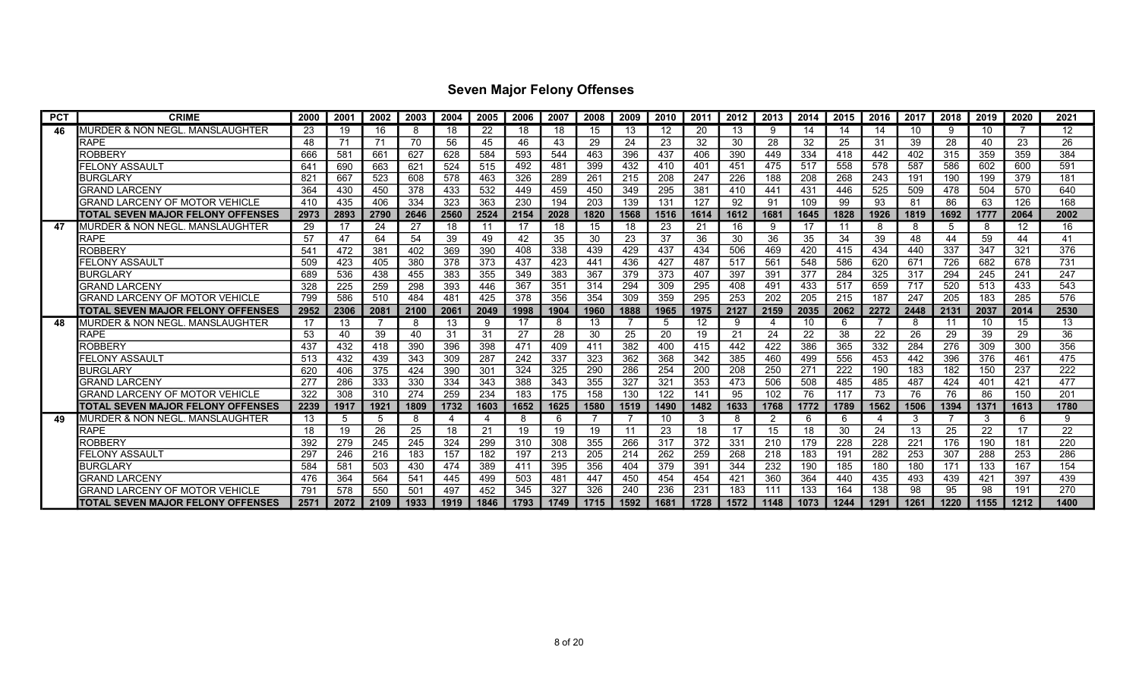| <b>PCT</b> | <b>CRIME</b>                               | 2000 | 2001 | 2002 | 2003 | 2004 | 2005 | 2006 | 2007 | 2008 | 2009 | 2010 | 2011 | 2012 | 2013           | 2014 | 2015 | 2016 | 2017 | 2018 | 2019 | 2020 | 2021 |
|------------|--------------------------------------------|------|------|------|------|------|------|------|------|------|------|------|------|------|----------------|------|------|------|------|------|------|------|------|
| 46         | MURDER & NON NEGL. MANSLAUGHTER            | 23   | 19   | 16   | 8    | 18   | 22   | 18   | 18   | 15   | 13   | 12   | 20   | 13   | 9              | 14   | 14   | 14   | 10   | 9    | 10   |      | 12   |
|            | RAPE                                       | 48   | 71   | 71   | 70   | 56   | 45   | 46   | 43   | 29   | 24   | 23   | 32   | 30   | 28             | 32   | 25   | 31   | 39   | 28   | 40   | 23   | 26   |
|            | ROBBERY                                    | 666  | 581  | 661  | 627  | 628  | 584  | 593  | 544  | 463  | 396  | 437  | 406  | 390  | 449            | 334  | 418  | 442  | 402  | 315  | 359  | 359  | 384  |
|            | <b>FELONY ASSAULT</b>                      | 641  | 690  | 663  | 621  | 524  | 515  | 492  | 481  | 399  | 432  | 410  | 401  | 451  | 475            | 517  | 558  | 578  | 587  | 586  | 602  | 600  | 591  |
|            | <b>BURGLARY</b>                            | 821  | 667  | 523  | 608  | 578  | 463  | 326  | 289  | 261  | 215  | 208  | 247  | 226  | 188            | 208  | 268  | 243  | 191  | 190  | 199  | 379  | 181  |
|            | GRAND LARCENY                              | 364  | 430  | 450  | 378  | 433  | 532  | 449  | 459  | 450  | 349  | 295  | 381  | 410  | 441            | 431  | 446  | 525  | 509  | 478  | 504  | 570  | 640  |
|            | <b>GRAND LARCENY OF MOTOR VEHICLE</b>      | 410  | 435  | 406  | 334  | 323  | 363  | 230  | 194  | 203  | 139  | 131  | 127  | 92   | 91             | 109  | 99   | 93   | 81   | 86   | 63   | 126  | 168  |
|            | <b>ITOTAL SEVEN MAJOR FELONY OFFENSES</b>  | 2973 | 2893 | 2790 | 2646 | 2560 | 2524 | 2154 | 2028 | 1820 | 1568 | 1516 | 1614 | 1612 | 1681           | 1645 | 1828 | 1926 | 1819 | 1692 | 1777 | 2064 | 2002 |
| 47         | <b>I</b> MURDER & NON NEGL. MANSLAUGHTER   | 29   | 17   | 24   | 27   | 18   | 11   | 17   | 18   | 15   | 18   | 23   | 21   | 16   | 9              | 17   | 11   | 8    | 8    | 5    | 8    | 12   | 16   |
|            | <b>RAPE</b>                                | 57   | 47   | 64   | 54   | 39   | 49   | 42   | 35   | 30   | 23   | 37   | 36   | 30   | 36             | 35   | 34   | 39   | 48   | 44   | 59   | 44   | 41   |
|            | ROBBERY                                    | 541  | 472  | 381  | 402  | 369  | 390  | 408  | 338  | 439  | 429  | 437  | 434  | 506  | 469            | 420  | 415  | 434  | 440  | 337  | 347  | 321  | 376  |
|            | FELONY ASSAULT                             | 509  | 423  | 405  | 380  | 378  | 373  | 437  | 423  | 441  | 436  | 427  | 487  | 517  | 561            | 548  | 586  | 620  | 671  | 726  | 682  | 678  | 731  |
|            | <b>BURGLARY</b>                            | 689  | 536  | 438  | 455  | 383  | 355  | 349  | 383  | 367  | 379  | 373  | 407  | 397  | 391            | 377  | 284  | 325  | 317  | 294  | 245  | 241  | 247  |
|            | <b>GRAND LARCENY</b>                       | 328  | 225  | 259  | 298  | 393  | 446  | 367  | 351  | 314  | 294  | 309  | 295  | 408  | 491            | 433  | 517  | 659  | 717  | 520  | 513  | 433  | 543  |
|            | GRAND LARCENY OF MOTOR VEHICLE             | 799  | 586  | 510  | 484  | 481  | 425  | 378  | 356  | 354  | 309  | 359  | 295  | 253  | 202            | 205  | 215  | 187  | 247  | 205  | 183  | 285  | 576  |
|            | <b>TOTAL SEVEN MAJOR FELONY OFFENSES</b>   | 2952 | 2306 | 2081 | 2100 | 2061 | 2049 | 1998 | 1904 | 1960 | 1888 | 1965 | 1975 | 2127 | 2159           | 2035 | 2062 | 2272 | 2448 | 2131 | 2037 | 2014 | 2530 |
|            | <b>MURDER &amp; NON NEGL. MANSLAUGHTER</b> | 17   | 13   |      | 8    | 13   | -9   | 17   | 8    | 13   |      | 5    | 12   | 9    |                | 10   | 6    |      | 8    | 11   | 10   | 15   | 13   |
|            | <b>RAPE</b>                                | 53   | 40   | 39   | 40   | 31   | 31   | 27   | 28   | 30   | 25   | 20   | 19   | 21   | 24             | 22   | 38   | 22   | 26   | 29   | 39   | 29   | 36   |
|            | ROBBERY                                    | 437  | 432  | 418  | 390  | 396  | 398  | 471  | 409  | 411  | 382  | 400  | 415  | 442  | 422            | 386  | 365  | 332  | 284  | 276  | 309  | 300  | 356  |
|            | <b>FELONY ASSAULT</b>                      | 513  | 432  | 439  | 343  | 309  | 287  | 242  | 337  | 323  | 362  | 368  | 342  | 385  | 460            | 499  | 556  | 453  | 442  | 396  | 376  | 461  | 475  |
|            | <b>BURGLARY</b>                            | 620  | 406  | 375  | 424  | 390  | 301  | 324  | 325  | 290  | 286  | 254  | 200  | 208  | 250            | 271  | 222  | 190  | 183  | 182  | 150  | 237  | 222  |
|            | <b>GRAND LARCENY</b>                       | 277  | 286  | 333  | 330  | 334  | 343  | 388  | 343  | 355  | 327  | 321  | 353  | 473  | 506            | 508  | 485  | 485  | 487  | 424  | 401  | 421  | 477  |
|            | GRAND LARCENY OF MOTOR VEHICLE             | 322  | 308  | 310  | 274  | 259  | 234  | 183  | 175  | 158  | 130  | 122  | 141  | 95   | 102            | 76   | 117  | 73   | 76   | 76   | 86   | 150  | 201  |
|            | TOTAL SEVEN MAJOR FELONY OFFENSES          | 2239 | 1917 | 1921 | 1809 | 1732 | 1603 | 1652 | 1625 | 1580 | 1519 | 1490 | 1482 | 1633 | 1768           | 1772 | 1789 | 1562 | 1506 | 1394 | 1371 | 1613 | 1780 |
| 49         | MURDER & NON NEGL. MANSLAUGHTER            | 13   | -5   | 5    | 8    | 4    | 4    | 8    | 6    |      |      | 10   | 3    | 8    | $\overline{2}$ | 6    | 6    | -4   | 3    |      | 3    | 6    | g    |
|            | <b>RAPE</b>                                | 18   | 19   | 26   | 25   | 18   | 21   | 19   | 19   | 19   |      | 23   | 18   | 17   | 15             | 18   | 30   | 24   | 13   | 25   | 22   | 17   | 22   |
|            | ROBBERY                                    | 392  | 279  | 245  | 245  | 324  | 299  | 310  | 308  | 355  | 266  | 317  | 372  | 331  | 210            | 179  | 228  | 228  | 221  | 176  | 190  | 181  | 220  |
|            | FELONY ASSAULT                             | 297  | 246  | 216  | 183  | 157  | 182  | 197  | 213  | 205  | 214  | 262  | 259  | 268  | 218            | 183  | 191  | 282  | 253  | 307  | 288  | 253  | 286  |
|            | <b>BURGLARY</b>                            | 584  | 581  | 503  | 430  | 474  | 389  | 411  | 395  | 356  | 404  | 379  | 391  | 344  | 232            | 190  | 185  | 180  | 180  | 171  | 133  | 167  | 154  |
|            | <b>GRAND LARCENY</b>                       | 476  | 364  | 564  | 541  | 445  | 499  | 503  | 481  | 447  | 450  | 454  | 454  | 421  | 360            | 364  | 440  | 435  | 493  | 439  | 421  | 397  | 439  |
|            | GRAND LARCENY OF MOTOR VEHICLE             | 791  | 578  | 550  | 501  | 497  | 452  | 345  | 327  | 326  | 240  | 236  | 231  | 183  | 111            | 133  | 164  | 138  | 98   | 95   | 98   | 191  | 270  |
|            | <b>TOTAL SEVEN MAJOR FELONY OFFENSES</b>   | 2571 | 2072 | 2109 | 1933 | 1919 | 1846 | 1793 | 1749 | 1715 | 1592 | 1681 | 1728 | 1572 | 1148           | 1073 | 1244 | 1291 | 1261 | 1220 | 1155 | 1212 | 1400 |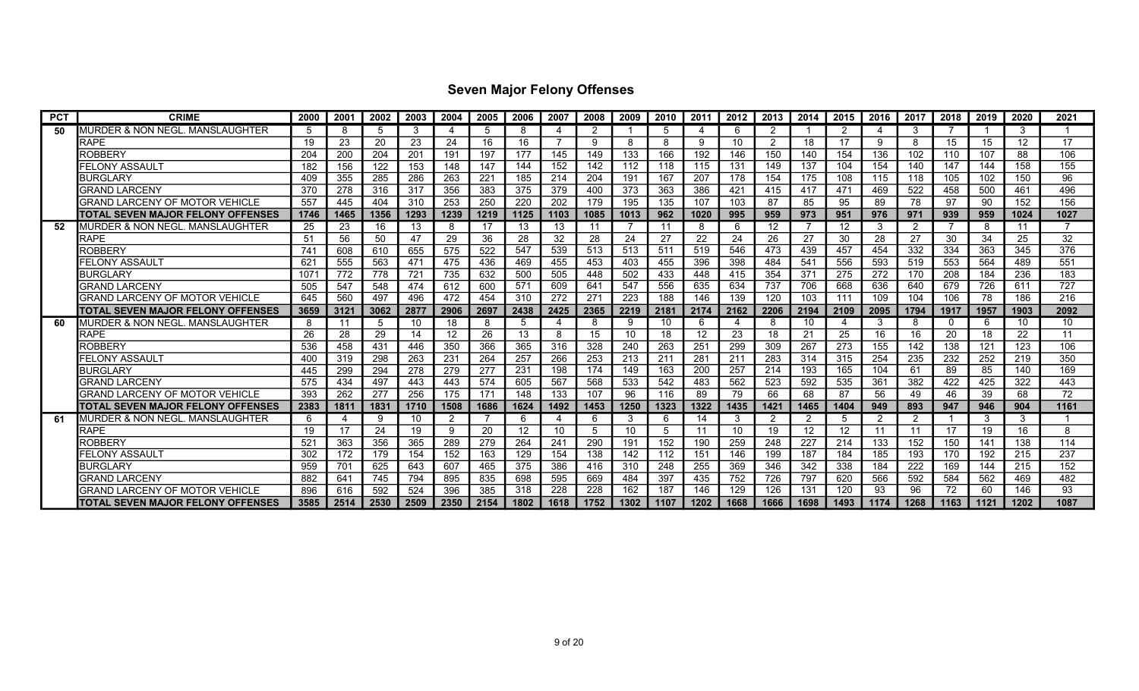| <b>PCT</b> | <b>CRIME</b>                             | 2000 | 2001 | 2002 | 2003 | 2004 | 2005 | 2006 | 2007           | 2008 | 2009 | 2010 | 2011 | 2012 | 2013 | 2014           | 2015 | 2016           | 2017 | 2018        | 2019 | 2020 | 2021 |
|------------|------------------------------------------|------|------|------|------|------|------|------|----------------|------|------|------|------|------|------|----------------|------|----------------|------|-------------|------|------|------|
| 50         | MURDER & NON NEGL. MANSLAUGHTER          | 5    | 8    | 5    | 3    | Δ    | .5   | 8    | $\Delta$       | 2    |      | 5    |      | 6    | 2    |                | 2    | 4              | 3    |             |      | 3    |      |
|            | <b>RAPE</b>                              | 19   | 23   | 20   | 23   | 24   | 16   | 16   |                | 9    | 8    | 8    | Q    | 10   | 2    | 18             | 17   | 9              | 8    | 15          | 15   | 12   | 17   |
|            | <b>ROBBERY</b>                           | 204  | 200  | 204  | 201  | 191  | 197  | 177  | 145            | 149  | 133  | 166  | 192  | 146  | 150  | 140            | 154  | 136            | 102  | 110         | 107  | 88   | 106  |
|            | FELONY ASSAULT                           | 182  | 156  | 122  | 153  | 148  | 147  | 144  | 152            | 142  | 112  | 118  | 115  | 131  | 149  | 137            | 104  | 154            | 140  | 147         | 144  | 158  | 155  |
|            | <b>BURGLARY</b>                          | 409  | 355  | 285  | 286  | 263  | 221  | 185  | 214            | 204  | 191  | 167  | 207  | 178  | 154  | 175            | 108  | 115            | 118  | 105         | 102  | 150  | 96   |
|            | <b>GRAND LARCENY</b>                     | 370  | 278  | 316  | 317  | 356  | 383  | 375  | 379            | 400  | 373  | 363  | 386  | 421  | 415  | 417            | 471  | 469            | 522  | 458         | 500  | 461  | 496  |
|            | GRAND LARCENY OF MOTOR VEHICLE           | 557  | 445  | 404  | 310  | 253  | 250  | 220  | 202            | 179  | 195  | 135  | 107  | 103  | 87   | 85             | 95   | 89             | 78   | 97          | 90   | 152  | 156  |
|            | TOTAL SEVEN MAJOR FELONY OFFENSES        | 1746 | 1465 | 1356 | 1293 | 1239 | 1219 | 1125 | 1103           | 1085 | 1013 | 962  | 1020 | 995  | 959  | 973            | 951  | 976            | 971  | 939         | 959  | 1024 | 1027 |
| 52         | IMURDER & NON NEGL. MANSLAUGHTER         | 25   | 23   | 16   | 13   | 8    | -17  | 13   | 13             | 11   |      | 11   |      | 6    | 12   |                | 12   | 3              | 2    |             | 8    | -11  |      |
|            | <b>RAPE</b>                              | 51   | 56   | 50   | 47   | 29   | 36   | 28   | 32             | 28   | 24   | 27   | 22   | 24   | 26   | 27             | 30   | 28             | 27   | 30          | 34   | 25   | 32   |
|            | <b>ROBBERY</b>                           | 741  | 608  | 610  | 655  | 575  | 522  | 547  | 539            | 513  | 513  | 511  | 519  | 546  | 473  | 439            | 457  | 454            | 332  | 334         | 363  | 345  | 376  |
|            | FELONY ASSAULT                           | 621  | 555  | 563  | 47'  | 475  | 436  | 469  | 455            | 453  | 403  | 455  | 396  | 398  | 484  | 541            | 556  | 593            | 519  | 553         | 564  | 489  | 551  |
|            | <b>BURGLARY</b>                          | 107  | 772  | 778  | 721  | 735  | 632  | 500  | 505            | 448  | 502  | 433  | 448  | 415  | 354  | 371            | 275  | 272            | 170  | 208         | 184  | 236  | 183  |
|            | <b>GRAND LARCENY</b>                     | 505  | 547  | 548  | 474  | 612  | 600  | 571  | 609            | 641  | 547  | 556  | 635  | 634  | 737  | 706            | 668  | 636            | 640  | 679         | 726  | 611  | 727  |
|            | GRAND LARCENY OF MOTOR VEHICLE           | 645  | 560  | 497  | 496  | 472  | 454  | 310  | 272            | 271  | 223  | 188  | 146  | 139  | 120  | 103            | 111  | 109            | 104  | 106         | 78   | 186  | 216  |
|            | TOTAL SEVEN MAJOR FELONY OFFENSES        | 3659 | 3121 | 3062 | 2877 | 2906 | 2697 | 2438 | 2425           | 2365 | 2219 | 2181 | 2174 | 2162 | 2206 | 2194           | 2109 | 2095           | 1794 | 1917        | 1957 | 1903 | 2092 |
| 60         | MURDER & NON NEGL. MANSLAUGHTER          | 8    | 11   | 5    | 10   | 18   | -8   | 5    | $\Delta$       | 8    | 9    | 10   | 6    | 4    | 8    | 10             |      | -3             | 8    | $\mathbf 0$ | 6    | 10   | 10   |
|            | <b>RAPE</b>                              | 26   | 28   | 29   | 14   | 12   | 26   | 13   | 8              | 15   | 10   | 18   | 12   | 23   | 18   | 21             | 25   | 16             | 16   | 20          | 18   | 22   | 11   |
|            | ROBBERY                                  | 536  | 458  | 431  | 446  | 350  | 366  | 365  | 316            | 328  | 240  | 263  | 251  | 299  | 309  | 267            | 273  | 155            | 142  | 138         | 121  | 123  | 106  |
|            | FELONY ASSAULT                           | 400  | 319  | 298  | 263  | 231  | 264  | 257  | 266            | 253  | 213  | 211  | 281  | 211  | 283  | 314            | 315  | 254            | 235  | 232         | 252  | 219  | 350  |
|            | <b>BURGLARY</b>                          | 445  | 299  | 294  | 278  | 279  | 277  | 231  | 198            | 174  | 149  | 163  | 200  | 257  | 214  | 193            | 165  | 104            | 61   | 89          | 85   | 140  | 169  |
|            | <b>GRAND LARCENY</b>                     | 575  | 434  | 497  | 443  | 443  | 574  | 605  | 567            | 568  | 533  | 542  | 483  | 562  | 523  | 592            | 535  | 361            | 382  | 422         | 425  | 322  | 443  |
|            | GRAND LARCENY OF MOTOR VEHICLE           | 393  | 262  | 277  | 256  | 175  | 171  | 148  | 133            | 107  | 96   | 116  | 89   | 79   | 66   | 68             | 87   | 56             | 49   | 46          | 39   | 68   | 72   |
|            | TOTAL SEVEN MAJOR FELONY OFFENSES        | 2383 | 1811 | 1831 | 1710 | 1508 | 1686 | 1624 | 1492           | 1453 | 1250 | 1323 | 1322 | 1435 | 1421 | 1465           | 1404 | 949            | 893  | 947         | 946  | 904  | 1161 |
| 61         | MURDER & NON NEGL. MANSLAUGHTER          | 6    | 4    | 9    | 10   | 2    |      | 6    | $\overline{4}$ | 6    | 3    | 6    | 14   | 3    |      | $\overline{2}$ | 5    | $\overline{2}$ | 2    |             | 3    | 3    |      |
|            | <b>RAPE</b>                              | 19   | 17   | 24   | 19   | 9    | 20   | 12   | 10             | 5    | 10   | 5    | 11   | 10   | 19   | 12             | 12   | 11             | 11   | 17          | 19   | 16   | 8    |
|            | ROBBERY                                  | 521  | 363  | 356  | 365  | 289  | 279  | 264  | 241            | 290  | 191  | 152  | 190  | 259  | 248  | 227            | 214  | 133            | 152  | 150         | 141  | 138  | 114  |
|            | FELONY ASSAULT                           | 302  | 172  | 179  | 154  | 152  | 163  | 129  | 154            | 138  | 142  | 112  | 151  | 146  | 199  | 187            | 184  | 185            | 193  | 170         | 192  | 215  | 237  |
|            | <b>BURGLARY</b>                          | 959  | 701  | 625  | 643  | 607  | 465  | 375  | 386            | 416  | 310  | 248  | 255  | 369  | 346  | 342            | 338  | 184            | 222  | 169         | 144  | 215  | 152  |
|            | <b>GRAND LARCENY</b>                     | 882  | 641  | 745  | 794  | 895  | 835  | 698  | 595            | 669  | 484  | 397  | 435  | 752  | 726  | 797            | 620  | 566            | 592  | 584         | 562  | 469  | 482  |
|            | GRAND LARCENY OF MOTOR VEHICLE           | 896  | 616  | 592  | 524  | 396  | 385  | 318  | 228            | 228  | 162  | 187  | 146  | 129  | 126  | 131            | 120  | 93             | 96   | 72          | 60   | 146  | 93   |
|            | <b>TOTAL SEVEN MAJOR FELONY OFFENSES</b> | 3585 | 2514 | 2530 | 2509 | 2350 | 2154 | 1802 | 1618           | 1752 | 1302 | 1107 | 1202 | 1668 | 1666 | 1698           | 1493 | 1174           | 1268 | 1163        | 1121 | 1202 | 1087 |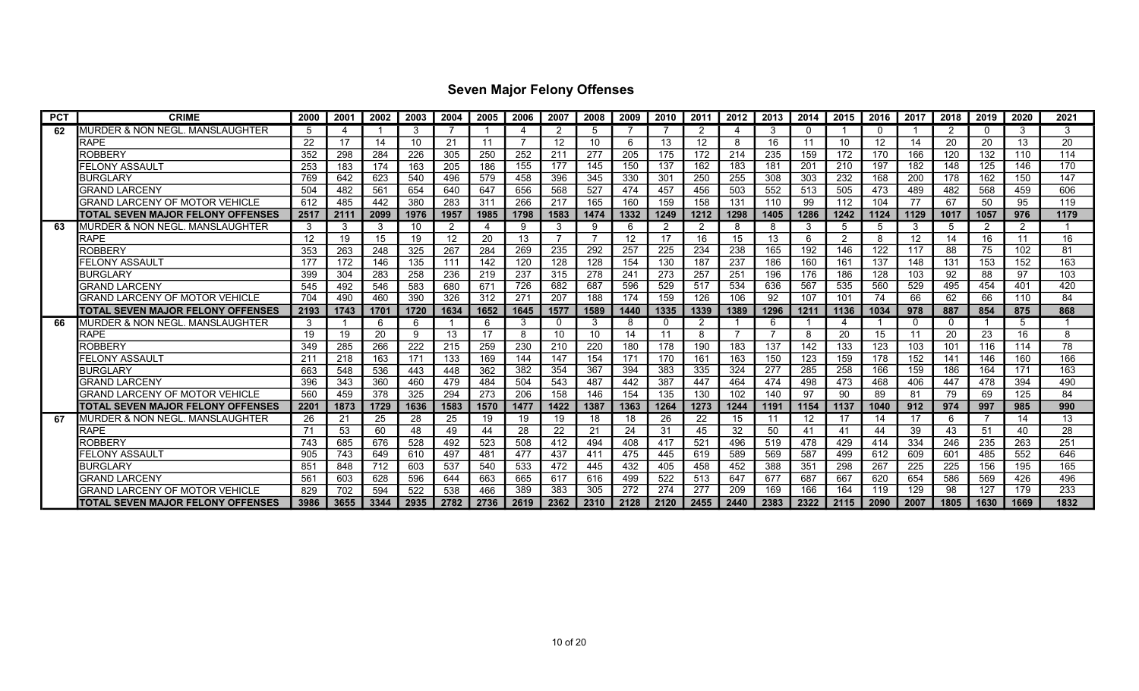| <b>PCT</b> | <b>CRIME</b>                               | 2000 | 2001 | 2002 | 2003            | 2004 | 2005 | 2006 | 2007 | 2008 | 2009 | 2010     | 2011            | 2012 | 2013 | 2014 | 2015 | 2016        | 2017     | 2018     | 2019 | 2020 | 2021 |
|------------|--------------------------------------------|------|------|------|-----------------|------|------|------|------|------|------|----------|-----------------|------|------|------|------|-------------|----------|----------|------|------|------|
| 62         | MURDER & NON NEGL. MANSLAUGHTER            | 5    | Δ    |      | 3               |      |      | 4    | ≘    | 5    |      |          |                 | Δ    | 3    | -0   |      | $\mathbf 0$ |          | 2        |      | 3    | 3    |
|            | <b>RAPE</b>                                | 22   | 17   | 14   | 10              | 21   | 11   |      | 12   | 10   | 6    | 13       | 12 <sup>2</sup> | 8    | 16   | 11   | 10   | 12          | 14       | 20       | 20   | 13   | 20   |
|            | <b>ROBBERY</b>                             | 352  | 298  | 284  | 226             | 305  | 250  | 252  | 211  | 277  | 205  | 175      | 172             | 214  | 235  | 159  | 172  | 170         | 166      | 120      | 132  | 110  | 114  |
|            | FELONY ASSAULT                             | 253  | 183  | 174  | 163             | 205  | 186  | 155  | 177  | 145  | 150  | 137      | 162             | 183  | 181  | 201  | 210  | 197         | 182      | 148      | 125  | 146  | 170  |
|            | <b>BURGLARY</b>                            | 769  | 642  | 623  | 540             | 496  | 579  | 458  | 396  | 345  | 330  | 301      | 250             | 255  | 308  | 303  | 232  | 168         | 200      | 178      | 162  | 150  | 147  |
|            | <b>GRAND LARCENY</b>                       | 504  | 482  | 561  | 654             | 640  | 647  | 656  | 568  | 527  | 474  | 457      | 456             | 503  | 552  | 513  | 505  | 473         | 489      | 482      | 568  | 459  | 606  |
|            | <b>GRAND LARCENY OF MOTOR VEHICLE</b>      | 612  | 485  | 442  | 380             | 283  | 31'  | 266  | 217  | 165  | 160  | 159      | 158             | 131  | 110  | 99   | 112  | 104         | 77       | 67       | 50   | 95   | 119  |
|            | ITOTAL SEVEN MAJOR FELONY OFFENSES         | 2517 | 2111 | 2099 | 1976            | 1957 | 1985 | 1798 | 1583 | 1474 | 1332 | 1249     | 1212            | 1298 | 1405 | 1286 | 1242 | 1124        | 1129     | 1017     | 1057 | 976  | 1179 |
| 63         | IMURDER & NON NEGL. MANSLAUGHTER           | 3    | 3    | 3    | 10              | 2    |      | 9    | 3    | 9    | 6    | 2        |                 | 8    | 8    | 3    | 5    | 5           | 3        | 5        | 2    | 2    |      |
|            | <b>RAPE</b>                                | 12   | 19   | 15   | 19              | 12   | 20   | 13   |      | 7    | 12   | 17       | 16              | 15   | 13   | 6    | 2    | 8           | 12       | 14       | 16   | 11   | 16   |
|            | ROBBERY                                    | 353  | 263  | 248  | 325             | 267  | 284  | 269  | 235  | 292  | 257  | 225      | 234             | 238  | 165  | 192  | 146  | 122         | 117      | 88       | 75   | 102  | 81   |
|            | FELONY ASSAULT                             | 177  | 172  | 146  | 135             | 111  | 142  | 120  | 128  | 128  | 154  | 130      | 187             | 237  | 186  | 160  | 161  | 137         | 148      | 131      | 153  | 152  | 163  |
|            | <b>BURGLARY</b>                            | 399  | 304  | 283  | 258             | 236  | 219  | 237  | 315  | 278  | 241  | 273      | 257             | 251  | 196  | 176  | 186  | 128         | 103      | 92       | 88   | 97   | 103  |
|            | <b>GRAND LARCENY</b>                       | 545  | 492  | 546  | 583             | 680  | 671  | 726  | 682  | 687  | 596  | 529      | 517             | 534  | 636  | 567  | 535  | 560         | 529      | 495      | 454  | 401  | 420  |
|            | <b>GRAND LARCENY OF MOTOR VEHICLE</b>      | 704  | 490  | 460  | 390             | 326  | 312  | 271  | 207  | 188  | 174  | 159      | 126             | 106  | 92   | 107  | 101  | 74          | 66       | 62       | 66   | 110  | 84   |
|            | ITOTAL SEVEN MAJOR FELONY OFFENSES         | 2193 | 1743 | 1701 | 1720            | 1634 | 1652 | 1645 | 1577 | 1589 | 1440 | 1335     | 1339            | 1389 | 1296 | 1211 | 1136 | 1034        | 978      | 887      | 854  | 875  | 868  |
| 66         | MURDER & NON NEGL. MANSLAUGHTER            | 3    |      | 6    | -6              |      | -6   | 3    |      | 3    | 8    | $\Omega$ |                 |      | 6    |      |      |             | $\Omega$ | $\Omega$ |      | -5   |      |
|            | <b>RAPE</b>                                | 19   | 19   | 20   | 9               | 13   | 17   | 8    | 10   | 10   | 14   | 11       |                 | 7    |      | -8   | 20   | 15          | 11       | 20       | 23   | 16   | 8    |
|            | <b>ROBBERY</b>                             | 349  | 285  | 266  | 222             | 215  | 259  | 230  | 210  | 220  | 180  | 178      | 190             | 183  | 137  | 142  | 133  | 123         | 103      | 101      | 116  | 114  | 78   |
|            | FELONY ASSAULT                             | 211  | 218  | 163  | 171             | 133  | 169  | 144  | 147  | 154  | 171  | 170      | 161             | 163  | 150  | 123  | 159  | 178         | 152      | 141      | 146  | 160  | 166  |
|            | <b>BURGLARY</b>                            | 663  | 548  | 536  | 443             | 448  | 362  | 382  | 354  | 367  | 394  | 383      | 335             | 324  | 277  | 285  | 258  | 166         | 159      | 186      | 164  | 171  | 163  |
|            | <b>GRAND LARCENY</b>                       | 396  | 343  | 360  | 460             | 479  | 484  | 504  | 543  | 487  | 442  | 387      | 447             | 464  | 474  | 498  | 473  | 468         | 406      | 447      | 478  | 394  | 490  |
|            | GRAND LARCENY OF MOTOR VEHICLE             | 560  | 459  | 378  | 325             | 294  | 273  | 206  | 158  | 146  | 154  | 135      | 130             | 102  | 140  | 97   | 90   | 89          | 81       | 79       | 69   | 125  | 84   |
|            | TOTAL SEVEN MAJOR FELONY OFFENSES          | 2201 | 1873 | 1729 | 1636            | 1583 | 1570 | 1477 | 1422 | 1387 | 1363 | 1264     | 1273            | 1244 | 1191 | 1154 | 1137 | 1040        | 912      | 974      | 997  | 985  | 990  |
| 67         | <b>MURDER &amp; NON NEGL. MANSLAUGHTER</b> | 26   | 21   | 25   | 28              | 25   | 19   | 19   | 19   | 18   | 18   | 26       | 22              | 15   |      | 12   | 17   | 14          | 17       | -6       |      | 14   | 13   |
|            | <b>RAPE</b>                                | 71   | 53   | 60   | 48              | 49   | 44   | 28   | 22   | 21   | 24   | 31       | 45              | 32   | 50   | 41   | 41   | 44          | 39       | 43       | 51   | 40   | 28   |
|            | ROBBERY                                    | 743  | 685  | 676  | 528             | 492  | 523  | 508  | 412  | 494  | 408  | 417      | 521             | 496  | 519  | 478  | 429  | 414         | 334      | 246      | 235  | 263  | 251  |
|            | FELONY ASSAUL1                             | 905  | 743  | 649  | 61 <sub>C</sub> | 497  | 481  | 477  | 437  | 411  | 475  | 445      | 619             | 589  | 569  | 587  | 499  | 612         | 609      | 601      | 485  | 552  | 646  |
|            | <b>BURGLARY</b>                            | 851  | 848  | 712  | 603             | 537  | 540  | 533  | 472  | 445  | 432  | 405      | 458             | 452  | 388  | 351  | 298  | 267         | 225      | 225      | 156  | 195  | 165  |
|            | <b>GRAND LARCENY</b>                       | 561  | 603  | 628  | 596             | 644  | 663  | 665  | 617  | 616  | 499  | 522      | 513             | 647  | 677  | 687  | 667  | 620         | 654      | 586      | 569  | 426  | 496  |
|            | GRAND LARCENY OF MOTOR VEHICLE             | 829  | 702  | 594  | 522             | 538  | 466  | 389  | 383  | 305  | 272  | 274      | 277             | 209  | 169  | 166  | 164  | 119         | 129      | 98       | 127  | 179  | 233  |
|            | ITOTAL SEVEN MAJOR FELONY OFFENSES         | 3986 | 3655 | 3344 | 2935            | 2782 | 2736 | 2619 | 2362 | 2310 | 2128 | 2120     | 2455            | 2440 | 2383 | 2322 | 2115 | 2090        | 2007     | 1805     | 1630 | 1669 | 1832 |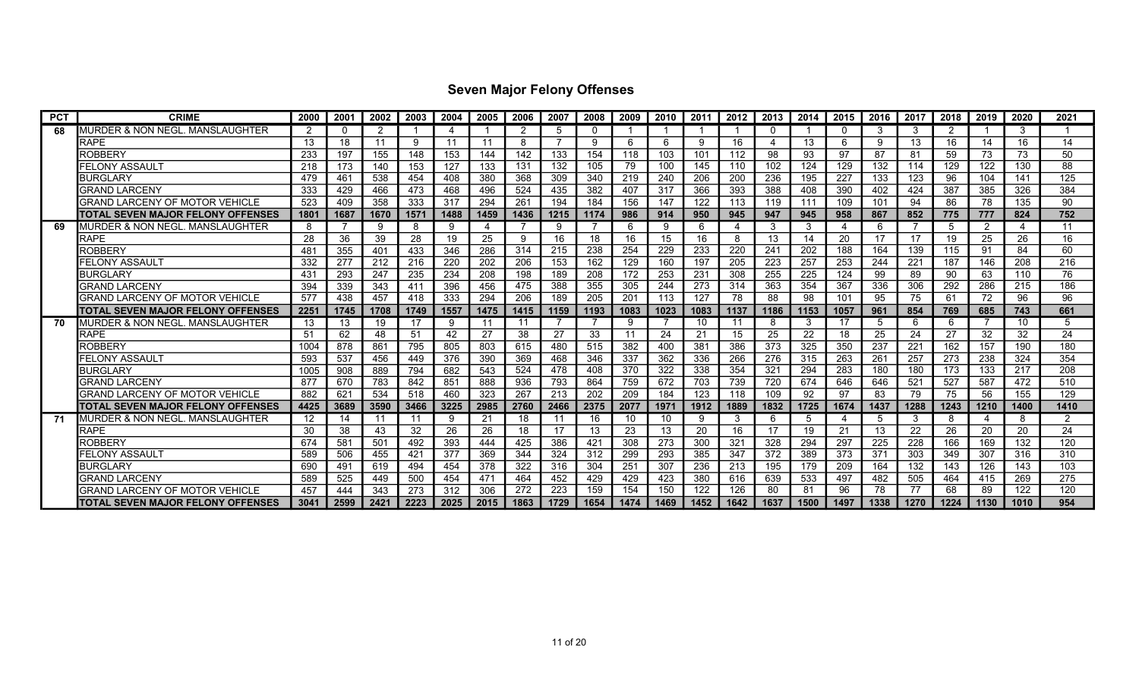| <b>PCT</b> | <b>CRIME</b>                          | 2000 | 2001     | 2002 | 2003 | 2004 | 2005 | 2006 | 2007 | 2008 | 2009 | 2010 | 2011 | 2012 | 2013     | 2014 | 2015 | 2016 | 2017 | 2018 | 2019 | 2020 | 2021 |
|------------|---------------------------------------|------|----------|------|------|------|------|------|------|------|------|------|------|------|----------|------|------|------|------|------|------|------|------|
| 68         | MURDER & NON NEGL. MANSLAUGHTER       | 2    | $\Omega$ | 2    |      | 4    |      | 2    | 5    | 0    |      |      |      |      | $\Omega$ |      |      | 3    | 3    | 2    |      | 3    |      |
|            | <b>RAPE</b>                           | 13   | 18       | 11   | ٩    | 11   | 11   | 8    |      | 9    | 6    | 6    |      | 16   |          | 13   | 6    | 9    | 13   | 16   | 14   | 16   | 14   |
|            | <b>ROBBERY</b>                        | 233  | 197      | 155  | 148  | 153  | 144  | 142  | 133  | 154  | 118  | 103  | 101  | 112  | 98       | 93   | 97   | 87   | 81   | 59   | 73   | 73   | 50   |
|            | FELONY ASSAULT                        | 218  | 173      | 140  | 153  | 127  | 133  | 131  | 132  | 105  | 79   | 100  | 145  | 110  | 102      | 124  | 129  | 132  | 114  | 129  | 122  | 130  | 88   |
|            | <b>BURGLARY</b>                       | 479  | 461      | 538  | 454  | 408  | 380  | 368  | 309  | 340  | 219  | 240  | 206  | 200  | 236      | 195  | 227  | 133  | 123  | 96   | 104  | 141  | 125  |
|            | <b>GRAND LARCENY</b>                  | 333  | 429      | 466  | 473  | 468  | 496  | 524  | 435  | 382  | 407  | 317  | 366  | 393  | 388      | 408  | 390  | 402  | 424  | 387  | 385  | 326  | 384  |
|            | <b>GRAND LARCENY OF MOTOR VEHICLE</b> | 523  | 409      | 358  | 333  | 317  | 294  | 261  | 194  | 184  | 156  | 147  | 122  | 113  | 119      | 111  | 109  | 101  | 94   | 86   | 78   | 135  | 90   |
|            | ITOTAL SEVEN MAJOR FELONY OFFENSES    | 1801 | 1687     | 1670 | 1571 | 1488 | 1459 | 1436 | 1215 | 1174 | 986  | 914  | 950  | 945  | 947      | 945  | 958  | 867  | 852  | 775  | 777  | 824  | 752  |
|            | IMURDER & NON NEGL. MANSLAUGHTER      | 8    |          | 9    | -8   | 9    |      |      | 9    |      | 6    | 9    | 6    | 4    | 3        | 3    |      | 6    |      | 5    | 2    | 4    | -11  |
|            | <b>RAPE</b>                           | 28   | 36       | 39   | 28   | 19   | 25   | 9    | 16   | 18   | 16   | 15   | 16   | 8    | 13       | 14   | 20   | 17   | 17   | 19   | 25   | 26   | 16   |
|            | ROBBERY                               | 481  | 355      | 401  | 433  | 346  | 286  | 314  | 215  | 238  | 254  | 229  | 233  | 220  | 241      | 202  | 188  | 164  | 139  | 115  | 91   | 84   | 60   |
|            | FELONY ASSAULT                        | 332  | 277      | 212  | 216  | 220  | 202  | 206  | 153  | 162  | 129  | 160  | 197  | 205  | 223      | 257  | 253  | 244  | 221  | 187  | 146  | 208  | 216  |
|            | <b>BURGLARY</b>                       | 431  | 293      | 247  | 235  | 234  | 208  | 198  | 189  | 208  | 172  | 253  | 231  | 308  | 255      | 225  | 124  | 99   | 89   | 90   | 63   | 110  | 76   |
|            | <b>GRAND LARCENY</b>                  | 394  | 339      | 343  | 411  | 396  | 456  | 475  | 388  | 355  | 305  | 244  | 273  | 314  | 363      | 354  | 367  | 336  | 306  | 292  | 286  | 215  | 186  |
|            | <b>GRAND LARCENY OF MOTOR VEHICLE</b> | 577  | 438      | 457  | 418  | 333  | 294  | 206  | 189  | 205  | 201  | 113  | 127  | 78   | 88       | 98   | 101  | 95   | 75   | 61   | 72   | 96   | 96   |
|            | ITOTAL SEVEN MAJOR FELONY OFFENSES    | 2251 | 1745     | 1708 | 1749 | 1557 | 1475 | 1415 | 1159 | 1193 | 1083 | 1023 | 1083 | 1137 | 1186     | 1153 | 1057 | 961  | 854  | 769  | 685  | 743  | 661  |
| 70         | MURDER & NON NEGL. MANSLAUGHTER       | 13   | 13       | 19   | 17   | 9    | -11  | 11   |      |      | 9    |      | 10   | 11   | 8        | 3    | 17   | 5    | 6    | 6    |      | 10   |      |
|            | <b>RAPE</b>                           | 51   | 62       | 48   | 51   | 42   | 27   | 38   | 27   | 33   | 11   | 24   | 21   | 15   | 25       | 22   | 18   | 25   | 24   | 27   | 32   | 32   | 24   |
|            | <b>ROBBERY</b>                        | 1004 | 878      | 861  | 795  | 805  | 803  | 615  | 480  | 515  | 382  | 400  | 381  | 386  | 373      | 325  | 350  | 237  | 221  | 162  | 157  | 190  | 180  |
|            | FELONY ASSAULT                        | 593  | 537      | 456  | 449  | 376  | 390  | 369  | 468  | 346  | 337  | 362  | 336  | 266  | 276      | 315  | 263  | 261  | 257  | 273  | 238  | 324  | 354  |
|            | <b>BURGLARY</b>                       | 1005 | 908      | 889  | 794  | 682  | 543  | 524  | 478  | 408  | 370  | 322  | 338  | 354  | 321      | 294  | 283  | 180  | 180  | 173  | 133  | 217  | 208  |
|            | <b>GRAND LARCENY</b>                  | 877  | 670      | 783  | 842  | 851  | 888  | 936  | 793  | 864  | 759  | 672  | 703  | 739  | 720      | 674  | 646  | 646  | 521  | 527  | 587  | 472  | 510  |
|            | GRAND LARCENY OF MOTOR VEHICLE        | 882  | 621      | 534  | 518  | 460  | 323  | 267  | 213  | 202  | 209  | 184  | 123  | 118  | 109      | 92   | 97   | 83   | 79   | 75   | 56   | 155  | 129  |
|            | ITOTAL SEVEN MAJOR FELONY OFFENSES    | 4425 | 3689     | 3590 | 3466 | 3225 | 2985 | 2760 | 2466 | 2375 | 2077 | 1971 | 1912 | 1889 | 1832     | 1725 | 1674 | 1437 | 1288 | 1243 | 1210 | 1400 | 1410 |
| -71        | IMURDER & NON NEGL. MANSLAUGHTER      | 12   | 14       | 11   | 11   | 9    | 21   | 18   | -11  | 16   | 10   | 10   |      | 3    | 6        | 5    |      | 5    | 3    | 8    |      | 8    | 2    |
|            | <b>RAPE</b>                           | 30   | 38       | 43   | 32   | 26   | 26   | 18   | 17   | 13   | 23   | 13   | 20   | 16   | 17       | 19   | 21   | 13   | 22   | 26   | 20   | 20   | 24   |
|            | ROBBERY                               | 674  | 581      | 501  | 492  | 393  | 444  | 425  | 386  | 421  | 308  | 273  | 300  | 321  | 328      | 294  | 297  | 225  | 228  | 166  | 169  | 132  | 120  |
|            | FELONY ASSAUL1                        | 589  | 506      | 455  | 421  | 377  | 369  | 344  | 324  | 312  | 299  | 293  | 385  | 347  | 372      | 389  | 373  | 371  | 303  | 349  | 307  | 316  | 310  |
|            | <b>BURGLARY</b>                       | 690  | 491      | 619  | 494  | 454  | 378  | 322  | 316  | 304  | 251  | 307  | 236  | 213  | 195      | 179  | 209  | 164  | 132  | 143  | 126  | 143  | 103  |
|            | <b>GRAND LARCENY</b>                  | 589  | 525      | 449  | 500  | 454  | 471  | 464  | 452  | 429  | 429  | 423  | 380  | 616  | 639      | 533  | 497  | 482  | 505  | 464  | 415  | 269  | 275  |
|            | GRAND LARCENY OF MOTOR VEHICLE        | 457  | 444      | 343  | 273  | 312  | 306  | 272  | 223  | 159  | 154  | 150  | 122  | 126  | 80       | 81   | 96   | 78   | 77   | 68   | 89   | 122  | 120  |
|            | ITOTAL SEVEN MAJOR FELONY OFFENSES    | 3041 | 2599     | 2421 | 2223 | 2025 | 2015 | 1863 | 1729 | 1654 | 1474 | 1469 | 1452 | 1642 | 1637     | 1500 | 1497 | 1338 | 1270 | 1224 | 1130 | 1010 | 954  |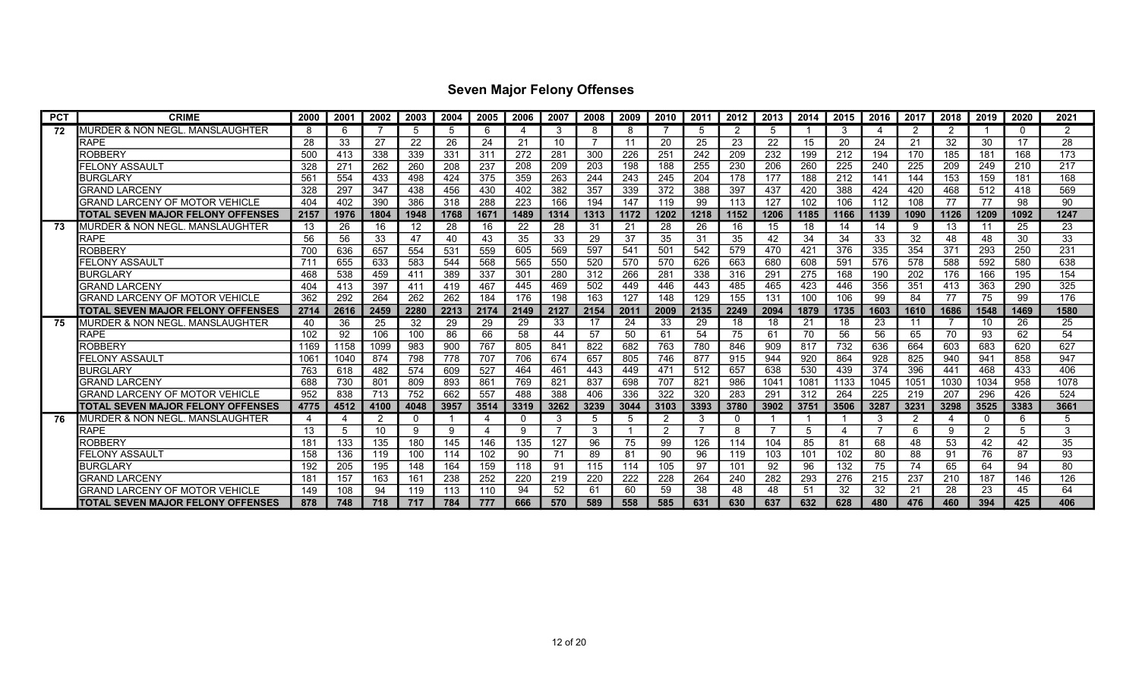| <b>PCT</b> | <b>CRIME</b>                               | 2000 | 2001            | 2002 | 2003     | 2004 | 2005 | 2006 | 2007 | 2008 | 2009 | 2010          | 2011 | 2012 | 2013 | 2014 | 2015 | 2016 | 2017 | 2018 | 2019 | 2020     | 2021          |
|------------|--------------------------------------------|------|-----------------|------|----------|------|------|------|------|------|------|---------------|------|------|------|------|------|------|------|------|------|----------|---------------|
| 72         | <b>MURDER &amp; NON NEGL. MANSLAUGHTER</b> | 8    | 6               |      | 5        | 5    | -6   | 4    | 3    | 8    | 8    |               |      | 2    | 5    |      | 3    | 4    | 2    | 2    |      | $\Omega$ | $\mathcal{P}$ |
|            | RAPE                                       | 28   | 33              | 27   | 22       | 26   | 24   | 21   | 10   | 7    | -11  | 20            | 25   | 23   | 22   | 15   | 20   | 24   | 21   | 32   | 30   | 17       | 28            |
|            | ROBBERY                                    | 500  | 413             | 338  | 339      | 331  | 311  | 272  | 281  | 300  | 226  | 251           | 242  | 209  | 232  | 199  | 212  | 194  | 170  | 185  | 181  | 168      | 173           |
|            | <b>FELONY ASSAULT</b>                      | 328  | 27 <sup>′</sup> | 262  | 260      | 208  | 237  | 208  | 209  | 203  | 198  | 188           | 255  | 230  | 206  | 260  | 225  | 240  | 225  | 209  | 249  | 210      | 217           |
|            | <b>BURGLARY</b>                            | 561  | 554             | 433  | 498      | 424  | 375  | 359  | 263  | 244  | 243  | 245           | 204  | 178  | 177  | 188  | 212  | 141  | 144  | 153  | 159  | 181      | 168           |
|            | GRAND LARCENY                              | 328  | 297             | 347  | 438      | 456  | 430  | 402  | 382  | 357  | 339  | 372           | 388  | 397  | 437  | 420  | 388  | 424  | 420  | 468  | 512  | 418      | 569           |
|            | <b>GRAND LARCENY OF MOTOR VEHICLE</b>      | 404  | 402             | 390  | 386      | 318  | 288  | 223  | 166  | 194  | 147  | 119           | 99   | 113  | 127  | 102  | 106  | 112  | 108  | 77   | 77   | 98       | 90            |
|            | TOTAL SEVEN MAJOR FELONY OFFENSES          | 2157 | 1976            | 1804 | 1948     | 1768 | 1671 | 1489 | 1314 | 1313 | 1172 | 1202          | 1218 | 1152 | 1206 | 1185 | 1166 | 1139 | 1090 | 1126 | 1209 | 1092     | 1247          |
| 73         | IMURDER & NON NEGL. MANSLAUGHTER           | 13   | 26              | 16   | 12       | 28   | 16   | 22   | 28   | 31   | 21   | 28            | 26   | 16   | 15   | 18   | 14   | 14   | 9    | 13   | 11   | 25       | 23            |
|            | <b>RAPE</b>                                | 56   | 56              | 33   | 47       | 40   | 43   | 35   | 33   | 29   | 37   | 35            | 31   | 35   | 42   | 34   | 34   | 33   | 32   | 48   | 48   | 30       | 33            |
|            | ROBBERY                                    | 700  | 636             | 657  | 554      | 531  | 559  | 605  | 569  | 597  | 541  | 501           | 542  | 579  | 470  | 421  | 376  | 335  | 354  | 371  | 293  | 250      | 231           |
|            | FELONY ASSAULT                             | 711  | 655             | 633  | 583      | 544  | 568  | 565  | 550  | 520  | 570  | 570           | 626  | 663  | 680  | 608  | 591  | 576  | 578  | 588  | 592  | 580      | 638           |
|            | <b>BURGLARY</b>                            | 468  | 538             | 459  | 411      | 389  | 337  | 301  | 280  | 312  | 266  | 281           | 338  | 316  | 291  | 275  | 168  | 190  | 202  | 176  | 166  | 195      | 154           |
|            | <b>GRAND LARCENY</b>                       | 404  | 413             | 397  | 411      | 419  | 467  | 445  | 469  | 502  | 449  | 446           | 443  | 485  | 465  | 423  | 446  | 356  | 351  | 413  | 363  | 290      | 325           |
|            | GRAND LARCENY OF MOTOR VEHICLE             | 362  | 292             | 264  | 262      | 262  | 184  | 176  | 198  | 163  | 127  | 148           | 129  | 155  | 131  | 100  | 106  | 99   | 84   | 77   | 75   | 99       | 176           |
|            | <b>ITOTAL SEVEN MAJOR FELONY OFFENSES</b>  | 2714 | 2616            | 2459 | 2280     | 2213 | 2174 | 2149 | 2127 | 2154 | 2011 | 2009          | 2135 | 2249 | 2094 | 1879 | 1735 | 1603 | 1610 | 1686 | 1548 | 1469     | 1580          |
| 75.        | MURDER & NON NEGL. MANSLAUGHTER            | 40   | 36              | 25   | 32       | 29   | 29   | 29   | 33   | 17   | 24   | 33            | 29   | 18   | 18   | 21   | 18   | 23   | 11   |      | 10   | 26       | 25            |
|            | <b>RAPE</b>                                | 102  | 92              | 106  | 100      | 86   | 66   | 58   | 44   | 57   | 50   | 61            | 54   | 75   | 61   | 70   | 56   | 56   | 65   | 70   | 93   | 62       | 54            |
|            | ROBBERY                                    | 1169 | 1158            | 1099 | 983      | 900  | 767  | 805  | 841  | 822  | 682  | 763           | 780  | 846  | 909  | 817  | 732  | 636  | 664  | 603  | 683  | 620      | 627           |
|            | <b>FELONY ASSAULT</b>                      | 1061 | 1040            | 874  | 798      | 778  | 707  | 706  | 674  | 657  | 805  | 746           | 877  | 915  | 944  | 920  | 864  | 928  | 825  | 940  | 941  | 858      | 947           |
|            | <b>BURGLARY</b>                            | 763  | 618             | 482  | 574      | 609  | 527  | 464  | 461  | 443  | 449  | 471           | 512  | 657  | 638  | 530  | 439  | 374  | 396  | 441  | 468  | 433      | 406           |
|            | <b>GRAND LARCENY</b>                       | 688  | 730             | 801  | 809      | 893  | 861  | 769  | 821  | 837  | 698  | 707           | 821  | 986  | 1041 | 1081 | 1133 | 1045 | 1051 | 1030 | 1034 | 958      | 1078          |
|            | GRAND LARCENY OF MOTOR VEHICLE             | 952  | 838             | 713  | 752      | 662  | 557  | 488  | 388  | 406  | 336  | 322           | 320  | 283  | 291  | 312  | 264  | 225  | 219  | 207  | 296  | 426      | 524           |
|            | TOTAL SEVEN MAJOR FELONY OFFENSES          | 4775 | 4512            | 4100 | 4048     | 3957 | 3514 | 3319 | 3262 | 3239 | 3044 | 3103          | 3393 | 3780 | 3902 | 3751 | 3506 | 3287 | 3231 | 3298 | 3525 | 3383     | 3661          |
| 76.        | MURDER & NON NEGL. MANSLAUGHTER            |      | Δ               | 2    | $\Omega$ |      |      | 0    | 3    | 5    | 5    | 2             | 3    | -0   |      |      |      | 3    | 2    | 4    | 0    | 6        | 5             |
|            | <b>RAPE</b>                                | 13   | -5              | 10   | 9        | 9    |      | 9    |      | 3    |      | $\mathcal{P}$ |      | 8    |      | -5   |      | -7   | 6    | 9    | 2    | 5        | 3             |
|            | ROBBERY                                    | 181  | 133             | 135  | 180      | 145  | 146  | 135  | 127  | 96   | 75   | 99            | 126  | 114  | 104  | 85   | 81   | 68   | 48   | 53   | 42   | 42       | 35            |
|            | FELONY ASSAULT                             | 158  | 136             | 119  | 100      | 114  | 102  | 90   | 71   | 89   | 81   | 90            | 96   | 119  | 103  | 101  | 102  | 80   | 88   | 91   | 76   | 87       | 93            |
|            | <b>BURGLARY</b>                            | 192  | 205             | 195  | 148      | 164  | 159  | 118  | 91   | 115  | 114  | 105           | 97   | 101  | 92   | 96   | 132  | 75   | 74   | 65   | 64   | 94       | 80            |
|            | <b>GRAND LARCENY</b>                       | 181  | 157             | 163  | 161      | 238  | 252  | 220  | 219  | 220  | 222  | 228           | 264  | 240  | 282  | 293  | 276  | 215  | 237  | 210  | 187  | 146      | 126           |
|            | GRAND LARCENY OF MOTOR VEHICLE             | 149  | 108             | 94   | 119      | 113  | 110  | 94   | 52   | 61   | 60   | 59            | 38   | 48   | 48   | 51   | 32   | 32   | 21   | 28   | 23   | 45       | 64            |
|            | <b>TOTAL SEVEN MAJOR FELONY OFFENSES</b>   | 878  | 748             | 718  | 717      | 784  | 777  | 666  | 570  | 589  | 558  | 585           | 631  | 630  | 637  | 632  | 628  | 480  | 476  | 460  | 394  | 425      | 406           |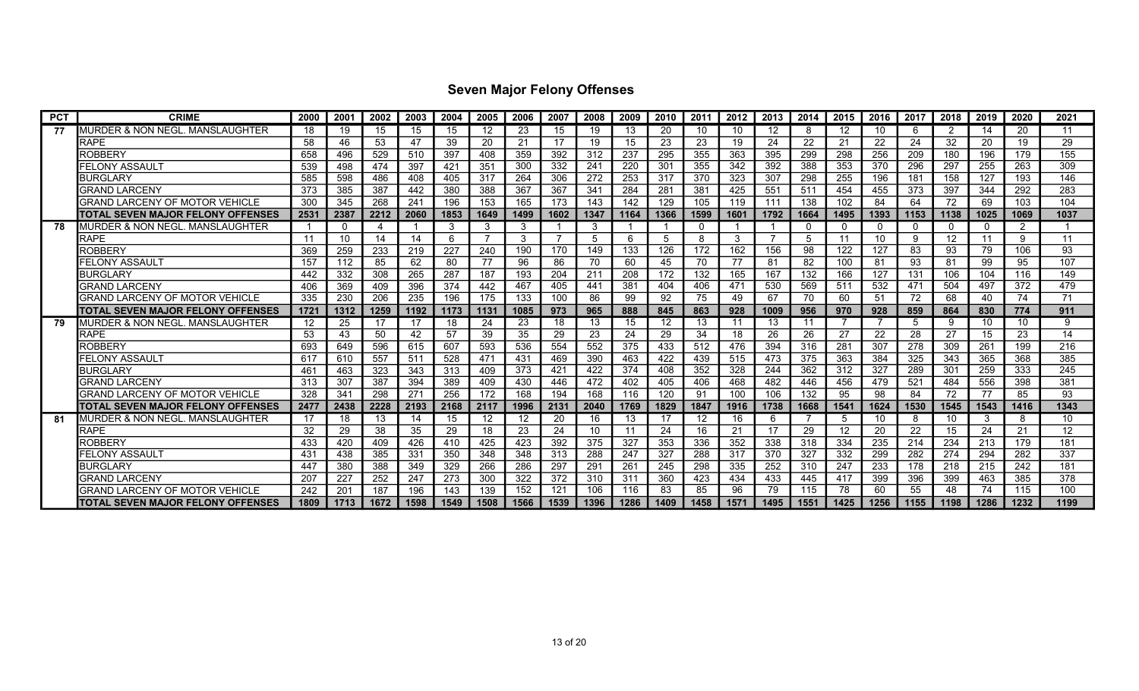| <b>PCT</b> | <b>CRIME</b>                             | 2000 | 2001            | 2002 | 2003 | 2004 | 2005 | 2006 | 2007 | 2008 | 2009 | 2010 | 2011 | 2012 | 2013 | 2014        | 2015 | 2016        | 2017 | 2018        | 2019     | 2020 | 2021              |
|------------|------------------------------------------|------|-----------------|------|------|------|------|------|------|------|------|------|------|------|------|-------------|------|-------------|------|-------------|----------|------|-------------------|
| 77         | MURDER & NON NEGL. MANSLAUGHTER          | 18   | 19              | 15   | 15   | 15   | -12  | 23   | 15   | 19   | 13   | 20   | 10   | 10   | 12   | -8          | 12   | 10          | 6    | 2           | 14       | 20   | 11                |
|            | RAPE                                     | 58   | 46              | 53   | 47   | 39   | 20   | 21   | 17   | 19   | 15   | 23   | 23   | 19   | 24   | 22          | 21   | 22          | 24   | 32          | 20       | 19   | 29                |
|            | ROBBERY                                  | 658  | 496             | 529  | 510  | 397  | 408  | 359  | 392  | 312  | 237  | 295  | 355  | 363  | 395  | 299         | 298  | 256         | 209  | 180         | 196      | 179  | 155               |
|            | <b>FELONY ASSAULT</b>                    | 539  | 498             | 474  | 397  | 421  | 351  | 300  | 332  | 241  | 220  | 301  | 355  | 342  | 392  | 388         | 353  | 370         | 296  | 297         | 255      | 263  | 309               |
|            | <b>BURGLARY</b>                          | 585  | 598             | 486  | 408  | 405  | 317  | 264  | 306  | 272  | 253  | 317  | 370  | 323  | 307  | 298         | 255  | 196         | 181  | 158         | 127      | 193  | 146               |
|            | <b>GRAND LARCENY</b>                     | 373  | 385             | 387  | 442  | 380  | 388  | 367  | 367  | 341  | 284  | 281  | 381  | 425  | 551  | 511         | 454  | 455         | 373  | 397         | 344      | 292  | 283               |
|            | GRAND LARCENY OF MOTOR VEHICLE           | 300  | 345             | 268  | 241  | 196  | 153  | 165  | 173  | 143  | 142  | 129  | 105  | 119  | 111  | 138         | 102  | 84          | 64   | 72          | 69       | 103  | 104               |
|            | <b>TOTAL SEVEN MAJOR FELONY OFFENSES</b> | 2531 | 2387            | 2212 | 2060 | 1853 | 1649 | 1499 | 1602 | 1347 | 1164 | 1366 | 1599 | 1601 | 1792 | 1664        | 1495 | 1393        | 1153 | 1138        | 1025     | 1069 | 1037              |
| 78         | MURDER & NON NEGL. MANSLAUGHTER          |      | $\mathbf 0$     | 4    |      | 3    | 3    | 3    |      | 3    |      |      |      |      |      | $\mathbf 0$ | 0    | $\mathbf 0$ | 0    | $\mathbf 0$ | $\Omega$ | 2    |                   |
|            | <b>RAPE</b>                              | 11   | 10              | 14   | 14   | 6    |      | 3    |      | 5    | 6    | 5    |      | 3    |      | -5          | 11   | 10          | 9    | 12          | 11       | 9    | 11                |
|            | ROBBERY                                  | 369  | 259             | 233  | 219  | 227  | 240  | 190  | 170  | 149  | 133  | 126  | 172  | 162  | 156  | 98          | 122  | 127         | 83   | 93          | 79       | 106  | 93                |
|            | FELONY ASSAULT                           | 157  | 112             | 85   | 62   | 80   | 77   | 96   | 86   | 70   | 60   | 45   | 70   | 77   | 81   | 82          | 100  | 81          | 93   | 81          | 99       | 95   | 107               |
|            | <b>BURGLARY</b>                          | 442  | 332             | 308  | 265  | 287  | 187  | 193  | 204  | 211  | 208  | 172  | 132  | 165  | 167  | 132         | 166  | 127         | 131  | 106         | 104      | 116  | 149               |
|            | <b>GRAND LARCENY</b>                     | 406  | 369             | 409  | 396  | 374  | 442  | 467  | 405  | 441  | 381  | 404  | 406  | 471  | 530  | 569         | 511  | 532         | 471  | 504         | 497      | 372  | 479               |
|            | GRAND LARCENY OF MOTOR VEHICLE           | 335  | 230             | 206  | 235  | 196  | 175  | 133  | 100  | 86   | 99   | 92   | 75   | 49   | 67   | 70          | 60   | 51          | 72   | 68          | 40       | 74   | 71                |
|            | TOTAL SEVEN MAJOR FELONY OFFENSES        | 1721 | 1312            | 1259 | 1192 | 1173 | 1131 | 1085 | 973  | 965  | 888  | 845  | 863  | 928  | 1009 | 956         | 970  | 928         | 859  | 864         | 830      | 774  | 911               |
| 79         | MURDER & NON NEGL. MANSLAUGHTER          | 12   | 25              | 17   | 17   | 18   | 24   | 23   | 18   | 13   | 15   | 12   | 13   | 11   | 13   | 11          |      | - 7         | 5    | -9          | 10       | 10   | 9                 |
|            | RAPE                                     | 53   | 43              | 50   | 42   | 57   | 39   | 35   | 29   | 23   | 24   | 29   | 34   | 18   | 26   | 26          | 27   | 22          | 28   | 27          | 15       | 23   | 14                |
|            | ROBBERY                                  | 693  | 649             | 596  | 615  | 607  | 593  | 536  | 554  | 552  | 375  | 433  | 512  | 476  | 394  | 316         | 281  | 307         | 278  | 309         | 261      | 199  | 216               |
|            | FELONY ASSAULT                           | 617  | 610             | 557  | 511  | 528  | 471  | 431  | 469  | 390  | 463  | 422  | 439  | 515  | 473  | 375         | 363  | 384         | 325  | 343         | 365      | 368  | 385               |
|            | <b>BURGLARY</b>                          | 461  | 463             | 323  | 343  | 313  | 409  | 373  | 421  | 422  | 374  | 408  | 352  | 328  | 244  | 362         | 312  | 327         | 289  | 301         | 259      | 333  | 245               |
|            | <b>GRAND LARCENY</b>                     | 313  | 307             | 387  | 394  | 389  | 409  | 430  | 446  | 472  | 402  | 405  | 406  | 468  | 482  | 446         | 456  | 479         | 521  | 484         | 556      | 398  | 381               |
|            | GRAND LARCENY OF MOTOR VEHICLE           | 328  | 34 <sup>′</sup> | 298  | 27'  | 256  | 172  | 168  | 194  | 168  | 116  | 120  | 91   | 100  | 106  | 132         | 95   | 98          | 84   | 72          | 77       | 85   | 93                |
|            | TOTAL SEVEN MAJOR FELONY OFFENSES        | 2477 | 2438            | 2228 | 2193 | 2168 | 2117 | 1996 | 2131 | 2040 | 1769 | 1829 | 1847 | 1916 | 1738 | 1668        | 1541 | 1624        | 1530 | 1545        | 1543     | 1416 | 1343              |
| 81         | MURDER & NON NEGL. MANSLAUGHTER          | 17   | 18              | 13   | 14   | 15   | 12   | 12   | 20   | 16   | 13   | 17   | 12   | 16   | 6    |             | 5    | 10          | 8    | 10          | 3        | 8    | 10                |
|            | RAPE                                     | 32   | 29              | 38   | 35   | 29   | 18   | 23   | 24   | 10   | 11   | 24   | 16   | 21   | 17   | 29          | 12   | 20          | 22   | 15          | 24       | 21   | $12 \overline{ }$ |
|            | ROBBERY                                  | 433  | 420             | 409  | 426  | 410  | 425  | 423  | 392  | 375  | 327  | 353  | 336  | 352  | 338  | 318         | 334  | 235         | 214  | 234         | 213      | 179  | 181               |
|            | FELONY ASSAULT                           | 431  | 438             | 385  | 331  | 350  | 348  | 348  | 313  | 288  | 247  | 327  | 288  | 317  | 370  | 327         | 332  | 299         | 282  | 274         | 294      | 282  | 337               |
|            | <b>BURGLARY</b>                          | 447  | 380             | 388  | 349  | 329  | 266  | 286  | 297  | 291  | 261  | 245  | 298  | 335  | 252  | 310         | 247  | 233         | 178  | 218         | 215      | 242  | 181               |
|            | GRAND LARCENY                            | 207  | 227             | 252  | 247  | 273  | 300  | 322  | 372  | 310  | 311  | 360  | 423  | 434  | 433  | 445         | 417  | 399         | 396  | 399         | 463      | 385  | 378               |
|            | GRAND LARCENY OF MOTOR VEHICLE           | 242  | 20 <sup>1</sup> | 187  | 196  | 143  | 139  | 152  | 121  | 106  | 116  | 83   | 85   | 96   | 79   | 115         | 78   | 60          | 55   | 48          | 74       | 115  | 100               |
|            | ITOTAL SEVEN MAJOR FELONY OFFENSES       | 1809 | 1713            | 1672 | 1598 | 1549 | 1508 | 1566 | 1539 | 1396 | 1286 | 1409 | 1458 | 1571 | 1495 | 1551        | 1425 | 1256        | 1155 | 1198        | 1286     | 1232 | 1199              |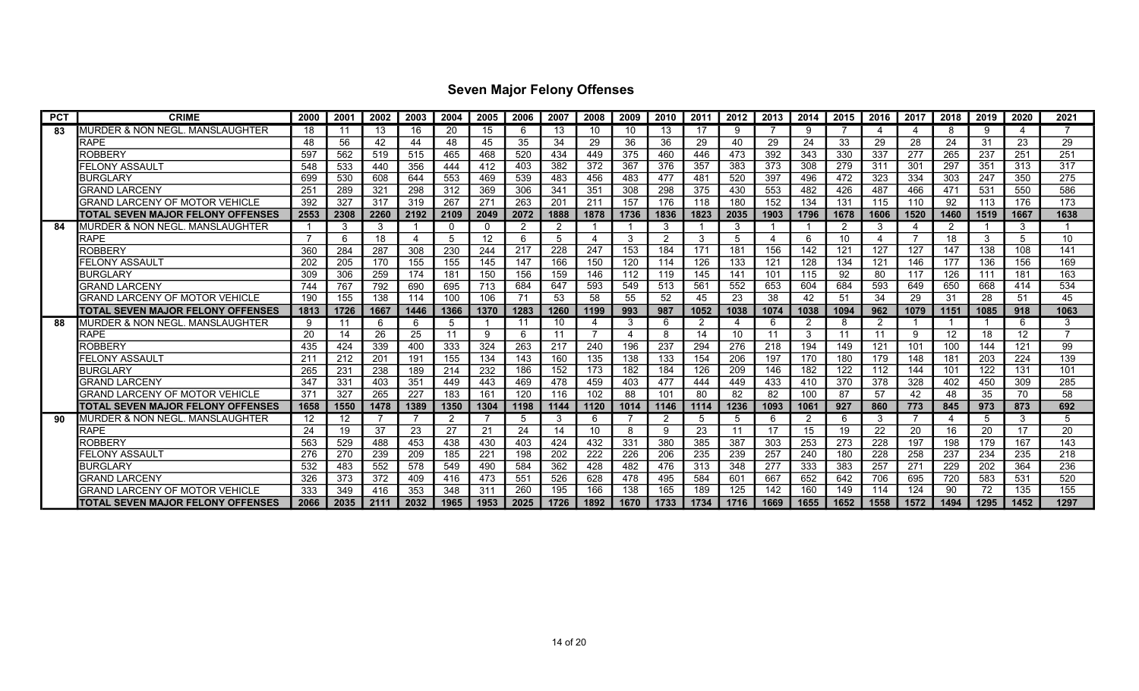| <b>PCT</b> | <b>CRIME</b>                             | 2000            | 2001    | 2002 | 2003 | 2004 | 2005 | 2006 | 2007           | 2008           | 2009 | 2010           | 2011 | 2012 | 2013 | 2014           | 2015 | 2016 | 2017 | 2018           | 2019 | 2020                      | 2021 |
|------------|------------------------------------------|-----------------|---------|------|------|------|------|------|----------------|----------------|------|----------------|------|------|------|----------------|------|------|------|----------------|------|---------------------------|------|
| 83         | MURDER & NON NEGL. MANSLAUGHTER          | 18              | 11      | 13   | 16   | 20   | 15   | 6    | 13             | 10             | 10   | 13             |      | 9    |      | -9             |      | -4   | Δ    | 8              | 9    | $\boldsymbol{\varLambda}$ |      |
|            | <b>RAPE</b>                              | 48              | 56      | 42   | 44   | 48   | 45   | 35   | 34             | 29             | 36   | 36             | 29   | 40   | 29   | 24             | 33   | 29   | 28   | 24             | 31   | 23                        | 29   |
|            | <b>ROBBERY</b>                           | 597             | 562     | 519  | 515  | 465  | 468  | 520  | 434            | 449            | 375  | 460            | 446  | 473  | 392  | 343            | 330  | 337  | 277  | 265            | 237  | 251                       | 251  |
|            | FELONY ASSAULT                           | 548             | 533     | 440  | 356  | 444  | 412  | 403  | 382            | 372            | 367  | 376            | 357  | 383  | 373  | 308            | 279  | 311  | 301  | 297            | 351  | 313                       | 317  |
|            | <b>BURGLARY</b>                          | 699             | 530     | 608  | 644  | 553  | 469  | 539  | 483            | 456            | 483  | 477            | 481  | 520  | 397  | 496            | 472  | 323  | 334  | 303            | 247  | 350                       | 275  |
|            | GRAND LARCENY                            | 25 <sup>′</sup> | 289     | 321  | 298  | 312  | 369  | 306  | 341            | 351            | 308  | 298            | 375  | 430  | 553  | 482            | 426  | 487  | 466  | 471            | 531  | 550                       | 586  |
|            | GRAND LARCENY OF MOTOR VEHICLE           | 392             | 327     | 317  | 319  | 267  | 27'  | 263  | 201            | 211            | 157  | 176            | 118  | 180  | 152  | 134            | 131  | 115  | 110  | 92             | 113  | 176                       | 173  |
|            | TOTAL SEVEN MAJOR FELONY OFFENSES        | 2553            | 2308    | 2260 | 2192 | 2109 | 2049 | 2072 | 1888           | 1878           | 1736 | 1836           | 1823 | 2035 | 1903 | 1796           | 1678 | 1606 | 1520 | 1460           | 1519 | 1667                      | 1638 |
| 84         | MURDER & NON NEGL. MANSLAUGHTER          |                 | -3      | 3    |      | 0    | -0   | 2    | $\overline{2}$ |                |      | 3              |      | 3    |      |                | 2    | 3    | 4    | 2              |      | 3                         |      |
|            | <b>RAPE</b>                              |                 | 6       | 18   | 4    | 5    | 12   | 6    | 5              | 4              | 3    | $\overline{2}$ |      | .5   |      | 6              | 10   |      |      | 18             | 3    | .5                        | 10   |
|            | ROBBERY                                  | 360             | 284     | 287  | 308  | 230  | 244  | 217  | 228            | 247            | 153  | 184            | 171  | 181  | 156  | 142            | 121  | 127  | 127  | 147            | 138  | 108                       | 141  |
|            | FELONY ASSAULT                           | 202             | 205     | 170  | 155  | 155  | 145  | 147  | 166            | 150            | 120  | 114            | 126  | 133  | 121  | 128            | 134  | 121  | 146  | 177            | 136  | 156                       | 169  |
|            | <b>BURGLARY</b>                          | 309             | 306     | 259  | 174  | 181  | 150  | 156  | 159            | 146            | 112  | 119            | 145  | 141  | 101  | 115            | 92   | 80   | 117  | 126            | 111  | 181                       | 163  |
|            | <b>GRAND LARCENY</b>                     | 744             | 767     | 792  | 690  | 695  | 713  | 684  | 647            | 593            | 549  | 513            | 561  | 552  | 653  | 604            | 684  | 593  | 649  | 650            | 668  | 414                       | 534  |
|            | GRAND LARCENY OF MOTOR VEHICLE           | 190             | 155     | 138  | 114  | 100  | 106  | 71   | 53             | 58             | 55   | 52             | 45   | 23   | 38   | 42             | 51   | 34   | 29   | 31             | 28   | 51                        | 45   |
|            | TOTAL SEVEN MAJOR FELONY OFFENSES        | 1813            | 1726    | 1667 | 1446 | 1366 | 1370 | 1283 | 1260           | 1199           | 993  | 987            | 1052 | 1038 | 1074 | 1038           | 1094 | 962  | 1079 | 1151           | 1085 | 918                       | 1063 |
| 88         | MURDER & NON NEGL. MANSLAUGHTER          | 9               | 11      | 6    | 6    | 5    |      | 11   | 10             | 4              | 3    | 6              | 2    | 4    | 6    | $\overline{2}$ | 8    | 2    |      |                |      | 6                         | 3    |
|            | <b>RAPE</b>                              | 20              | 14      | 26   | 25   | 11   | 9    | 6    | 11             | $\overline{7}$ |      | 8              | 14   | 10   |      | 3              | 11   | 11   | 9    | 12             | 18   | 12                        |      |
|            | <b>ROBBERY</b>                           | 435             | 424     | 339  | 400  | 333  | 324  | 263  | 217            | 240            | 196  | 237            | 294  | 276  | 218  | 194            | 149  | 121  | 101  | 100            | 144  | 121                       | 99   |
|            | FELONY ASSAULT                           | 211             | 212     | 201  | 191  | 155  | 134  | 143  | 160            | 135            | 138  | 133            | 154  | 206  | 197  | 170            | 180  | 179  | 148  | 181            | 203  | 224                       | 139  |
|            | <b>BURGLARY</b>                          | 265             | 231     | 238  | 189  | 214  | 232  | 186  | 152            | 173            | 182  | 184            | 126  | 209  | 146  | 182            | 122  | 112  | 144  | 101            | 122  | 131                       | 101  |
|            | <b>GRAND LARCENY</b>                     | 347             | 331     | 403  | 351  | 449  | 443  | 469  | 478            | 459            | 403  | 477            | 444  | 449  | 433  | 410            | 370  | 378  | 328  | 402            | 450  | 309                       | 285  |
|            | GRAND LARCENY OF MOTOR VEHICLE           | 371             | 327     | 265  | 227  | 183  | 161  | 120  | 116            | 102            | 88   | 101            | 80   | 82   | 82   | 100            | 87   | 57   | 42   | 48             | 35   | 70                        | 58   |
|            | TOTAL SEVEN MAJOR FELONY OFFENSES        | 1658            | 1550    | 1478 | 1389 | 1350 | 1304 | 1198 | 1144           | 1120           | 1014 | 1146           | 1114 | 1236 | 1093 | 1061           | 927  | 860  | 773  | 845            | 973  | 873                       | 692  |
| 90         | MURDER & NON NEGL. MANSLAUGHTER          | 12              | $12 \,$ |      |      | 2    |      | 5    | 3              | 6              |      | 2              |      | 5    | 6    | $\overline{2}$ | 6    | 3    |      | $\overline{4}$ | 5    | 3                         | 5    |
|            | <b>RAPE</b>                              | 24              | 19      | 37   | 23   | 27   | 21   | 24   | 14             | 10             | 8    | 9              | 23   | 11   | 17   | 15             | 19   | 22   | 20   | 16             | 20   | 17                        | 20   |
|            | ROBBERY                                  | 563             | 529     | 488  | 453  | 438  | 430  | 403  | 424            | 432            | 331  | 380            | 385  | 387  | 303  | 253            | 273  | 228  | 197  | 198            | 179  | 167                       | 143  |
|            | FELONY ASSAULT                           | 276             | 270     | 239  | 209  | 185  | 221  | 198  | 202            | 222            | 226  | 206            | 235  | 239  | 257  | 240            | 180  | 228  | 258  | 237            | 234  | 235                       | 218  |
|            | <b>BURGLARY</b>                          | 532             | 483     | 552  | 578  | 549  | 490  | 584  | 362            | 428            | 482  | 476            | 313  | 348  | 277  | 333            | 383  | 257  | 271  | 229            | 202  | 364                       | 236  |
|            | <b>GRAND LARCENY</b>                     | 326             | 373     | 372  | 409  | 416  | 473  | 551  | 526            | 628            | 478  | 495            | 584  | 601  | 667  | 652            | 642  | 706  | 695  | 720            | 583  | 531                       | 520  |
|            | GRAND LARCENY OF MOTOR VEHICLE           | 333             | 349     | 416  | 353  | 348  | 31'  | 260  | 195            | 166            | 138  | 165            | 189  | 125  | 142  | 160            | 149  | 114  | 124  | 90             | 72   | 135                       | 155  |
|            | <b>TOTAL SEVEN MAJOR FELONY OFFENSES</b> | 2066            | 2035    | 2111 | 2032 | 1965 | 1953 | 2025 | 1726           | 1892           | 1670 | 1733           | 1734 | 1716 | 1669 | 1655           | 1652 | 1558 | 1572 | 1494           | 1295 | 1452                      | 1297 |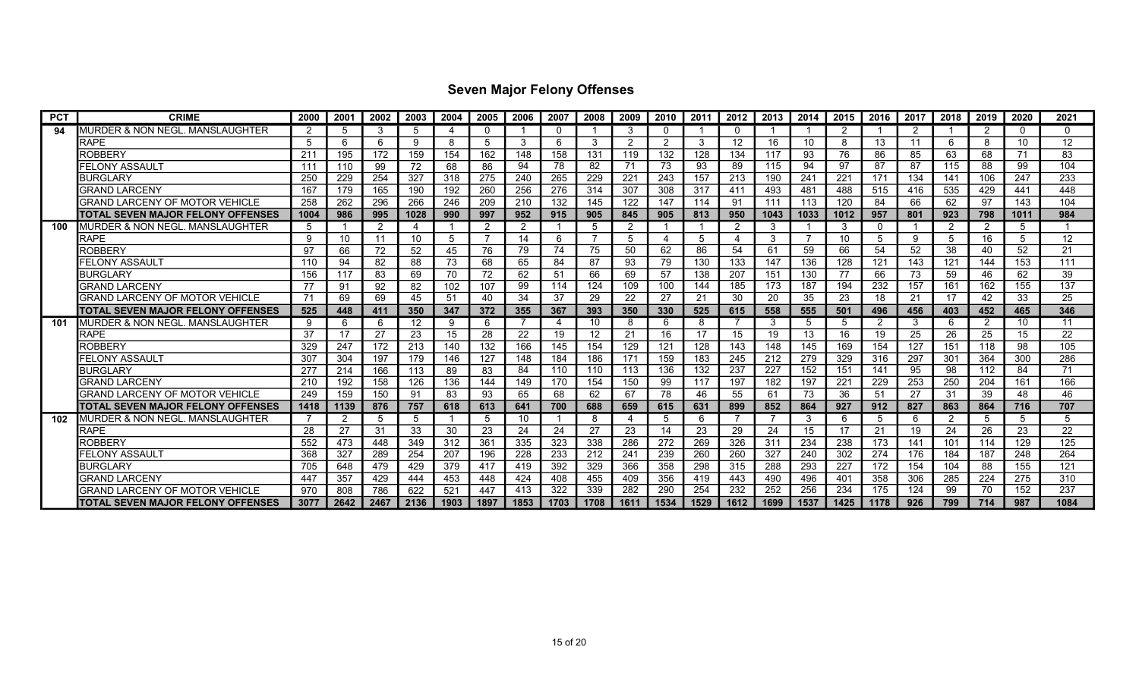| <b>PCT</b> | <b>CRIME</b>                             | 2000 | 2001           | 2002           | 2003         | 2004 | 2005 | 2006 | 2007 | 2008 | 2009          | 2010 | 2011 | 2012 | 2013 | 2014 | 2015 | 2016        | 2017 | 2018           | 2019 | 2020           | 2021              |
|------------|------------------------------------------|------|----------------|----------------|--------------|------|------|------|------|------|---------------|------|------|------|------|------|------|-------------|------|----------------|------|----------------|-------------------|
| 94         | MURDER & NON NEGL. MANSLAUGHTER          | 2    | 5              | 3              |              | 4    | - 0  |      |      |      |               | 0    |      | 0    |      |      | 2    |             | 2    |                | 2    | $\Omega$       | 0                 |
|            | <b>RAPE</b>                              | 5    | 6              | 6              | <sub>9</sub> | 8    | .5   | 3    | 6    | 3    | $\mathcal{P}$ | 2    | З    | 12   | 16   | 10   | 8    | 13          | 11   | 6              | 8    | 10             | $12 \overline{ }$ |
|            | <b>ROBBERY</b>                           | 211  | 195            | 172            | 159          | 154  | 162  | 148  | 158  | 131  | 119           | 132  | 128  | 134  | 117  | 93   | 76   | 86          | 85   | 63             | 68   | 71             | 83                |
|            | FELONY ASSAULT                           | 111  | 110            | 99             | 72           | 68   | 86   | 94   | 78   | 82   | 71            | 73   | 93   | 89   | 115  | 94   | 97   | 87          | 87   | 115            | 88   | 99             | 104               |
|            | <b>BURGLARY</b>                          | 250  | 229            | 254            | 327          | 318  | 275  | 240  | 265  | 229  | 221           | 243  | 157  | 213  | 190  | 241  | 221  | 171         | 134  | 141            | 106  | 247            | 233               |
|            | <b>GRAND LARCENY</b>                     | 167  | 179            | 165            | 190          | 192  | 260  | 256  | 276  | 314  | 307           | 308  | 317  | 411  | 493  | 481  | 488  | 515         | 416  | 535            | 429  | 441            | 448               |
|            | <b>GRAND LARCENY OF MOTOR VEHICLE</b>    | 258  | 262            | 296            | 266          | 246  | 209  | 210  | 132  | 145  | 122           | 147  | 114  | 91   | 111  | 113  | 120  | 84          | 66   | 62             | 97   | 143            | 104               |
|            | ITOTAL SEVEN MAJOR FELONY OFFENSES       | 1004 | 986            | 995            | 1028         | 990  | 997  | 952  | 915  | 905  | 845           | 905  | 813  | 950  | 1043 | 1033 | 1012 | 957         | 801  | 923            | 798  | 1011           | 984               |
| 100        | IMURDER & NON NEGL. MANSLAUGHTER         | 5    |                | $\overline{2}$ | 4            |      | -2   | 2    |      | 5    | 2             |      |      | 2    | 3    |      | 3    | $\mathbf 0$ |      | 2              | 2    | -5             |                   |
|            | <b>RAPE</b>                              | 9    | 10             | 11             | 10           | 5    |      | 14   | 6    | 7    | 5             |      |      |      | 3    |      | 10   | 5           | 9    | 5              | 16   | $\overline{5}$ | 12                |
|            | <b>ROBBERY</b>                           | 97   | 66             | 72             | 52           | 45   | 76   | 79   | 74   | 75   | 50            | 62   | 86   | 54   | 61   | 59   | 66   | 54          | 52   | 38             | 40   | 52             | 21                |
|            | FELONY ASSAULT                           | 110  | 94             | 82             | 88           | 73   | 68   | 65   | 84   | 87   | 93            | 79   | 130  | 133  | 147  | 136  | 128  | 121         | 143  | 121            | 144  | 153            | 111               |
|            | <b>BURGLARY</b>                          | 156  | 117            | 83             | 69           | 70   | 72   | 62   | 51   | 66   | 69            | 57   | 138  | 207  | 151  | 130  | 77   | 66          | 73   | 59             | 46   | 62             | 39                |
|            | <b>GRAND LARCENY</b>                     | 77   | 91             | 92             | -82          | 102  | 107  | 99   | 114  | 124  | 109           | 100  | 144  | 185  | 173  | 187  | 194  | 232         | 157  | 161            | 162  | 155            | 137               |
|            | GRAND LARCENY OF MOTOR VEHICLE           | 71   | 69             | 69             | 45           | 51   | 40   | 34   | 37   | 29   | 22            | 27   | 21   | 30   | 20   | 35   | 23   | 18          | 21   | 17             | 42   | 33             | 25                |
|            | ITOTAL SEVEN MAJOR FELONY OFFENSES       | 525  | 448            | 411            | 350          | 347  | 372  | 355  | 367  | 393  | 350           | 330  | 525  | 615  | 558  | 555  | 501  | 496         | 456  | 403            | 452  | 465            | 346               |
| 101        | IMURDER & NON NEGL. MANSLAUGHTER         | 9    | 6              | 6              | 12           | 9    | -6   |      | 4    | 10   | 8             | 6    |      |      | 3    | -5   | 5    | 2           | 3    | 6              | 2    | 10             | 11                |
|            | <b>RAPE</b>                              | 37   | 17             | 27             | 23           | 15   | 28   | 22   | 19   | 12   | 21            | 16   | 17   | 15   | 19   | 13   | 16   | 19          | 25   | 26             | 25   | 15             | 22                |
|            | <b>ROBBERY</b>                           | 329  | 247            | 172            | 213          | 140  | 132  | 166  | 145  | 154  | 129           | 121  | 128  | 143  | 148  | 145  | 169  | 154         | 127  | 151            | 118  | 98             | 105               |
|            | FELONY ASSAULT                           | 307  | 304            | 197            | 179          | 146  | 127  | 148  | 184  | 186  | 171           | 159  | 183  | 245  | 212  | 279  | 329  | 316         | 297  | 301            | 364  | 300            | 286               |
|            | <b>BURGLARY</b>                          | 277  | 214            | 166            | 113          | 89   | 83   | 84   | 110  | 110  | 113           | 136  | 132  | 237  | 227  | 152  | 151  | 141         | 95   | 98             | 112  | 84             | 71                |
|            | <b>GRAND LARCENY</b>                     | 210  | 192            | 158            | 126          | 136  | 144  | 149  | 170  | 154  | 150           | 99   | 117  | 197  | 182  | 197  | 221  | 229         | 253  | 250            | 204  | 161            | 166               |
|            | GRAND LARCENY OF MOTOR VEHICLE           | 249  | 159            | 150            | 91           | 83   | 93   | 65   | 68   | 62   | 67            | 78   | 46   | 55   | 61   | 73   | 36   | 51          | 27   | 31             | 39   | 48             | 46                |
|            | TOTAL SEVEN MAJOR FELONY OFFENSES        | 1418 | 1139           | 876            | 757          | 618  | 613  | 641  | 700  | 688  | 659           | 615  | 631  | 899  | 852  | 864  | 927  | 912         | 827  | 863            | 864  | 716            | 707               |
| 102        | MURDER & NON NEGL. MANSLAUGHTER          |      | $\overline{2}$ | 5              | 5            |      | -5   | 10   |      | 8    | 4             | 5    |      |      |      | 3    | 6    | 5           | 6    | $\overline{2}$ | 5    | 5              | 5                 |
|            | <b>RAPE</b>                              | 28   | 27             | 31             | 33           | 30   | 23   | 24   | 24   | 27   | 23            | 14   | 23   | 29   | 24   | 15   | 17   | 21          | 19   | 24             | 26   | 23             | 22                |
|            | ROBBERY                                  | 552  | 473            | 448            | 349          | 312  | 361  | 335  | 323  | 338  | 286           | 272  | 269  | 326  | 311  | 234  | 238  | 173         | 141  | 101            | 114  | 129            | 125               |
|            | FELONY ASSAULT                           | 368  | 327            | 289            | 254          | 207  | 196  | 228  | 233  | 212  | 241           | 239  | 260  | 260  | 327  | 240  | 302  | 274         | 176  | 184            | 187  | 248            | 264               |
|            | <b>BURGLARY</b>                          | 705  | 648            | 479            | 429          | 379  | 417  | 419  | 392  | 329  | 366           | 358  | 298  | 315  | 288  | 293  | 227  | 172         | 154  | 104            | 88   | 155            | 121               |
|            | <b>GRAND LARCENY</b>                     | 447  | 357            | 429            | 444          | 453  | 448  | 424  | 408  | 455  | 409           | 356  | 419  | 443  | 490  | 496  | 401  | 358         | 306  | 285            | 224  | 275            | 310               |
|            | GRAND LARCENY OF MOTOR VEHICLE           | 970  | 808            | 786            | 622          | 521  | 447  | 413  | 322  | 339  | 282           | 290  | 254  | 232  | 252  | 256  | 234  | 175         | 124  | 99             | 70   | 152            | 237               |
|            | <b>TOTAL SEVEN MAJOR FELONY OFFENSES</b> | 3077 | 2642           | 2467           | 2136         | 1903 | 1897 | 1853 | 1703 | 1708 | 1611          | 1534 | 1529 | 1612 | 1699 | 1537 | 1425 | 1178        | 926  | 799            | 714  | 987            | 1084              |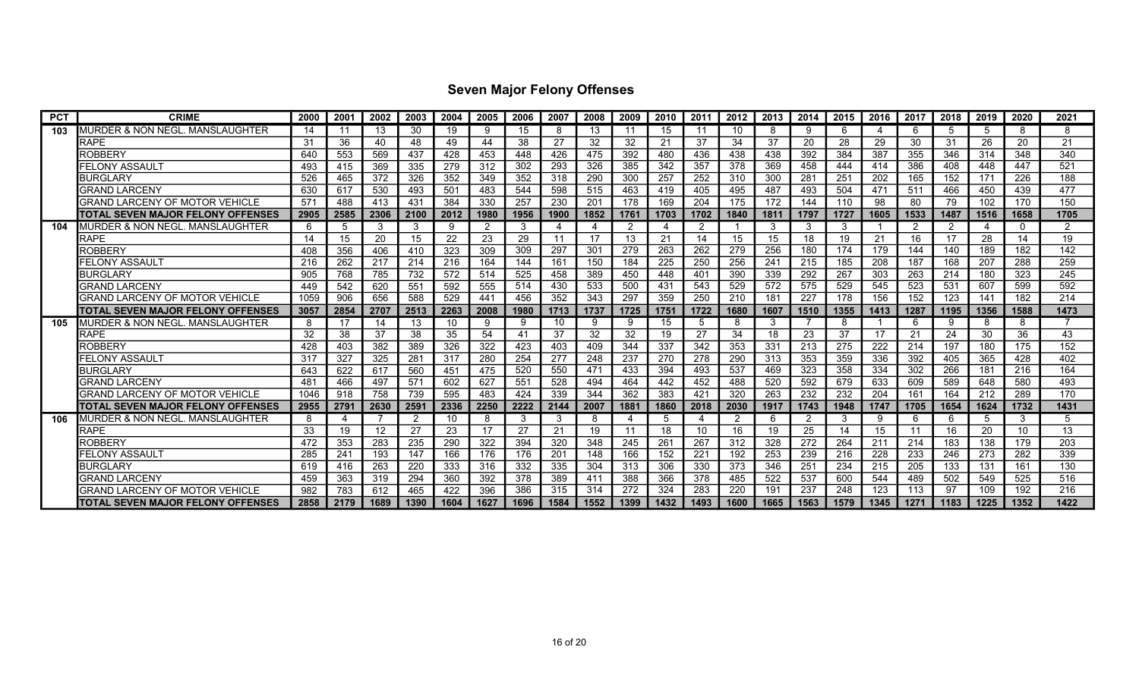| <b>PCT</b> | <b>CRIME</b>                          | 2000 | 2001     | 2002              | 2003            | 2004 | 2005 | 2006 | 2007 | 2008 | 2009 | 2010 | 2011 | 2012 | 2013 | 2014           | 2015 | 2016 | 2017 | 2018 | 2019           | 2020 | 2021 |
|------------|---------------------------------------|------|----------|-------------------|-----------------|------|------|------|------|------|------|------|------|------|------|----------------|------|------|------|------|----------------|------|------|
| 103        | MURDER & NON NEGL. MANSLAUGHTER       | 14   | -11      | 13                | 30              | 19   | -9   | 15   |      | 13   | -11  | 15   |      | 10   | 8    | 9              | 6    | 4    | 6    | 5    | 5              | 8    | 8    |
|            | <b>RAPE</b>                           | 31   | 36       | 40                | 48              | 49   | 44   | 38   | 27   | 32   | 32   | 21   | 37   | 34   | 37   | 20             | 28   | 29   | 30   | 31   | 26             | 20   | 21   |
|            | <b>ROBBERY</b>                        | 640  | 553      | 569               | 437             | 428  | 453  | 448  | 426  | 475  | 392  | 480  | 436  | 438  | 438  | 392            | 384  | 387  | 355  | 346  | 314            | 348  | 340  |
|            | FELONY ASSAULT                        | 493  | 415      | 369               | 335             | 279  | 312  | 302  | 293  | 326  | 385  | 342  | 357  | 378  | 369  | 458            | 444  | 414  | 386  | 408  | 448            | 447  | 521  |
|            | <b>BURGLARY</b>                       | 526  | 465      | 372               | 326             | 352  | 349  | 352  | 318  | 290  | 300  | 257  | 252  | 310  | 300  | 281            | 251  | 202  | 165  | 152  | 171            | 226  | 188  |
|            | <b>GRAND LARCENY</b>                  | 630  | 617      | 530               | 493             | 501  | 483  | 544  | 598  | 515  | 463  | 419  | 405  | 495  | 487  | 493            | 504  | 471  | 511  | 466  | 450            | 439  | 477  |
|            | <b>GRAND LARCENY OF MOTOR VEHICLE</b> | 571  | 488      | 413               | 431             | 384  | 330  | 257  | 230  | 201  | 178  | 169  | 204  | 175  | 172  | 144            | 110  | 98   | 80   | 79   | 102            | 170  | 150  |
|            | ITOTAL SEVEN MAJOR FELONY OFFENSES    | 2905 | 2585     | 2306              | 2100            | 2012 | 1980 | 1956 | 1900 | 1852 | 1761 | 1703 | 1702 | 1840 | 1811 | 1797           | 1727 | 1605 | 1533 | 1487 | 1516           | 1658 | 1705 |
| 104        | MURDER & NON NEGL. MANSLAUGHTER       | 6    | 5        | 3                 | 3               | 9    | -2   | 3    | 4    | 4    | 2    | 4    |      |      | 3    | 3              | 3    |      | 2    | -2   | $\overline{4}$ | 0    | റ    |
|            | <b>RAPE</b>                           | 14   | 15       | 20                | 15              | 22   | 23   | 29   | 11   | 17   | 13   | 21   | 14   | 15   | 15   | 18             | 19   | 21   | 16   | 17   | 28             | 14   | 19   |
|            | <b>ROBBERY</b>                        | 408  | 356      | 406               | 41 <sub>C</sub> | 323  | 309  | 309  | 297  | 301  | 279  | 263  | 262  | 279  | 256  | 180            | 174  | 179  | 144  | 140  | 189            | 182  | 142  |
|            | FELONY ASSAULT                        | 216  | 262      | 217               | 214             | 216  | 164  | 144  | 161  | 150  | 184  | 225  | 250  | 256  | 241  | 215            | 185  | 208  | 187  | 168  | 207            | 288  | 259  |
|            | <b>BURGLARY</b>                       | 905  | 768      | 785               | 732             | 572  | 514  | 525  | 458  | 389  | 450  | 448  | 401  | 390  | 339  | 292            | 267  | 303  | 263  | 214  | 180            | 323  | 245  |
|            | <b>GRAND LARCENY</b>                  | 449  | 542      | 620               | 551             | 592  | 555  | 514  | 430  | 533  | 500  | 431  | 543  | 529  | 572  | 575            | 529  | 545  | 523  | 531  | 607            | 599  | 592  |
|            | GRAND LARCENY OF MOTOR VEHICLE        | 1059 | 906      | 656               | 588             | 529  | 441  | 456  | 352  | 343  | 297  | 359  | 250  | 210  | 181  | 227            | 178  | 156  | 152  | 123  | 141            | 182  | 214  |
|            | ITOTAL SEVEN MAJOR FELONY OFFENSES    | 3057 | 2854     | 2707              | 2513            | 2263 | 2008 | 1980 | 1713 | 1737 | 1725 | 1751 | 1722 | 1680 | 1607 | 1510           | 1355 | 1413 | 1287 | 1195 | 1356           | 1588 | 1473 |
| 105        | MURDER & NON NEGL. MANSLAUGHTER       | 8    | 17       | 14                | 13              | 10   | -9   | 9    | 10   | 9    | 9    | 15   |      | 8    | 3    |                | 8    |      | 6    | 9    | 8              | 8    |      |
|            | <b>RAPE</b>                           | 32   | 38       | 37                | 38              | 35   | 54   | 41   | 37   | 32   | 32   | 19   | 27   | 34   | 18   | 23             | 37   | 17   | 21   | 24   | 30             | 36   | 43   |
|            | <b>ROBBERY</b>                        | 428  | 403      | 382               | 389             | 326  | 322  | 423  | 403  | 409  | 344  | 337  | 342  | 353  | 331  | 213            | 275  | 222  | 214  | 197  | 180            | 175  | 152  |
|            | FELONY ASSAULT                        | 317  | 327      | 325               | 281             | 317  | 280  | 254  | 277  | 248  | 237  | 270  | 278  | 290  | 313  | 353            | 359  | 336  | 392  | 405  | 365            | 428  | 402  |
|            | <b>BURGLARY</b>                       | 643  | 622      | 617               | 560             | 451  | 475  | 520  | 550  | 471  | 433  | 394  | 493  | 537  | 469  | 323            | 358  | 334  | 302  | 266  | 181            | 216  | 164  |
|            | <b>GRAND LARCENY</b>                  | 481  | 466      | 497               | 571             | 602  | 627  | 551  | 528  | 494  | 464  | 442  | 452  | 488  | 520  | 592            | 679  | 633  | 609  | 589  | 648            | 580  | 493  |
|            | GRAND LARCENY OF MOTOR VEHICLE        | 1046 | 918      | 758               | 739             | 595  | 483  | 424  | 339  | 344  | 362  | 383  | 421  | 320  | 263  | 232            | 232  | 204  | 161  | 164  | 212            | 289  | 170  |
|            | TOTAL SEVEN MAJOR FELONY OFFENSES     | 2955 | 2791     | 2630              | 2591            | 2336 | 2250 | 2222 | 2144 | 2007 | 1881 | 1860 | 2018 | 2030 | 1917 | 1743           | 1948 | 1747 | 1705 | 1654 | 1624           | 1732 | 1431 |
| 106        | MURDER & NON NEGL. MANSLAUGHTER       | 8    | $\Delta$ |                   | -2              | 10   | 8    | 3    | 3    | 8    | 4    | 5    |      | 2    | 6    | $\overline{2}$ | 3    | 9    | 6    | 6    | 5              | 3    | 5    |
|            | <b>RAPE</b>                           | 33   | 19       | $12 \overline{ }$ | -27             | 23   | 17   | 27   | 21   | 19   | 11   | 18   | 10   | 16   | 19   | 25             | 14   | 15   | 11   | 16   | 20             | 10   | 13   |
|            | ROBBERY                               | 472  | 353      | 283               | 235             | 290  | 322  | 394  | 320  | 348  | 245  | 261  | 267  | 312  | 328  | 272            | 264  | 211  | 214  | 183  | 138            | 179  | 203  |
|            | FELONY ASSAUL1                        | 285  | 241      | 193               | 147             | 166  | 176  | 176  | 201  | 148  | 166  | 152  | 221  | 192  | 253  | 239            | 216  | 228  | 233  | 246  | 273            | 282  | 339  |
|            | <b>BURGLARY</b>                       | 619  | 416      | 263               | 220             | 333  | 316  | 332  | 335  | 304  | 313  | 306  | 330  | 373  | 346  | 251            | 234  | 215  | 205  | 133  | 131            | 161  | 130  |
|            | <b>GRAND LARCENY</b>                  | 459  | 363      | 319               | 294             | 360  | 392  | 378  | 389  | 411  | 388  | 366  | 378  | 485  | 522  | 537            | 600  | 544  | 489  | 502  | 549            | 525  | 516  |
|            | <b>GRAND LARCENY OF MOTOR VEHICLE</b> | 982  | 783      | 612               | 465             | 422  | 396  | 386  | 315  | 314  | 272  | 324  | 283  | 220  | 191  | 237            | 248  | 123  | 113  | 97   | 109            | 192  | 216  |
|            | ITOTAL SEVEN MAJOR FELONY OFFENSES    | 2858 | 2179     | 1689              | 1390            | 1604 | 1627 | 1696 | 1584 | 1552 | 1399 | 1432 | 1493 | 1600 | 1665 | 1563           | 1579 | 1345 | 1271 | 1183 | 1225           | 1352 | 1422 |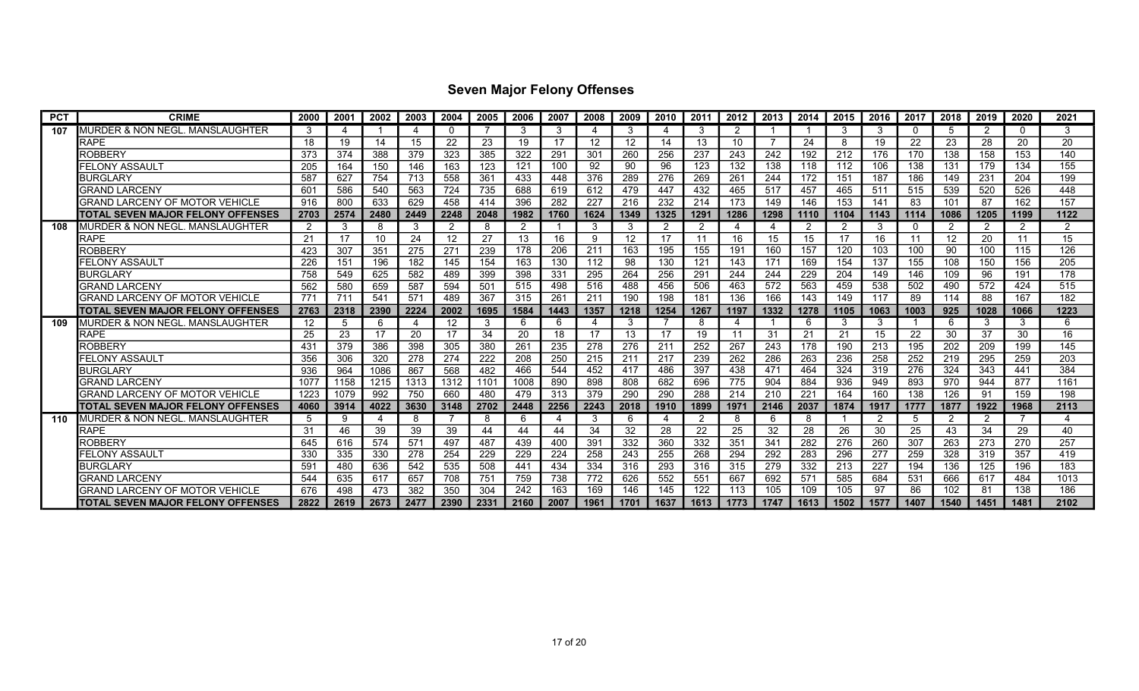| <b>PCT</b> | <b>CRIME</b>                             | 2000 | 2001 | 2002 | 2003 | 2004              | 2005 | 2006 | 2007           | 2008              | 2009 | 2010 | 2011 | 2012 | 2013 | 2014 | 2015 | 2016           | 2017 | 2018           | 2019 | 2020 | 2021 |
|------------|------------------------------------------|------|------|------|------|-------------------|------|------|----------------|-------------------|------|------|------|------|------|------|------|----------------|------|----------------|------|------|------|
| 107        | MURDER & NON NEGL. MANSLAUGHTER          | 3    | 4    |      | Δ    |                   |      | 3    | 3              | 4                 |      | 4    |      | 2    |      |      | 3    | 3              | 0    | -5             | 2    |      | 3    |
|            | <b>RAPE</b>                              | 18   | 19   | 14   | 15   | 22                | 23   | 19   | 17             | $12 \overline{ }$ | 12   | 14   | 13   | 10   |      | 24   | 8    | 19             | 22   | 23             | 28   | 20   | 20   |
|            | <b>ROBBERY</b>                           | 373  | 374  | 388  | 379  | 323               | 385  | 322  | 291            | 301               | 260  | 256  | 237  | 243  | 242  | 192  | 212  | 176            | 170  | 138            | 158  | 153  | 140  |
|            | FELONY ASSAULT                           | 205  | 164  | 150  | 146  | 163               | 123  | 121  | 100            | 92                | 90   | 96   | 123  | 132  | 138  | 118  | 112  | 106            | 138  | 131            | 179  | 134  | 155  |
|            | <b>BURGLARY</b>                          | 587  | 627  | 754  | 713  | 558               | 361  | 433  | 448            | 376               | 289  | 276  | 269  | 261  | 244  | 172  | 151  | 187            | 186  | 149            | 231  | 204  | 199  |
|            | GRAND LARCENY                            | 601  | 586  | 540  | 563  | 724               | 735  | 688  | 619            | 612               | 479  | 447  | 432  | 465  | 517  | 457  | 465  | 511            | 515  | 539            | 520  | 526  | 448  |
|            | GRAND LARCENY OF MOTOR VEHICLE           | 916  | 800  | 633  | 629  | 458               | 414  | 396  | 282            | 227               | 216  | 232  | 214  | 173  | 149  | 146  | 153  | 141            | 83   | 101            | 87   | 162  | 157  |
|            | TOTAL SEVEN MAJOR FELONY OFFENSES        | 2703 | 2574 | 2480 | 2449 | 2248              | 2048 | 1982 | 1760           | 1624              | 1349 | 1325 | 1291 | 1286 | 1298 | 1110 | 1104 | 1143           | 1114 | 1086           | 1205 | 1199 | 1122 |
| 108        | MURDER & NON NEGL. MANSLAUGHTER          | 2    | -3   | 8    | 3    | 2                 | -8   | 2    |                | 3                 | 3    | 2    | 2    | 4    |      | -2   | 2    | 3              | 0    | 2              | 2    | 2    | 2    |
|            | <b>RAPE</b>                              | 21   | 17   | 10   | 24   | $12 \overline{ }$ | 27   | 13   | 16             | 9                 | 12   | 17   | 11   | 16   | 15   | 15   | 17   | 16             | 11   | 12             | 20   | 11   | 15   |
|            | ROBBERY                                  | 423  | 307  | 351  | 275  | 271               | 239  | 178  | 206            | 211               | 163  | 195  | 155  | 191  | 160  | 157  | 120  | 103            | 100  | 90             | 100  | 115  | 126  |
|            | FELONY ASSAULT                           | 226  | 151  | 196  | 182  | 145               | 154  | 163  | 130            | 112               | 98   | 130  | 121  | 143  | 171  | 169  | 154  | 137            | 155  | 108            | 150  | 156  | 205  |
|            | <b>BURGLARY</b>                          | 758  | 549  | 625  | 582  | 489               | 399  | 398  | 331            | 295               | 264  | 256  | 291  | 244  | 244  | 229  | 204  | 149            | 146  | 109            | 96   | 191  | 178  |
|            | <b>GRAND LARCENY</b>                     | 562  | 580  | 659  | 587  | 594               | 501  | 515  | 498            | 516               | 488  | 456  | 506  | 463  | 572  | 563  | 459  | 538            | 502  | 490            | 572  | 424  | 515  |
|            | GRAND LARCENY OF MOTOR VEHICLE           | 771  | 711  | 541  | 571  | 489               | 367  | 315  | 261            | 211               | 190  | 198  | 181  | 136  | 166  | 143  | 149  | 117            | 89   | 114            | 88   | 167  | 182  |
|            | TOTAL SEVEN MAJOR FELONY OFFENSES        | 2763 | 2318 | 2390 | 2224 | 2002              | 1695 | 1584 | 1443           | 1357              | 1218 | 1254 | 1267 | 1197 | 1332 | 1278 | 1105 | 1063           | 1003 | 925            | 1028 | 1066 | 1223 |
| 109        | MURDER & NON NEGL. MANSLAUGHTER          | 12   | 5    | 6    | 4    | 12                | -3   | 6    | 6              | 4                 | 3    |      |      | 4    |      | 6    | 3    | -3             |      | 6              | 3    | 3    | 6    |
|            | <b>RAPE</b>                              | 25   | 23   | 17   | 20   | 17                | 34   | 20   | 18             | 17                | 13   | 17   | 19   | 11   | 31   | 21   | 21   | 15             | 22   | 30             | 37   | 30   | 16   |
|            | <b>ROBBERY</b>                           | 431  | 379  | 386  | 398  | 305               | 380  | 261  | 235            | 278               | 276  | 211  | 252  | 267  | 243  | 178  | 190  | 213            | 195  | 202            | 209  | 199  | 145  |
|            | FELONY ASSAULT                           | 356  | 306  | 320  | 278  | 274               | 222  | 208  | 250            | 215               | 211  | 217  | 239  | 262  | 286  | 263  | 236  | 258            | 252  | 219            | 295  | 259  | 203  |
|            | <b>BURGLARY</b>                          | 936  | 964  | 1086 | 867  | 568               | 482  | 466  | 544            | 452               | 417  | 486  | 397  | 438  | 471  | 464  | 324  | 319            | 276  | 324            | 343  | 441  | 384  |
|            | <b>GRAND LARCENY</b>                     | 1077 | 1158 | 1215 | 1313 | 1312              | 1101 | 1008 | 890            | 898               | 808  | 682  | 696  | 775  | 904  | 884  | 936  | 949            | 893  | 970            | 944  | 877  | 1161 |
|            | GRAND LARCENY OF MOTOR VEHICLE           | 1223 | 1079 | 992  | 750  | 660               | 480  | 479  | 313            | 379               | 290  | 290  | 288  | 214  | 210  | 221  | 164  | 160            | 138  | 126            | 91   | 159  | 198  |
|            | TOTAL SEVEN MAJOR FELONY OFFENSES        | 4060 | 3914 | 4022 | 3630 | 3148              | 2702 | 2448 | 2256           | 2243              | 2018 | 1910 | 1899 | 1971 | 2146 | 2037 | 1874 | 1917           | 1777 | 1877           | 1922 | 1968 | 2113 |
| 110        | MURDER & NON NEGL. MANSLAUGHTER          | 5    | -9   | 4    | 8    |                   | -8   | 6    | $\overline{4}$ | 3                 | 6    | 4    | 2    | 8    | 6    | 8    |      | $\overline{2}$ | 5    | $\overline{2}$ | 2    |      | 4    |
|            | <b>RAPE</b>                              | 31   | 46   | 39   | 39   | 39                | 44   | 44   | 44             | 34                | 32   | 28   | 22   | 25   | 32   | 28   | 26   | 30             | 25   | 43             | 34   | 29   | 40   |
|            | ROBBERY                                  | 645  | 616  | 574  | 571  | 497               | 487  | 439  | 400            | 391               | 332  | 360  | 332  | 351  | 341  | 282  | 276  | 260            | 307  | 263            | 273  | 270  | 257  |
|            | FELONY ASSAULT                           | 330  | 335  | 330  | 278  | 254               | 229  | 229  | 224            | 258               | 243  | 255  | 268  | 294  | 292  | 283  | 296  | 277            | 259  | 328            | 319  | 357  | 419  |
|            | <b>BURGLARY</b>                          | 591  | 480  | 636  | 542  | 535               | 508  | 441  | 434            | 334               | 316  | 293  | 316  | 315  | 279  | 332  | 213  | 227            | 194  | 136            | 125  | 196  | 183  |
|            | <b>GRAND LARCENY</b>                     | 544  | 635  | 617  | 657  | 708               | 751  | 759  | 738            | 772               | 626  | 552  | 551  | 667  | 692  | 571  | 585  | 684            | 531  | 666            | 617  | 484  | 1013 |
|            | GRAND LARCENY OF MOTOR VEHICLE           | 676  | 498  | 473  | 382  | 350               | 304  | 242  | 163            | 169               | 146  | 145  | 122  | 113  | 105  | 109  | 105  | 97             | 86   | 102            | 81   | 138  | 186  |
|            | <b>TOTAL SEVEN MAJOR FELONY OFFENSES</b> | 2822 | 2619 | 2673 | 2477 | 2390              | 2331 | 2160 | 2007           | 1961              | 1701 | 1637 | 1613 | 1773 | 1747 | 1613 | 1502 | 1577           | 1407 | 1540           | 1451 | 1481 | 2102 |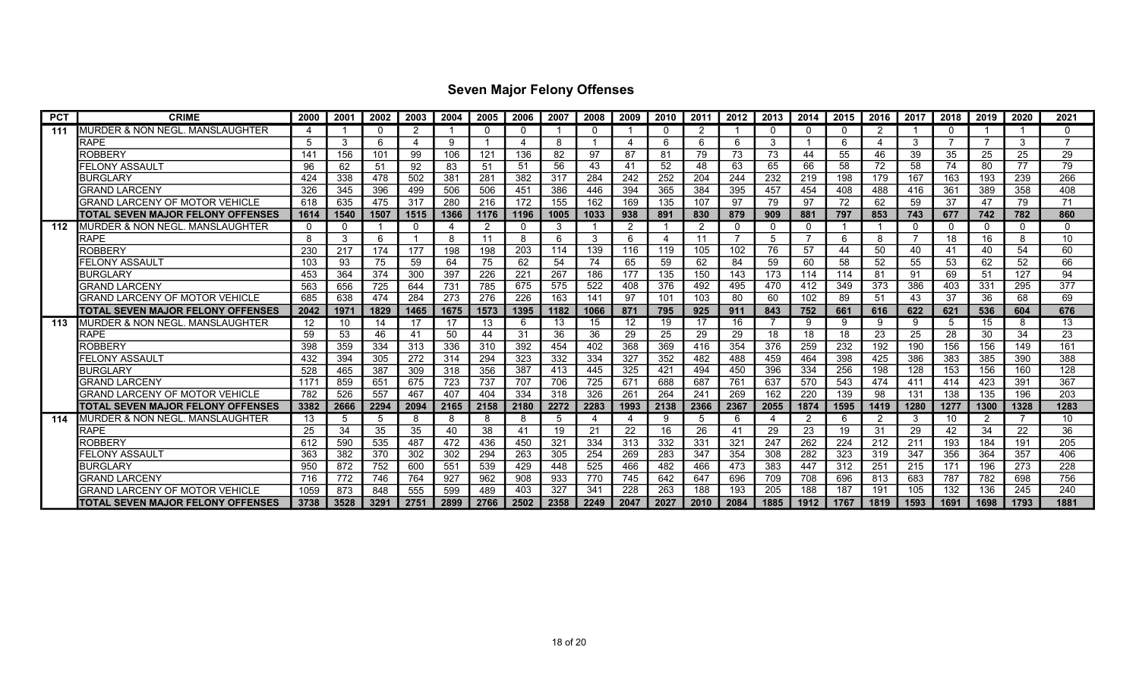| <b>PCT</b> | <b>CRIME</b>                              | 2000        | 2001     | 2002     | 2003     | 2004 | 2005           | 2006           | 2007 | 2008     | 2009 | 2010           | 2011 | 2012 | 2013     | 2014     | 2015 | 2016            | 2017     | 2018     | 2019           | 2020     | 2021         |
|------------|-------------------------------------------|-------------|----------|----------|----------|------|----------------|----------------|------|----------|------|----------------|------|------|----------|----------|------|-----------------|----------|----------|----------------|----------|--------------|
| 111        | MURDER & NON NEGL. MANSLAUGHTER           | Δ           |          | $\Omega$ |          |      | $\Omega$       | 0              |      | $\Omega$ |      | $\Omega$       |      |      | $\Omega$ | $\Omega$ |      | 2               |          | $\Omega$ |                |          | $\Omega$     |
|            | <b>RAPE</b>                               | 5           | 3        | 6        |          | 9    |                | $\overline{4}$ | 8    | -1       |      | 6              | 6    | 6    | 3        |          | 6    | $\overline{4}$  | 3        |          | $\overline{7}$ | 3        |              |
|            | <b>ROBBERY</b>                            | 141         | 156      | 101      | 99       | 106  | 121            | 136            | 82   | 97       | 87   | 81             | 79.  | 73   | 73       | 44       | 55   | 46              | 39       | 35       | 25             | 25       | 29           |
|            | FELONY ASSAULT                            | 96          | 62       | 51       | 92       | 83   | $-51$          | -51            | 56   | 43       | 41   | 52             | 48   | 63   | 65       | 66       | 58   | 72              | 58       | 74       | 80             | 77       | 79           |
|            | <b>BURGLARY</b>                           | 424         | 338      | 478      | 502      | 381  | 281            | 382            | 317  | 284      | 242  | 252            | 204  | 244  | 232      | 219      | 198  | 179             | 167      | 163      | 193            | 239      | 266          |
|            | <b>GRAND LARCENY</b>                      | 326         | 345      | 396      | 499      | 506  | 506            | 451            | 386  | 446      | 394  | 365            | 384  | 395  | 457      | 454      | 408  | 488             | 416      | 361      | 389            | 358      | 408          |
|            | <b>GRAND LARCENY OF MOTOR VEHICLE</b>     | 618         | 635      | 475      | 317      | 280  | 216            | 172            | 155  | 162      | 169  | 135            | 107  | 97   | 79       | 97       | 72   | 62              | 59       | 37       | 47             | 79       | 71           |
|            | ITOTAL SEVEN MAJOR FELONY OFFENSES        | 1614        | 1540     | 1507     | 1515     | 1366 | 1176           | 1196           | 1005 | 1033     | 938  | 891            | 830  | 879  | 909      | 881      | 797  | 853             | 743      | 677      | 742            | 782      | 860          |
| 112        | <b>I</b> MURDER & NON NEGL. MANSLAUGHTER  | $\mathbf 0$ | $\Omega$ |          | $\Omega$ | 4    | $\overline{2}$ | 0              | 3    | -1       | 2    |                | 2    | 0    | 0        | 0        |      | - 1             | $\Omega$ | 0        | $\Omega$       | $\Omega$ | <sup>0</sup> |
|            | <b>RAPE</b>                               | 8           | 3        | 6        |          | 8    | 11             | 8              | 6    | 3        | 6    | $\overline{4}$ | 11   | -7   | 5        |          | 6    | 8               |          | 18       | 16             | 8        | 10           |
|            | <b>ROBBERY</b>                            | 230         | 217      | 174      | 177      | 198  | 198            | 203            | 114  | 139      | 116  | 119            | 105  | 102  | 76       | 57       | 44   | 50              | 40       | 41       | 40             | 54       | 60           |
|            | FELONY ASSAULT                            | 103         | 93       | 75       | 59       | 64   | 75             | 62             | 54   | 74       | 65   | 59             | 62   | 84   | 59       | 60       | 58   | 52              | 55       | 53       | 62             | 52       | 66           |
|            | <b>BURGLARY</b>                           | 453         | 364      | 374      | 300      | 397  | 226            | 221            | 267  | 186      | 177  | 135            | 150  | 143  | 173      | 114      | 114  | 81              | 91       | 69       | 51             | 127      | 94           |
|            | <b>GRAND LARCENY</b>                      | 563         | 656      | 725      | 644      | 731  | 785            | 675            | 575  | 522      | 408  | 376            | 492  | 495  | 470      | 412      | 349  | 373             | 386      | 403      | 331            | 295      | 377          |
|            | <b>GRAND LARCENY OF MOTOR VEHICLE</b>     | 685         | 638      | 474      | 284      | 273  | 276            | 226            | 163  | 141      | 97   | 101            | 103  | 80   | 60       | 102      | 89   | 51              | 43       | 37       | 36             | 68       | 69           |
|            | <b>ITOTAL SEVEN MAJOR FELONY OFFENSES</b> | 2042        | 1971     | 1829     | 1465     | 1675 | 1573           | 1395           | 1182 | 1066     | 871  | 795            | 925  | 911  | 843      | 752      | 661  | 616             | 622      | 621      | 536            | 604      | 676          |
| 113        | MURDER & NON NEGL. MANSLAUGHTER           | 12          | 10       | 14       | 17       | 17   | 13             | 6              | 13   | 15       | 12   | 19             | 17   | 16   |          | -9       | 9    | 9               | 9        | 5        | 15             | 8        | 13           |
|            | <b>RAPE</b>                               | 59          | 53       | 46       | 41       | 50   | 44             | 31             | 36   | 36       | 29   | 25             | 29   | 29   | 18       | 18       | 18   | 23              | 25       | 28       | 30             | 34       | 23           |
|            | <b>ROBBERY</b>                            | 398         | 359      | 334      | 313      | 336  | 310            | 392            | 454  | 402      | 368  | 369            | 416  | 354  | 376      | 259      | 232  | 192             | 190      | 156      | 156            | 149      | 161          |
|            | FELONY ASSAULT                            | 432         | 394      | 305      | 272      | 314  | 294            | 323            | 332  | 334      | 327  | 352            | 482  | 488  | 459      | 464      | 398  | 425             | 386      | 383      | 385            | 390      | 388          |
|            | <b>BURGLARY</b>                           | 528         | 465      | 387      | 309      | 318  | 356            | 387            | 413  | 445      | 325  | 421            | 494  | 450  | 396      | 334      | 256  | 198             | 128      | 153      | 156            | 160      | 128          |
|            | <b>GRAND LARCENY</b>                      | $117^{3}$   | 859      | 651      | 675      | 723  | 737            | 707            | 706  | 725      | 671  | 688            | 687  | 761  | 637      | 570      | 543  | 474             | 411      | 414      | 423            | 391      | 367          |
|            | GRAND LARCENY OF MOTOR VEHICLE            | 782         | 526      | 557      | 467      | 407  | 404            | 334            | 318  | 326      | 261  | 264            | 241  | 269  | 162      | 220      | 139  | 98              | 131      | 138      | 135            | 196      | 203          |
|            | ITOTAL SEVEN MAJOR FELONY OFFENSES        | 3382        | 2666     | 2294     | 2094     | 2165 | 2158           | 2180           | 2272 | 2283     | 1993 | 2138           | 2366 | 2367 | 2055     | 1874     | 1595 | 1419            | 1280     | 1277     | 1300           | 1328     | 1283         |
| 114        | MURDER & NON NEGL. MANSLAUGHTER           | 13          | 5        | 5        | -8       | 8    | 8              | 8              | 5    | 4        |      | 9              |      | 6    |          | -2       | 6    | 2               | 3        | 10       | 2              |          | 10           |
|            | <b>RAPE</b>                               | 25          | 34       | 35       | 35       | 40   | 38             | 41             | 19   | 21       | 22   | 16             | 26   | 41   | 29       | 23       | 19   | 31              | 29       | 42       | 34             | 22       | 36           |
|            | ROBBERY                                   | 612         | 590      | 535      | 487      | 472  | 436            | 450            | 321  | 334      | 313  | 332            | 331  | 321  | 247      | 262      | 224  | 212             | 211      | 193      | 184            | 191      | 205          |
|            | FELONY ASSAULT                            | 363         | 382      | 370      | 302      | 302  | 294            | 263            | 305  | 254      | 269  | 283            | 347  | 354  | 308      | 282      | 323  | 319             | 347      | 356      | 364            | 357      | 406          |
|            | <b>BURGLARY</b>                           | 950         | 872      | 752      | 600      | 551  | 539            | 429            | 448  | 525      | 466  | 482            | 466  | 473  | 383      | 447      | 312  | 251             | 215      | 171      | 196            | 273      | 228          |
|            | <b>GRAND LARCENY</b>                      | 716         | 772      | 746      | 764      | 927  | 962            | 908            | 933  | 770      | 745  | 642            | 647  | 696  | 709      | 708      | 696  | 813             | 683      | 787      | 782            | 698      | 756          |
|            | GRAND LARCENY OF MOTOR VEHICLE            | 1059        | 873      | 848      | 555      | 599  | 489            | 403            | 327  | 341      | 228  | 263            | 188  | 193  | 205      | 188      | 187  | 19 <sup>′</sup> | 105      | 132      | 136            | 245      | 240          |
|            | <b>TOTAL SEVEN MAJOR FELONY OFFENSES</b>  | 3738        | 3528     | 3291     | 2751     | 2899 | 2766           | 2502           | 2358 | 2249     | 2047 | 2027           | 2010 | 2084 | 1885     | 1912     | 1767 | 1819            | 1593     | 1691     | 1698           | 1793     | 1881         |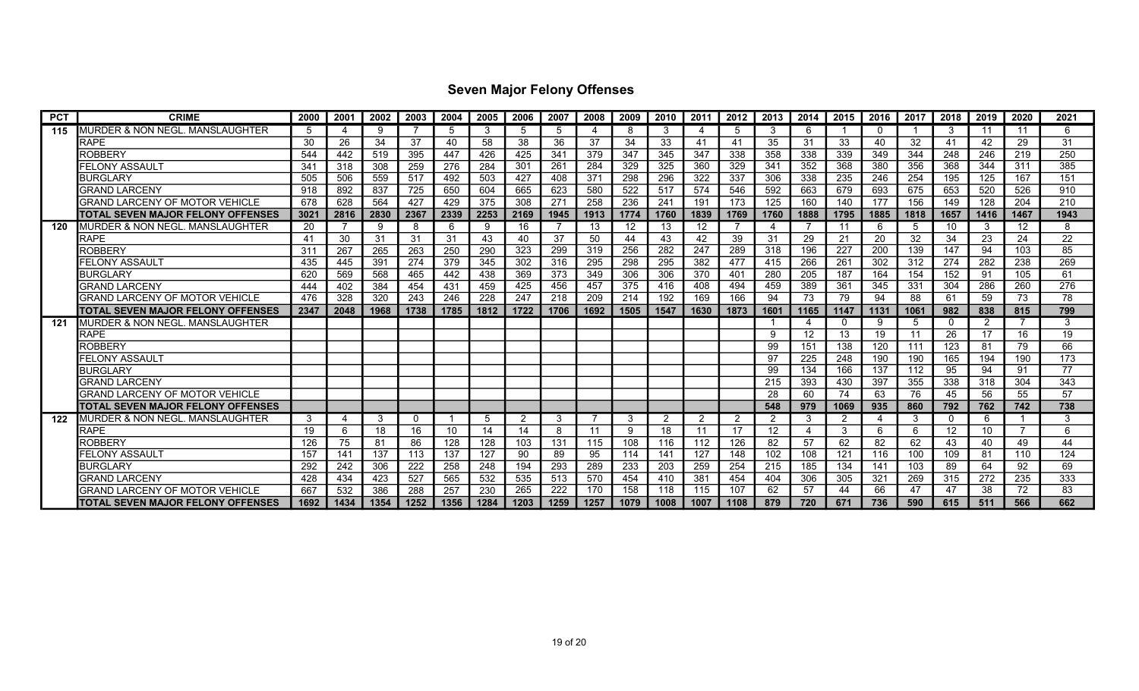| <b>PCT</b> | <b>CRIME</b>                             | 2000 | 2001 | 2002 | 2003     | 2004 | 2005 | 2006 | 2007            | 2008 | 2009 | 2010 | 2011 | 2012           | 2013           | 2014                     | 2015 | 2016     | 2017 | 2018     | 2019 | 2020 | 2021 |
|------------|------------------------------------------|------|------|------|----------|------|------|------|-----------------|------|------|------|------|----------------|----------------|--------------------------|------|----------|------|----------|------|------|------|
| 115        | MURDER & NON NEGL. MANSLAUGHTER          | 5    | Δ    | 9    |          | .5   | 3    | 5    | 5               | 4    | 8    | 3    |      | 5              | 3              | 6                        |      | $\Omega$ |      | 3        | 11   | -11  | 6    |
|            | RAPE                                     | 30   | 26   | 34   | 37       | 40   | 58   | 38   | 36              | 37   | 34   | 33   | 41   | 41             | 35             | 31                       | 33   | 40       | 32   | 41       | 42   | 29   | 31   |
|            | <b>ROBBERY</b>                           | 544  | 442  | 519  | 395      | 447  | 426  | 425  | 341             | 379  | 347  | 345  | 347  | 338            | 358            | 338                      | 339  | 349      | 344  | 248      | 246  | 219  | 250  |
|            | FELONY ASSAULT                           | 341  | 318  | 308  | 259      | 276  | 284  | 301  | 261             | 284  | 329  | 325  | 360  | 329            | 341            | 352                      | 368  | 380      | 356  | 368      | 344  | 311  | 385  |
|            | <b>BURGLARY</b>                          | 505  | 506  | 559  | 517      | 492  | 503  | 427  | 408             | 371  | 298  | 296  | 322  | 337            | 306            | 338                      | 235  | 246      | 254  | 195      | 125  | 167  | 151  |
|            | <b>GRAND LARCENY</b>                     | 918  | 892  | 837  | 725      | 650  | 604  | 665  | 623             | 580  | 522  | 517  | 574  | 546            | 592            | 663                      | 679  | 693      | 675  | 653      | 520  | 526  | 910  |
|            | GRAND LARCENY OF MOTOR VEHICLE           | 678  | 628  | 564  | 427      | 429  | 375  | 308  | 27 <sup>1</sup> | 258  | 236  | 241  | 191  | 173            | 125            | 160                      | 140  | 177      | 156  | 149      | 128  | 204  | 210  |
|            | TOTAL SEVEN MAJOR FELONY OFFENSES        | 3021 | 2816 | 2830 | 2367     | 2339 | 2253 | 2169 | 1945            | 1913 | 1774 | 1760 | 1839 | 1769           | 1760           | 1888                     | 1795 | 1885     | 1818 | 1657     | 1416 | 1467 | 1943 |
| 120        | MURDER & NON NEGL. MANSLAUGHTER          | 20   |      | 9    | 8        | 6    | 9    | 16   |                 | 13   | 12   | 13   | 12   |                |                |                          | 11   | -6       | 5    | 10       | 3    | 12   | 8    |
|            | <b>RAPE</b>                              | 41   | 30   | 31   | 31       | 31   | 43   | 40   | 37              | 50   | 44   | 43   | 42   | 39             | 31             | 29                       | 21   | 20       | 32   | 34       | 23   | 24   | 22   |
|            | ROBBERY                                  | 311  | 267  | 265  | 263      | 250  | 290  | 323  | 299             | 319  | 256  | 282  | 247  | 289            | 318            | 196                      | 227  | 200      | 139  | 147      | 94   | 103  | 85   |
|            | FELONY ASSAULT                           | 435  | 445  | 391  | 274      | 379  | 345  | 302  | 316             | 295  | 298  | 295  | 382  | 477            | 415            | 266                      | 261  | 302      | 312  | 274      | 282  | 238  | 269  |
|            | <b>BURGLARY</b>                          | 620  | 569  | 568  | 465      | 442  | 438  | 369  | 373             | 349  | 306  | 306  | 370  | 401            | 280            | 205                      | 187  | 164      | 154  | 152      | 91   | 105  | 61   |
|            | <b>GRAND LARCENY</b>                     | 444  | 402  | 384  | 454      | 431  | 459  | 425  | 456             | 457  | 375  | 416  | 408  | 494            | 459            | 389                      | 361  | 345      | 331  | 304      | 286  | 260  | 276  |
|            | GRAND LARCENY OF MOTOR VEHICLE           | 476  | 328  | 320  | 243      | 246  | 228  | 247  | 218             | 209  | 214  | 192  | 169  | 166            | 94             | 73                       | 79   | 94       | 88   | 61       | 59   | 73   | 78   |
|            | TOTAL SEVEN MAJOR FELONY OFFENSES        | 2347 | 2048 | 1968 | 1738     | 1785 | 1812 | 1722 | 1706            | 1692 | 1505 | 1547 | 1630 | 1873           | 1601           | 1165                     | 1147 | 1131     | 1061 | 982      | 838  | 815  | 799  |
| 121        | MURDER & NON NEGL. MANSLAUGHTER          |      |      |      |          |      |      |      |                 |      |      |      |      |                |                | 4                        |      | -9       | 5    | $\Omega$ | 2    |      | 3    |
|            | <b>RAPE</b>                              |      |      |      |          |      |      |      |                 |      |      |      |      |                | 9              | 12                       | 13   | 19       | 11   | 26       | 17   | 16   | 19   |
|            | ROBBERY                                  |      |      |      |          |      |      |      |                 |      |      |      |      |                | 99             | 151                      | 138  | 120      | 111  | 123      | 81   | 79   | 66   |
|            | FELONY ASSAULT                           |      |      |      |          |      |      |      |                 |      |      |      |      |                | 97             | 225                      | 248  | 190      | 190  | 165      | 194  | 190  | 173  |
|            | <b>BURGLARY</b>                          |      |      |      |          |      |      |      |                 |      |      |      |      |                | 99             | 134                      | 166  | 137      | 112  | 95       | 94   | 91   | 77   |
|            | <b>GRAND LARCENY</b>                     |      |      |      |          |      |      |      |                 |      |      |      |      |                | 215            | 393                      | 430  | 397      | 355  | 338      | 318  | 304  | 343  |
|            | GRAND LARCENY OF MOTOR VEHICLE           |      |      |      |          |      |      |      |                 |      |      |      |      |                | 28             | 60                       | 74   | 63       | 76   | 45       | 56   | 55   | 57   |
|            | <b>TOTAL SEVEN MAJOR FELONY OFFENSES</b> |      |      |      |          |      |      |      |                 |      |      |      |      |                | 548            | 979                      | 1069 | 935      | 860  | 792      | 762  | 742  | 738  |
| 122        | MURDER & NON NEGL. MANSLAUGHTER          | 3    | 4    | 3    | $\Omega$ |      | 5    | 2    | 3               |      | 3    | 2    | 2    | $\overline{2}$ | $\overline{2}$ | -3                       | 2    | -4       | 3    | $\Omega$ | 6    |      | 3    |
|            | <b>RAPE</b>                              | 19   | 6    | 18   | 16       | 10   | 14   | 14   | 8               | 11   | 9    | 18   | 11   | 17             | 12             | $\overline{\mathcal{A}}$ | 3    | 6        | 6    | 12       | 10   |      |      |
|            | ROBBERY                                  | 126  | 75   | 81   | 86       | 128  | 128  | 103  | 131             | 115  | 108  | 116  | 112  | 126            | 82             | 57                       | 62   | 82       | 62   | 43       | 40   | 49   | 44   |
|            | <b>FELONY ASSAULT</b>                    | 157  | 141  | 137  | 113      | 137  | 127  | 90   | 89              | 95   | 114  | 141  | 127  | 148            | 102            | 108                      | 121  | 116      | 100  | 109      | 81   | 110  | 124  |
|            | <b>BURGLARY</b>                          | 292  | 242  | 306  | 222      | 258  | 248  | 194  | 293             | 289  | 233  | 203  | 259  | 254            | 215            | 185                      | 134  | 141      | 103  | 89       | 64   | 92   | 69   |
|            | <b>GRAND LARCENY</b>                     | 428  | 434  | 423  | 527      | 565  | 532  | 535  | 513             | 570  | 454  | 410  | 381  | 454            | 404            | 306                      | 305  | 321      | 269  | 315      | 272  | 235  | 333  |
|            | GRAND LARCENY OF MOTOR VEHICLE           | 667  | 532  | 386  | 288      | 257  | 230  | 265  | 222             | 170  | 158  | 118  | 115  | 107            | 62             | 57                       | 44   | 66       | 47   | 47       | 38   | 72   | 83   |
|            | <b>TOTAL SEVEN MAJOR FELONY OFFENSES</b> | 1692 | 1434 | 1354 | 1252     | 1356 | 1284 | 1203 | 1259            | 1257 | 1079 | 1008 | 1007 | 1108           | 879            | 720                      | 671  | 736      | 590  | 615      | 511  | 566  | 662  |